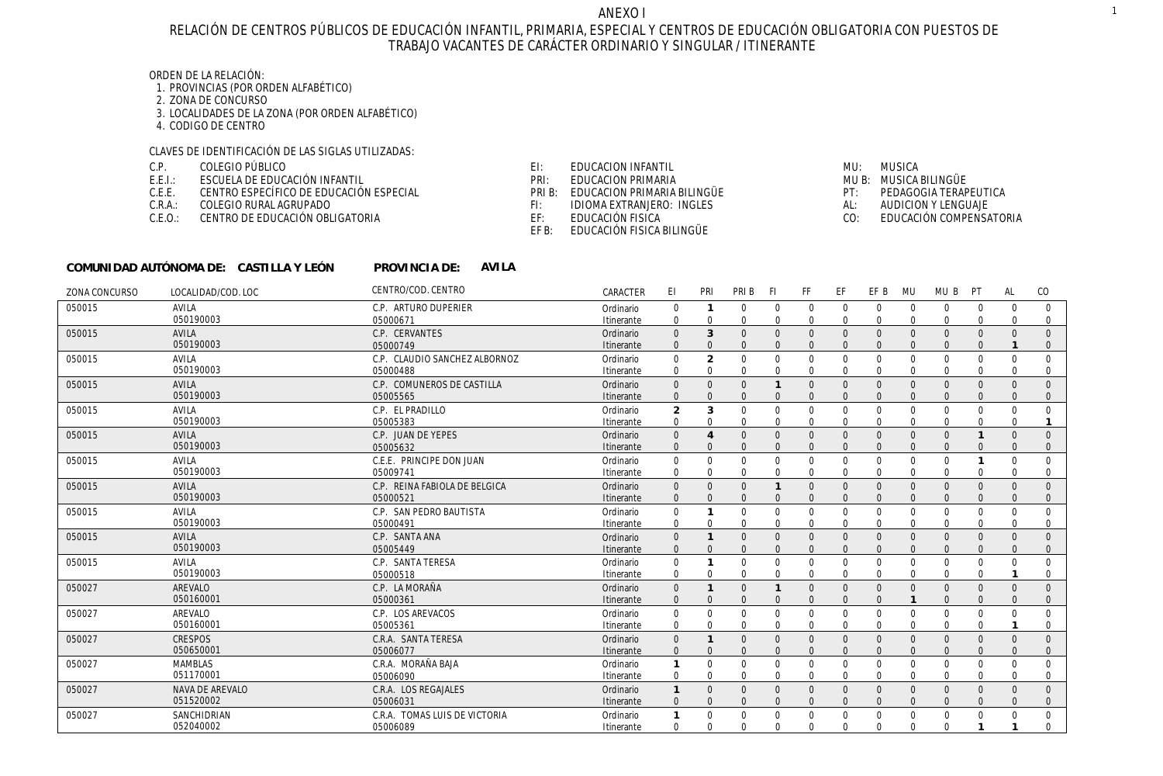# RELACIÓN DE CENTROS PÚBLICOS DE EDUCACIÓN INFANTIL, PRIMARIA, ESPECIAL Y CENTROS DE EDUCACIÓN OBLIGATORIA CON PUESTOS DE TRABAJO VACANTES DE CARÁCTER ORDINARIO Y SINGULAR / ITINERANTE

# ORDEN DE LA RELACIÓN:

- 1. PROVINCIAS (POR ORDEN ALFABÉTICO)
- 2. ZONA DE CONCURSO
- 3. LOCALIDADES DE LA ZONA (POR ORDEN ALFABÉTICO)
- 4. CODIGO DE CENTRO

# CLAVES DE IDENTIFICACIÓN DE LAS SIGLAS UTILIZADAS:

- COLEGIO PÚBLICO C.P.
- ESCUELA DE EDUCACIÓN INFANTIL E.E.I.:
- CENTRO ESPECÍFICO DE EDUCACIÓN ESPECIAL C.E.E.
- C.R.A.: COLEGIO RURAL AGRUPADO
- C.E.O.: CENTRO DE EDUCACIÓN OBLIGATORIA
- EDUCACION INFANTIL EI:
- PRI: EDUCACION PRIMARIA
- PRI B: EDUCACION PRIMARIA BILINGÜE
- IDIOMA EXTRANJERO: INGLES FI:
- EDUCACIÓN FISICA EF:
	- EF B: EDUCACIÓN FISICA BILINGÜE
- MU: MUSICA MUSICA BILINGÜE MU B: PT: PEDAGOGIA TERAPEUTICA AL: AUDICION Y LENGUAJE
- CO: EDUCACIÓN COMPENSATORIA

| COMUNIDAD AUTÓNOMA DE: CASTILLA Y LEÓN |  | PROVINCIA DE: | AVILA |
|----------------------------------------|--|---------------|-------|
|----------------------------------------|--|---------------|-------|

| ZONA CONCURSO | LOCALIDAD/COD. LOC | CENTRO/COD. CENTRO            | CARACTER   | EI             | PRI            | PRI B    | -FI          | FF       | EF          | EF B         | MU           | MU B     | PT           | AL       | CO          |
|---------------|--------------------|-------------------------------|------------|----------------|----------------|----------|--------------|----------|-------------|--------------|--------------|----------|--------------|----------|-------------|
| 050015        | <b>AVILA</b>       | C.P. ARTURO DUPERIER          | Ordinario  | $\mathbf 0$    |                | $\Omega$ | 0            | $\Omega$ | $\Omega$    | $\Omega$     | $\Omega$     | $\Omega$ | $\Omega$     | $\Omega$ | $\Omega$    |
|               | 050190003          | 05000671                      | Itinerante | 0              | 0              | $\Omega$ | 0            |          | 0           |              | 0            |          | $\Omega$     |          | $\Omega$    |
| 050015        | <b>AVILA</b>       | C.P. CERVANTES                | Ordinario  | $\mathbf{0}$   | 3              | $\Omega$ | $\Omega$     | $\Omega$ | $\Omega$    | $\Omega$     | $\Omega$     | $\Omega$ | $\mathbf{0}$ | $\Omega$ | $\Omega$    |
|               | 050190003          | 05000749                      | Itinerante |                |                |          |              |          |             |              |              |          |              |          |             |
| 050015        | AVILA              | C.P. CLAUDIO SANCHEZ ALBORNOZ | Ordinario  | $\mathbf 0$    | $\overline{2}$ | $\Omega$ | $\Omega$     | $\Omega$ | $\mathbf 0$ | $\Omega$     | $\Omega$     | $\Omega$ | $\mathbf 0$  |          | $\Omega$    |
|               | 050190003          | 05000488                      | Itinerante | $\Omega$       | 0              | $\Omega$ | $\Omega$     |          | $\Omega$    |              | $\Omega$     |          | $\Omega$     |          | $\Omega$    |
| 050015        | <b>AVILA</b>       | C.P. COMUNEROS DE CASTILLA    | Ordinario  | $\Omega$       | $\Omega$       | $\Omega$ |              | $\Omega$ | $\Omega$    | $\Omega$     | $\Omega$     | $\Omega$ | $\Omega$     |          | $\Omega$    |
|               | 050190003          | 05005565                      | Itinerante | $\Omega$       |                |          | $\Omega$     |          |             |              |              |          |              |          | $\Omega$    |
| 050015        | <b>AVILA</b>       | C.P. EL PRADILLO              | Ordinario  | $\overline{2}$ | 3              | $\Omega$ | $\Omega$     | $\Omega$ | $\mathbf 0$ | $\Omega$     | $\Omega$     | $\Omega$ | $\Omega$     | U        | $\Omega$    |
|               | 050190003          | 05005383                      | Itinerante | $\Omega$       | $\Omega$       | $\Omega$ | $\Omega$     |          | $\Omega$    | $\Omega$     | $\Omega$     |          | $\Omega$     | $\Omega$ |             |
| 050015        | AVILA              | C.P. JUAN DE YEPES            | Ordinario  | $\Omega$       | $\overline{4}$ | $\Omega$ | $\Omega$     | $\Omega$ | $\Omega$    |              | $\Omega$     | $\Omega$ |              |          | $\Omega$    |
|               | 050190003          | 05005632                      | Itinerante | $\Omega$       |                |          |              |          |             |              |              |          |              |          |             |
| 050015        | AVILA              | C.E.E. PRINCIPE DON JUAN      | Ordinario  | $\Omega$       | 0              | $\Omega$ | $\Omega$     | $\Omega$ | $\mathbf 0$ | $\Omega$     | $\Omega$     | $\Omega$ |              |          | $\Omega$    |
|               | 050190003          | 05009741                      | Itinerante | $\Omega$       | $\Omega$       | $\Omega$ | <sup>0</sup> |          | 0           | <sup>0</sup> | <sup>0</sup> |          | $\Omega$     |          | $\Omega$    |
| 050015        | <b>AVILA</b>       | C.P. REINA FABIOLA DE BELGICA | Ordinario  | $\Omega$       | $\Omega$       | $\Omega$ |              | $\Omega$ | $\Omega$    |              | $\Omega$     |          | $\Omega$     |          | $\Omega$    |
|               | 050190003          | 05000521                      | Itinerante | $\Omega$       | $\Omega$       |          | $\Omega$     |          |             |              |              |          |              |          |             |
| 050015        | <b>AVILA</b>       | C.P. SAN PEDRO BAUTISTA       | Ordinario  | $\Omega$       | $\mathbf{1}$   | $\Omega$ | $\Omega$     | $\Omega$ | $\Omega$    | $\Omega$     | $\Omega$     | $\Omega$ | $\Omega$     | $\cap$   | $\Omega$    |
|               | 050190003          | 05000491                      | Itinerante | $\Omega$       | $\Omega$       | $\Omega$ | $\Omega$     | $\Omega$ | $\Omega$    | $\Omega$     | $\Omega$     | $\Omega$ | $\Omega$     |          |             |
| 050015        | <b>AVILA</b>       | C.P. SANTA ANA                | Ordinario  | $\Omega$       |                |          | $\Omega$     |          | $\Omega$    |              |              |          |              |          |             |
|               | 050190003          | 05005449                      | Itinerante | $\Omega$       | $\Omega$       |          | $\Omega$     |          |             |              |              |          |              |          |             |
| 050015        | AVILA              | C.P. SANTA TERESA             | Ordinario  | $\mathbf 0$    |                | $\Omega$ | $\Omega$     | $\Omega$ | $\mathbf 0$ |              | $\Omega$     |          | $\Omega$     |          |             |
|               | 050190003          | 05000518                      | Itinerante | $\Omega$       | $\Omega$       | $\Omega$ | $\Omega$     |          | $\Omega$    | $\cap$       | $\Omega$     |          | $\Omega$     |          | $\Omega$    |
| 050027        | AREVALO            | C.P. LA MORAÑA                | Ordinario  | $\Omega$       | $\mathbf{1}$   | $\Omega$ |              | $\Omega$ | $\Omega$    |              | $\Omega$     |          | $\mathbf{0}$ |          | $\Omega$    |
|               | 050160001          | 05000361                      | Itinerante | $\Omega$       | $\Omega$       |          | $\Omega$     |          | $\Omega$    |              |              |          |              |          | $\Omega$    |
| 050027        | AREVALO            | C.P. LOS AREVACOS             | Ordinario  | $\mathbf 0$    | $\mathbf 0$    | $\Omega$ | $\Omega$     | $\Omega$ | $\mathbf 0$ | $\Omega$     | $\mathbf 0$  | $\Omega$ | $\mathbf 0$  |          | $\Omega$    |
|               | 050160001          | 05005361                      | Itinerante | $\Omega$       | $\Omega$       | $\Omega$ | $\Omega$     |          | $\Omega$    |              |              |          | $\Omega$     |          |             |
| 050027        | <b>CRESPOS</b>     | C.R.A. SANTA TERESA           | Ordinario  | $\Omega$       |                | $\Omega$ | $\Omega$     |          | $\Omega$    |              | $\Omega$     |          | $\Omega$     |          | $\Omega$    |
|               | 050650001          | 05006077                      | Itinerante |                | $\Omega$       |          |              |          |             |              |              |          |              |          |             |
| 050027        | <b>MAMBLAS</b>     | C.R.A. MORAÑA BAJA            | Ordinario  |                | $\Omega$       | $\Omega$ | $\Omega$     | $\Omega$ | $\Omega$    | $\Omega$     | $\Omega$     | $\Omega$ | $\Omega$     |          | $\Omega$    |
|               | 051170001          | 05006090                      | Itinerante | $\Omega$       | $\Omega$       | $\Omega$ | $\Omega$     | $\Omega$ | $\Omega$    | $\Omega$     | $\Omega$     | U        | $\Omega$     |          |             |
| 050027        | NAVA DE AREVALO    | C.R.A. LOS REGAJALES          | Ordinario  |                | $\Omega$       | $\Omega$ | $\Omega$     | $\Omega$ | $\Omega$    |              | $\Omega$     |          | $\Omega$     |          | $\Omega$    |
|               | 051520002          | 05006031                      | Itinerante | $\Omega$       | $\Omega$       |          |              |          | $\Omega$    |              |              |          |              |          | $\Omega$    |
| 050027        | SANCHIDRIAN        | C.R.A. TOMAS LUIS DE VICTORIA | Ordinario  |                | $\mathbf 0$    |          |              |          | $\Omega$    |              |              |          | $\Omega$     |          | $\mathbf 0$ |
|               | 052040002          | 05006089                      | Itinerante | $\Omega$       | $\Omega$       | $\Omega$ | $\Omega$     | $\Omega$ | $\Omega$    | $\Omega$     | $\Omega$     | $\Omega$ |              |          | $\Omega$    |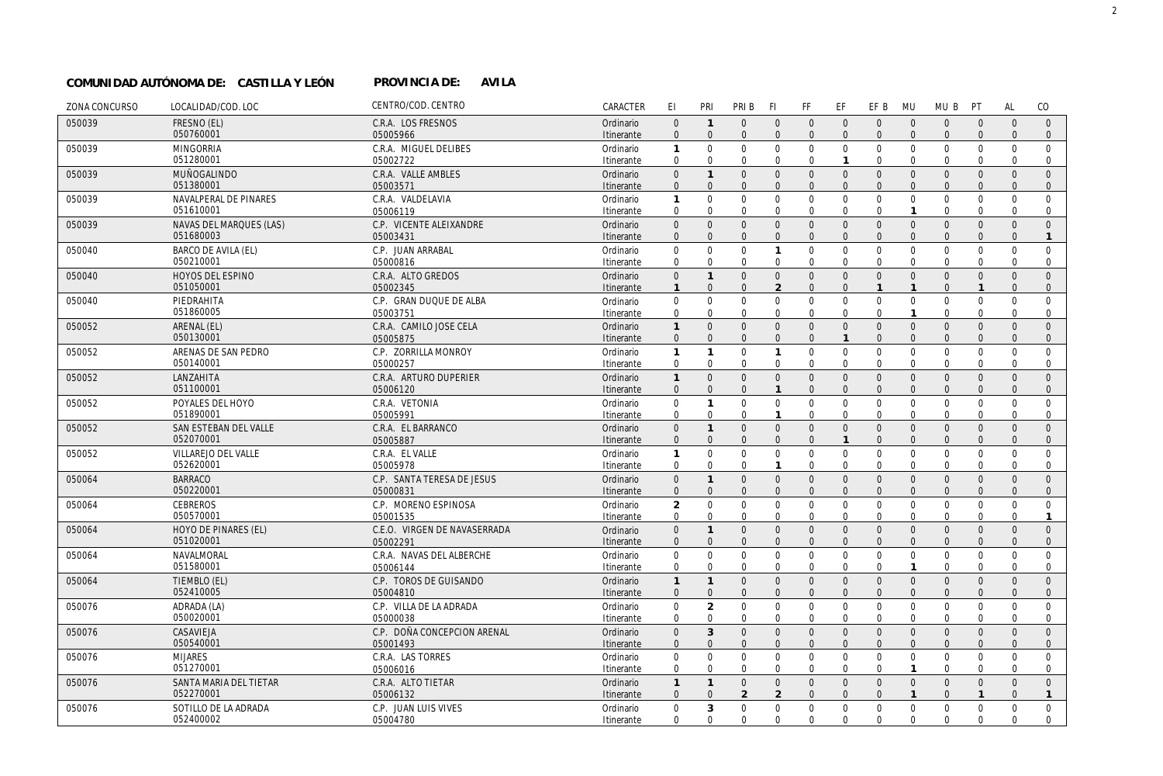## **AVILA COMUNIDAD AUTÓNOMA DE: CASTILLA Y LEÓN PROVINCIA DE:**

| ZONA CONCURSO | LOCALIDAD/COD. LOC                 | CENTRO/COD. CENTRO                    | CARACTER                | EI                           | PRI                         | PRI B                      | -FI                          | <b>FF</b>                  | EF                         | EF B                       | <b>MU</b>                   | MU B                       | PT                         | <b>AL</b>               | CO                          |
|---------------|------------------------------------|---------------------------------------|-------------------------|------------------------------|-----------------------------|----------------------------|------------------------------|----------------------------|----------------------------|----------------------------|-----------------------------|----------------------------|----------------------------|-------------------------|-----------------------------|
| 050039        | FRESNO (EL)                        | C.R.A. LOS FRESNOS                    | Ordinario               | $\overline{0}$               | $\mathbf{1}$                | $\Omega$                   | $\Omega$                     | $\mathbf{0}$               | $\overline{0}$             | $\Omega$                   | $\Omega$                    | $\mathbf{0}$               | $\mathbf{0}$               | $\Omega$                | $\Omega$                    |
|               | 050760001                          | 05005966                              | Itinerante              | $\Omega$                     | $\Omega$                    | $\mathbf{0}$               | $\mathbf{0}$                 | $\overline{0}$             | $\overline{0}$             | $\mathbf{0}$               | $\Omega$                    | $\mathbf{0}$               | $\mathbf{0}$               | $\Omega$                | $\mathbf 0$                 |
| 050039        | <b>MINGORRIA</b>                   | C.R.A. MIGUEL DELIBES                 | Ordinario               | $\mathbf{1}$                 | $\Omega$                    | $\Omega$                   | $\Omega$                     | $\mathbf 0$                | $\mathbf 0$                | $\mathbf 0$                | $\mathbf 0$                 | $\Omega$                   | $\Omega$                   | $\Omega$                | $\Omega$                    |
|               | 051280001                          | 05002722                              | Itinerante              | $\Omega$                     | $\Omega$                    | $\mathbf 0$                | $\mathbf 0$                  | $\mathbf{0}$               | $\mathbf{1}$               | $\mathbf{0}$               | $\mathbf 0$                 | $\mathbf{0}$               | $\mathbf 0$                | $\Omega$                | $\mathbf 0$                 |
| 050039        | MUÑOGALINDO                        | C.R.A. VALLE AMBLES                   | Ordinario               | $\mathsf{O}\xspace$          | $\mathbf{1}$                | $\mathbf{0}$               | $\mathbf{0}$                 | $\mathbf 0$                | $\mathsf 0$                | $\mathbf 0$                | $\overline{0}$              | $\mathbf{0}$               | $\mathbf{0}$               | $\mathbf{0}$            | $\overline{0}$              |
|               | 051380001                          | 05003571                              | Itinerante              | $\mathbf{0}$                 | $\Omega$                    | $\Omega$                   | $\Omega$                     | $\Omega$                   | $\Omega$                   | $\Omega$                   | $\Omega$                    | $\Omega$                   | $\Omega$                   | $\Omega$                | $\Omega$                    |
| 050039        | NAVALPERAL DE PINARES<br>051610001 | C.R.A. VALDELAVIA<br>05006119         | Ordinario<br>Itinerante | 1<br>$\mathbf 0$             | $\mathbf{0}$<br>$\Omega$    | $\mathbf 0$<br>$\mathbf 0$ | $\mathbf 0$<br>$\mathbf 0$   | $\mathbf 0$<br>$\mathbf 0$ | $\mathbf 0$<br>$\mathbf 0$ | $\mathbf 0$<br>$\mathbf 0$ | $\mathbf 0$<br>$\mathbf{1}$ | $\mathbf 0$<br>$\mathbf 0$ | $\mathbf 0$<br>$\mathbf 0$ | $\mathbf 0$<br>$\Omega$ | $\mathbf 0$<br>$\mathbf 0$  |
| 050039        | NAVAS DEL MARQUES (LAS)            | C.P. VICENTE ALEIXANDRE               | Ordinario               | $\mathsf{O}\xspace$          | $\mathbf{0}$                | $\mathbf{0}$               | $\mathbf{0}$                 | $\mathbf 0$                | $\mathbf 0$                | $\mathbf 0$                | $\Omega$                    | $\mathbf{0}$               | $\mathbf{0}$               | $\mathbf{0}$            | $\mathbf{0}$                |
|               | 051680003                          | 05003431                              | Itinerante              | $\mathbf{0}$                 | $\Omega$                    | $\mathbf{0}$               | $\Omega$                     | $\mathbf{0}$               | $\overline{0}$             | $\mathbf{0}$               | $\Omega$                    | $\mathbf{0}$               | $\Omega$                   | $\Omega$                | $\mathbf{1}$                |
| 050040        | <b>BARCO DE AVILA (EL)</b>         | C.P. JUAN ARRABAL                     | Ordinario               | 0                            | $\mathbf{0}$                | $\mathbf 0$                | $\mathbf{1}$                 | $\mathbf 0$                | $\mathbf 0$                | $\mathbf{0}$               | $\mathbf 0$                 | $\mathbf{0}$               | $\mathbf 0$                | $\Omega$                | $\Omega$                    |
|               | 050210001                          | 05000816                              | Itinerante              | $\mathbf 0$                  | $\mathbf 0$                 | $\mathbf 0$                | 0                            | $\mathbf 0$                | $\mathbf 0$                | $\mathbf 0$                | $\mathbf 0$                 | $\mathbf 0$                | 0                          | $\Omega$                | $\mathbf 0$                 |
| 050040        | HOYOS DEL ESPINO                   | C.R.A. ALTO GREDOS                    | Ordinario               | $\mathbf 0$                  | $\mathbf{1}$                | $\mathbf{0}$               | $\mathbf{0}$                 | $\mathbf{0}$               | $\mathbf{0}$               | $\overline{0}$             | $\Omega$                    | $\Omega$                   | $\Omega$                   | $\Omega$                | $\Omega$                    |
|               | 051050001                          | 05002345                              | Itinerante              | $\mathbf{1}$                 | $\Omega$                    | $\mathbf{0}$               | $\overline{2}$               | $\mathbf{0}$               | $\mathbf{0}$               | $\mathbf{1}$               | $\mathbf{1}$                | $\mathbf{0}$               | $\mathbf{1}$               | $\Omega$                | $\mathbf{0}$                |
| 050040        | PIEDRAHITA                         | C.P. GRAN DUQUE DE ALBA               | Ordinario               | 0                            | $\Omega$                    | $\mathbf 0$                | $\mathbf 0$                  | $\mathbf 0$                | $\mathbf 0$                | $\mathbf 0$                | $\overline{0}$              | $\mathbf{0}$               | $\mathbf 0$                | $\Omega$                | $\Omega$                    |
|               | 051860005                          | 05003751                              | Itinerante              | $\mathbf 0$                  | $\mathbf 0$                 | $\mathbf 0$                | $\mathbf 0$                  | $\mathbf 0$                | $\mathbf 0$                | $\mathbf{0}$               | $\mathbf{1}$                | $\mathbf 0$                | $\mathbf 0$                | $\Omega$                | $\mathbf 0$                 |
| 050052        | ARENAL (EL)                        | C.R.A. CAMILO JOSE CELA               | Ordinario               | $\mathbf{1}$                 | $\Omega$                    | $\mathbf{0}$               | $\mathbf{0}$                 | $\mathbf{0}$               | $\overline{0}$             | $\mathbf{0}$               | $\Omega$                    | $\mathbf{0}$               | $\mathbf{0}$               | $\Omega$                | $\mathbf{0}$                |
|               | 050130001                          | 05005875                              | Itinerante              | $\mathbf{0}$                 | $\mathbf{0}$                | $\Omega$                   | $\Omega$                     | $\mathbf{0}$               | $\mathbf{1}$               | $\Omega$                   | $\Omega$                    | $\Omega$                   | $\Omega$                   | $\Omega$                | $\mathbf{0}$                |
| 050052        | ARENAS DE SAN PEDRO                | C.P. ZORRILLA MONROY                  | Ordinario               | 1                            | $\mathbf{1}$                | $\mathbf 0$                | $\mathbf{1}$                 | $\mathbf 0$                | $\mathbf 0$                | $\mathbf 0$                | $\overline{0}$              | $\mathbf 0$                | $\mathbf 0$                | $\mathbf 0$             | $\mathbf{0}$                |
|               | 050140001                          | 05000257                              | Itinerante              | $\mathbf 0$                  | $\mathbf 0$                 | $\Omega$                   | $\Omega$                     | $\mathbf 0$                | $\mathbf 0$                | $\Omega$                   | $\Omega$                    | $\Omega$                   | $\Omega$                   | $\Omega$                | $\mathbf 0$                 |
| 050052        | LANZAHITA<br>051100001             | C.R.A. ARTURO DUPERIER                | Ordinario               | $\mathbf{1}$<br>$\mathbf{0}$ | $\mathbf{0}$<br>$\Omega$    | $\mathbf{0}$<br>$\Omega$   | $\mathbf{0}$<br>$\mathbf{1}$ | $\mathbf{0}$               | $\overline{0}$             | $\mathbf{0}$               | $\Omega$<br>$\Omega$        | $\mathbf{0}$               | $\mathbf{0}$               | $\Omega$                | $\Omega$                    |
|               |                                    | 05006120                              | Itinerante              |                              |                             |                            |                              | $\mathbf{0}$               | $\overline{0}$             | $\mathbf{0}$               |                             | $\mathbf{0}$               | $\Omega$                   | $\Omega$                | $\mathbf{0}$                |
| 050052        | POYALES DEL HOYO<br>051890001      | C.R.A. VETONIA<br>05005991            | Ordinario<br>Itinerante | $\mathbf 0$<br>$\mathbf 0$   | $\mathbf{1}$<br>$\mathbf 0$ | $\mathbf 0$<br>$\Omega$    | $\mathbf 0$<br>$\mathbf{1}$  | $\mathbf 0$<br>$\mathbf 0$ | $\mathbf 0$<br>$\mathbf 0$ | $\mathbf 0$<br>$\Omega$    | $\overline{0}$<br>$\Omega$  | $\mathbf 0$<br>$\mathbf 0$ | $\mathbf 0$<br>$\Omega$    | $\mathbf 0$<br>$\Omega$ | $\mathbf{0}$<br>$\mathbf 0$ |
| 050052        | SAN ESTEBAN DEL VALLE              | C.R.A. EL BARRANCO                    | Ordinario               | $\mathbf{0}$                 | $\mathbf{1}$                | $\mathbf{0}$               | $\mathbf{0}$                 | $\mathbf{0}$               | $\mathsf 0$                | $\mathbf{0}$               | $\overline{0}$              | $\mathbf{0}$               | $\mathbf{0}$               | $\Omega$                | $\mathbf{0}$                |
|               | 052070001                          | 05005887                              | Itinerante              | $\mathbf{0}$                 | $\Omega$                    | $\Omega$                   | $\Omega$                     | $\mathbf{0}$               | $\mathbf{1}$               | $\mathbf{0}$               | $\Omega$                    | $\mathbf{0}$               | $\Omega$                   | $\Omega$                | $\mathbf{0}$                |
| 050052        | VILLAREJO DEL VALLE                | C.R.A. EL VALLE                       | Ordinario               | 1                            | $\Omega$                    | $\mathbf 0$                | $\mathbf 0$                  | $\mathbf 0$                | $\mathbf 0$                | $\mathbf{0}$               | $\overline{0}$              | $\mathbf 0$                | $\mathbf 0$                | $\Omega$                | $\Omega$                    |
|               | 052620001                          | 05005978                              | Itinerante              | $\mathbf 0$                  | $\mathbf 0$                 | $\Omega$                   | $\mathbf{1}$                 | $\mathbf 0$                | $\mathbf 0$                | $\mathbf 0$                | $\Omega$                    | $\mathbf 0$                | $\mathbf 0$                | $\Omega$                | $\mathbf 0$                 |
| 050064        | <b>BARRACO</b>                     | C.P. SANTA TERESA DE JESUS            | Ordinario               | $\mathbf{0}$                 | $\overline{1}$              | $\mathbf{0}$               | $\mathbf{0}$                 | $\mathsf 0$                | $\mathsf 0$                | $\mathbf 0$                | $\mathbf{0}$                | $\mathbf{0}$               | $\mathbf{0}$               | $\mathbf{0}$            | $\mathbf{0}$                |
|               | 050220001                          | 05000831                              | Itinerante              | $\boldsymbol{0}$             | $\Omega$                    | $\mathbf{0}$               | $\mathbf{0}$                 | $\mathbf{0}$               | $\overline{0}$             | $\mathbf{0}$               | $\mathbf{0}$                | $\mathbf{0}$               | $\mathbf{0}$               | $\mathbf{0}$            | $\mathbf{0}$                |
| 050064        | <b>CEBREROS</b>                    | C.P. MORENO ESPINOSA                  | Ordinario               | $\overline{2}$               | $\mathbf 0$                 | $\mathbf 0$                | $\mathbf 0$                  | $\mathbf 0$                | $\mathbf 0$                | $\mathbf 0$                | $\mathbf 0$                 | $\mathbf 0$                | 0                          | $\Omega$                | $\mathbf{0}$                |
|               | 050570001                          | 05001535                              | Itinerante              | $\mathbf 0$                  | $\mathbf 0$                 | $\mathbf 0$                | $\mathbf 0$                  | $\mathbf 0$                | $\mathbf 0$                | $\mathbf{0}$               | $\mathbf 0$                 | $\mathbf 0$                | $\mathbf 0$                | $\Omega$                | $\overline{1}$              |
| 050064        | HOYO DE PINARES (EL)               | C.E.O. VIRGEN DE NAVASERRADA          | Ordinario               | $\boldsymbol{0}$             | $\mathbf{1}$                | $\mathbf{0}$               | $\mathbf 0$                  | $\mathbf 0$                | $\mathbf 0$                | $\mathbf 0$                | $\overline{0}$              | $\mathbf{0}$               | $\mathbf{0}$               | $\mathbf{0}$            | $\mathbf{0}$                |
|               | 051020001                          | 05002291                              | Itinerante              | $\boldsymbol{0}$             | $\overline{0}$              | $\mathbf{0}$               | $\mathbf{0}$                 | $\mathbf 0$                | $\mathbf 0$                | $\mathbf 0$                | $\Omega$                    | $\mathbf 0$                | $\mathbf{0}$               | $\mathbf{0}$            | $\mathbf 0$                 |
| 050064        | NAVALMORAL<br>051580001            | C.R.A. NAVAS DEL ALBERCHE<br>05006144 | Ordinario<br>Itinerante | $\mathbf 0$<br>$\mathbf 0$   | $\mathbf 0$<br>$\mathbf 0$  | $\mathbf 0$<br>$\mathbf 0$ | $\mathbf 0$<br>$\mathbf 0$   | $\mathbf 0$<br>0           | $\mathbf 0$<br>0           | $\mathbf 0$<br>$\mathbf 0$ | $\mathbf 0$<br>-1           | $\mathbf 0$<br>$\mathbf 0$ | $\mathbf 0$<br>0           | $\Omega$<br>$\Omega$    | $\mathbf 0$<br>$\mathbf 0$  |
| 050064        | TIEMBLO (EL)                       | C.P. TOROS DE GUISANDO                | Ordinario               | $\mathbf{1}$                 | $\mathbf{1}$                | $\mathbf{0}$               | $\mathbf 0$                  | $\overline{0}$             | $\mathsf 0$                | $\mathbf{0}$               | $\overline{0}$              | $\mathbf{0}$               | $\mathbf{0}$               | $\Omega$                | $\mathbf{0}$                |
|               | 052410005                          | 05004810                              | Itinerante              | $\mathbf{0}$                 | $\Omega$                    | $\mathbf{0}$               | $\mathbf{0}$                 | $\mathbf{0}$               | $\overline{0}$             | $\mathbf{0}$               | $\Omega$                    | $\mathbf{0}$               | $\Omega$                   | $\Omega$                | $\mathbf{0}$                |
| 050076        | ADRADA (LA)                        | C.P. VILLA DE LA ADRADA               | Ordinario               | $\mathbf 0$                  | $\overline{2}$              | $\mathbf 0$                | $\mathbf 0$                  | $\mathbf 0$                | $\mathbf 0$                | $\mathbf 0$                | $\mathbf 0$                 | $\Omega$                   | $\mathbf 0$                | $\Omega$                | $\mathbf 0$                 |
|               | 050020001                          | 05000038                              | Itinerante              | $\mathbf 0$                  | $\mathbf 0$                 | $\mathbf 0$                | $\mathbf 0$                  | $\mathbf 0$                | $\mathbf 0$                | $\mathbf{0}$               | $\mathbf 0$                 | $\mathbf 0$                | $\mathbf 0$                | $\Omega$                | $\mathbf 0$                 |
| 050076        | CASAVIEJA                          | C.P. DOÑA CONCEPCION ARENAL           | Ordinario               | $\overline{0}$               | 3                           | $\mathbf{0}$               | $\mathbf{0}$                 | $\overline{0}$             | $\overline{0}$             | $\mathbf{0}$               | $\overline{0}$              | $\mathbf{0}$               | $\mathbf{0}$               | $\mathbf{0}$            | $\mathbf{0}$                |
|               | 050540001                          | 05001493                              | Itinerante              | $\Omega$                     | $\Omega$                    | $\Omega$                   | $\Omega$                     | $\Omega$                   | $\Omega$                   | $\Omega$                   | $\Omega$                    | $\Omega$                   | $\Omega$                   | $\Omega$                | $\Omega$                    |
| 050076        | <b>MIJARES</b>                     | C.R.A. LAS TORRES                     | Ordinario               | $\mathbf 0$                  | $\mathbf 0$                 | $\mathbf 0$                | $\mathbf 0$                  | $\mathbf{0}$               | $\mathsf 0$                | $\mathbf 0$                | $\mathbf 0$                 | $\mathbf 0$                | $\mathbf 0$                | $\mathbf 0$             | $\mathbf 0$                 |
|               | 051270001                          | 05006016                              | Itinerante              | $\mathbf 0$                  | $\mathbf 0$                 | $\mathbf 0$                | $\mathbf 0$                  | $\mathbf 0$                | $\mathbf 0$                | $\mathbf 0$                | $\mathbf{1}$                | $\mathbf 0$                | $\mathbf 0$                | $\Omega$                | $\mathbf 0$                 |
| 050076        | SANTA MARIA DEL TIETAR             | C.R.A. ALTO TIETAR                    | Ordinario               | $\mathbf{1}$                 | $\mathbf{1}$                | $\mathbf{0}$               | $\mathbf{0}$                 | $\overline{0}$             | $\overline{0}$             | $\mathbf{0}$               | $\Omega$                    | $\mathbf{0}$               | $\mathbf{0}$               | $\Omega$                | $\mathbf{0}$                |
|               | 052270001                          | 05006132                              | Itinerante              | $\Omega$                     | $\Omega$                    | $\overline{2}$             | $\mathcal{D}$                | $\Omega$                   | $\Omega$                   | $\Omega$                   | $\mathbf{1}$                | $\Omega$                   | $\mathbf{1}$               | $\Omega$                | $\mathbf{1}$                |
| 050076        | SOTILLO DE LA ADRADA               | C.P. JUAN LUIS VIVES                  | Ordinario               | $\Omega$                     | 3                           | $\mathbf 0$                | $\mathbf 0$                  | $\mathbf 0$                | $\mathbf 0$                | $\mathbf 0$                | $\mathbf 0$                 | $\mathbf 0$                | $\mathbf 0$                | $\mathbf 0$             | $\mathbf 0$                 |
|               | 052400002                          | 05004780                              | Itinerante              | $\Omega$                     | $\Omega$                    | $\Omega$                   | $\Omega$                     | $\Omega$                   | $\Omega$                   | $\Omega$                   | $\Omega$                    | $\Omega$                   | $\Omega$                   | $\Omega$                | $\Omega$                    |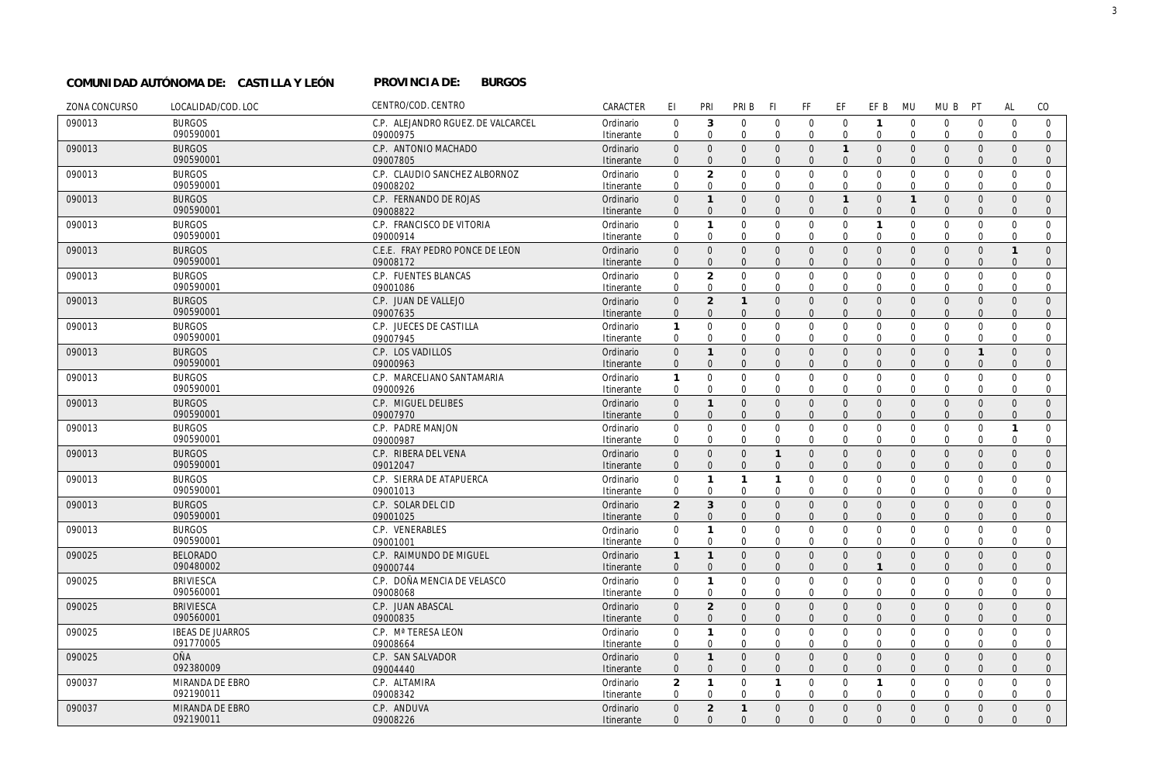#### **PROVINCIA DE: BURGOS COMUNIDAD AUTÓNOMA DE: CASTILLA Y LEÓN PROVINCIA DE:**

| ZONA CONCURSO | LOCALIDAD/COD. LOC         | CENTRO/COD. CENTRO                  | CARACTER                | EI                             | PRI                         | PRI B                       | -FI                     | FF                          | EF                            | EF B                    | <b>MU</b>                  | MU B                        | PT                            | <b>AL</b>            | CO                           |
|---------------|----------------------------|-------------------------------------|-------------------------|--------------------------------|-----------------------------|-----------------------------|-------------------------|-----------------------------|-------------------------------|-------------------------|----------------------------|-----------------------------|-------------------------------|----------------------|------------------------------|
| 090013        | <b>BURGOS</b>              | C.P. ALEJANDRO RGUEZ. DE VALCARCEL  | Ordinario               | $\Omega$                       | $\mathbf{3}$                | $\Omega$                    | $\Omega$                | $\mathbf 0$                 | $\mathbf 0$                   | $\mathbf{1}$            | $\overline{0}$             | $\mathbf{0}$                | $\overline{0}$                | $\Omega$             | $\mathbf 0$                  |
|               | 090590001                  | 09000975                            | Itinerante              | $\Omega$                       | $\Omega$                    | $\mathbf 0$                 | $\Omega$                | $\mathbf{0}$                | $\mathbf 0$                   | $\mathbf 0$             | $\Omega$                   | $\mathbf 0$                 | $\mathbf 0$                   | $\Omega$             | $\mathbf{0}$                 |
| 090013        | <b>BURGOS</b>              | C.P. ANTONIO MACHADO                | Ordinario               | $\Omega$                       | $\Omega$                    | $\Omega$                    | $\Omega$                | $\mathbf{0}$                | $\overline{1}$                | $\overline{0}$          | $\Omega$                   | $\mathbf{0}$                | $\Omega$                      | $\Omega$             | $\Omega$                     |
|               | 090590001                  | 09007805                            | Itinerante              | $\Omega$                       | $\Omega$                    | $\Omega$                    | $\Omega$                | $\overline{0}$              | $\overline{0}$                | $\Omega$                | $\Omega$                   | $\mathbf{0}$                | $\overline{0}$                | $\Omega$             | $\mathbf{0}$                 |
| 090013        | <b>BURGOS</b>              | C.P. CLAUDIO SANCHEZ ALBORNOZ       | Ordinario               | $\mathsf{O}\xspace$            | $\overline{2}$              | $\mathbf 0$                 | $\Omega$                | $\mathbf 0$                 | $\overline{0}$                | $\mathbf 0$             | $\Omega$                   | $\mathbf{0}$                | $\mathbf 0$                   | $\mathbf 0$          | $\mathbf 0$                  |
|               | 090590001                  | 09008202                            | Itinerante              | $\Omega$                       | $\Omega$                    | $\Omega$                    | $\Omega$                | $\Omega$                    | $\Omega$                      | $\Omega$                | $\Omega$                   | $\Omega$                    | $\Omega$                      | $\Omega$             | $\mathbf 0$                  |
| 090013        | <b>BURGOS</b>              | C.P. FERNANDO DE ROJAS              | Ordinario               | $\mathsf{O}\xspace$            | $\mathbf{1}$                | $\mathbf{0}$                | $\mathbf{0}$            | $\mathbf{0}$                | $\mathbf{1}$                  | $\mathbf{0}$            | $\mathbf{1}$               | $\mathbf{0}$                | $\overline{0}$                | $\Omega$             | $\mathbf{0}$                 |
|               | 090590001                  | 09008822                            | Itinerante              | $\Omega$                       | $\overline{0}$              | $\Omega$                    | $\Omega$                | $\overline{0}$              | $\mathbf 0$                   | $\mathbf{0}$            | $\Omega$                   | $\mathbf{0}$                | $\mathbf{0}$                  | $\Omega$             | $\mathbf 0$                  |
| 090013        | <b>BURGOS</b>              | C.P. FRANCISCO DE VITORIA           | Ordinario               | 0                              | $\mathbf{1}$                | $\mathbf{0}$                | $\Omega$                | $\mathbf 0$                 | $\mathbf 0$                   | $\mathbf{1}$            | $\mathbf 0$                | $\mathbf 0$                 | $\mathbf 0$                   | $\mathbf{0}$         | $\mathbf 0$                  |
|               | 090590001                  | 09000914                            | Itinerante              | $\mathbf 0$                    | $\mathbf 0$                 | $\mathbf 0$                 | $\Omega$                | $\mathbf 0$                 | $\mathbf 0$                   | $\mathbf 0$             | $\Omega$                   | $\mathbf 0$                 | $\mathbf 0$                   | $\Omega$             | $\mathbf{0}$                 |
| 090013        | <b>BURGOS</b>              | C.E.E. FRAY PEDRO PONCE DE LEON     | Ordinario               | $\mathbf{0}$                   | $\Omega$                    | $\mathbf{0}$                | $\Omega$                | $\mathbf{0}$                | $\overline{0}$                | $\mathbf{0}$            | $\Omega$                   | $\mathbf{0}$                | $\overline{0}$                | $\mathbf{1}$         | $\overline{0}$               |
|               | 090590001                  | 09008172                            | Itinerante              | $\mathbf{0}$                   | $\Omega$                    | $\mathbf{0}$                | $\Omega$                | $\mathbf{0}$                | $\overline{0}$                | $\mathbf{0}$            | $\Omega$                   | $\mathbf{0}$                | $\Omega$                      | $\mathbf{0}$         | $\mathbf{0}$                 |
| 090013        | <b>BURGOS</b><br>090590001 | C.P. FUENTES BLANCAS                | Ordinario               | $\mathbf 0$                    | 2                           | $\Omega$                    | $\Omega$                | $\mathbf 0$                 | $\Omega$                      | $\mathbf 0$             | $\Omega$<br>$\Omega$       | $\mathbf{0}$                | $\Omega$                      | $\Omega$             | $\Omega$                     |
|               |                            | 09001086                            | Itinerante              | $\mathbf 0$                    | $\mathbf 0$                 | $\mathbf 0$                 | $\mathbf 0$             | $\mathbf 0$                 | $\mathbf 0$                   | $\Omega$                |                            | $\mathbf{0}$                | $\mathbf 0$                   | $\Omega$             | $\overline{0}$               |
| 090013        | <b>BURGOS</b><br>090590001 | C.P. JUAN DE VALLEJO                | Ordinario               | $\mathsf{O}\xspace$            | $\overline{2}$              | $\mathbf{1}$                | $\Omega$                | $\mathbf 0$                 | $\overline{0}$                | $\mathbf 0$             | $\Omega$<br>$\Omega$       | $\mathbf 0$                 | $\mathbf{0}$                  | $\Omega$             | $\mathbf{0}$                 |
|               |                            | 09007635                            | Itinerante              | $\mathbf{0}$                   | $\mathbf{0}$                | $\mathbf{0}$                | $\mathbf{0}$            | $\mathbf{0}$                | $\overline{0}$                | $\mathbf{0}$            |                            | $\mathbf{0}$                | $\mathbf{0}$                  | $\Omega$             | $\mathbf 0$                  |
| 090013        | <b>BURGOS</b><br>090590001 | C.P. JUECES DE CASTILLA<br>09007945 | Ordinario               | 1<br>$\mathbf 0$               | $\mathbf{0}$<br>$\mathbf 0$ | $\mathbf{0}$<br>$\mathbf 0$ | $\Omega$<br>$\mathbf 0$ | $\mathbf 0$<br>$\mathbf 0$  | $\overline{0}$<br>$\mathbf 0$ | $\mathbf 0$<br>$\Omega$ | $\overline{0}$<br>$\Omega$ | $\mathbf 0$<br>$\mathbf{0}$ | $\overline{0}$<br>$\mathbf 0$ | $\Omega$<br>$\Omega$ | $\mathbf 0$<br>$\mathbf 0$   |
|               |                            |                                     | Itinerante              |                                |                             |                             |                         |                             |                               |                         |                            |                             |                               |                      |                              |
| 090013        | <b>BURGOS</b><br>090590001 | C.P. LOS VADILLOS<br>09000963       | Ordinario<br>Itinerante | $\overline{0}$<br>$\mathbf{0}$ | $\mathbf{1}$<br>$\Omega$    | $\Omega$<br>$\Omega$        | $\Omega$<br>$\Omega$    | $\mathbf 0$<br>$\mathbf{0}$ | $\mathbf 0$<br>$\Omega$       | $\mathbf 0$<br>$\Omega$ | $\overline{0}$<br>$\Omega$ | $\mathbf 0$<br>$\mathbf{0}$ | $\overline{1}$<br>$\Omega$    | $\Omega$<br>$\Omega$ | $\mathbf{0}$<br>$\mathbf{0}$ |
| 090013        | <b>BURGOS</b>              | C.P. MARCELIANO SANTAMARIA          | Ordinario               | 1                              | $\Omega$                    | $\mathbf 0$                 | $\Omega$                | $\mathbf 0$                 | $\overline{0}$                | $\mathbf 0$             | $\overline{0}$             | $\mathbf 0$                 | $\overline{0}$                | $\Omega$             | $\mathbf 0$                  |
|               | 090590001                  | 09000926                            | Itinerante              | $\mathbf 0$                    | $\mathbf 0$                 | $\Omega$                    | $\Omega$                | $\mathbf 0$                 | $\mathbf 0$                   | $\Omega$                | $\Omega$                   | $\mathbf{0}$                | $\mathbf 0$                   | $\Omega$             | $\mathbf 0$                  |
| 090013        | <b>BURGOS</b>              | C.P. MIGUEL DELIBES                 | Ordinario               | $\mathsf{O}\xspace$            | $\mathbf{1}$                | $\mathbf{0}$                | $\Omega$                | $\mathbf 0$                 | $\mathbf 0$                   | $\mathbf 0$             | $\overline{0}$             | $\mathbf 0$                 | $\overline{0}$                | $\mathbf{0}$         | $\mathbf{0}$                 |
|               | 090590001                  | 09007970                            | Itinerante              | $\Omega$                       | $\Omega$                    | $\Omega$                    | $\Omega$                | $\Omega$                    | $\Omega$                      | $\Omega$                | $\Omega$                   | $\Omega$                    | $\Omega$                      | $\Omega$             | $\mathbf{0}$                 |
| 090013        | <b>BURGOS</b>              | C.P. PADRE MANJON                   | Ordinario               | $\mathbf 0$                    | $\Omega$                    | $\Omega$                    | $\Omega$                | $\mathbf 0$                 | $\overline{0}$                | $\mathbf 0$             | $\mathbf 0$                | $\mathbf 0$                 | $\overline{0}$                | $\mathbf{1}$         | $\mathbf 0$                  |
|               | 090590001                  | 09000987                            | Itinerante              | $\mathbf 0$                    | $\Omega$                    | $\Omega$                    | $\mathbf 0$             | $\mathbf 0$                 | $\mathbf 0$                   | $\mathbf 0$             | $\Omega$                   | $\mathbf{0}$                | $\mathbf 0$                   | $\mathbf 0$          | $\mathbf 0$                  |
| 090013        | <b>BURGOS</b>              | C.P. RIBERA DEL VENA                | Ordinario               | $\Omega$                       | $\Omega$                    | $\Omega$                    | $\mathbf{1}$            | $\mathbf{0}$                | $\overline{0}$                | $\mathbf{0}$            | $\Omega$                   | $\mathbf{0}$                | $\Omega$                      | $\Omega$             | $\Omega$                     |
|               | 090590001                  | 09012047                            | Itinerante              | $\mathbf{0}$                   | $\Omega$                    | $\Omega$                    | $\Omega$                | $\Omega$                    | $\Omega$                      | $\Omega$                | $\Omega$                   | $\mathbf{0}$                | $\Omega$                      | $\Omega$             | $\mathbf{0}$                 |
| 090013        | <b>BURGOS</b>              | C.P. SIERRA DE ATAPUERCA            | Ordinario               | $\mathbf 0$                    | $\mathbf{1}$                | $\mathbf{1}$                | $\overline{1}$          | $\mathbf 0$                 | $\overline{0}$                | $\mathbf 0$             | $\Omega$                   | $\mathbf 0$                 | $\mathbf 0$                   | $\Omega$             | $\mathbf 0$                  |
|               | 090590001                  | 09001013                            | Itinerante              | $\mathbf 0$                    | $\mathbf 0$                 | $\mathbf 0$                 | $\mathbf 0$             | $\mathbf 0$                 | $\mathbf 0$                   | $\mathbf 0$             | $\mathbf 0$                | $\mathbf 0$                 | $\overline{0}$                | $\mathbf 0$          | $\mathbf 0$                  |
| 090013        | <b>BURGOS</b>              | C.P. SOLAR DEL CID                  | Ordinario               | $\overline{2}$                 | 3                           | $\mathbf{0}$                | $\mathbf{0}$            | $\mathbf{0}$                | $\overline{0}$                | $\mathbf{0}$            | $\Omega$                   | $\mathbf{0}$                | $\mathbf{0}$                  | $\Omega$             | $\mathbf{0}$                 |
|               | 090590001                  | 09001025                            | Itinerante              | $\mathbf{0}$                   | $\Omega$                    | $\Omega$                    | $\Omega$                | $\mathbf{0}$                | $\overline{0}$                | $\mathbf{0}$            | $\Omega$                   | $\mathbf{0}$                | $\overline{0}$                | $\Omega$             | $\mathbf{0}$                 |
| 090013        | <b>BURGOS</b>              | C.P. VENERABLES                     | Ordinario               | $\boldsymbol{0}$               | $\mathbf{1}$                | $\mathbf{0}$                | $\mathbf 0$             | $\mathbf 0$                 | $\mathbf 0$                   | $\mathsf 0$             | $\mathbf 0$                | $\mathbf 0$                 | $\mathbf 0$                   | $\mathbf{0}$         | $\mathbf 0$                  |
|               | 090590001                  | 09001001                            | Itinerante              | $\mathbf 0$                    | $\mathbf 0$                 | $\mathbf 0$                 | 0                       | 0                           | $\mathbf 0$                   | 0                       | $\Omega$                   | $\mathbf 0$                 | 0                             | 0                    | $\mathbf 0$                  |
| 090025        | <b>BELORADO</b>            | C.P. RAIMUNDO DE MIGUEL             | Ordinario               | $\mathbf{1}$                   | $\mathbf{1}$                | $\mathbf{0}$                | $\overline{0}$          | $\mathbf{0}$                | $\overline{0}$                | $\mathbf{0}$            | $\Omega$                   | $\mathbf{0}$                | $\mathbf{0}$                  | $\Omega$             | $\mathbf{0}$                 |
|               | 090480002                  | 09000744                            | Itinerante              | $\mathbf{0}$                   | $\Omega$                    | $\mathbf{0}$                | $\Omega$                | $\mathbf 0$                 | $\overline{0}$                | $\mathbf{1}$            | $\Omega$                   | $\mathbf{0}$                | $\overline{0}$                | $\mathbf{0}$         | $\mathbf{0}$                 |
| 090025        | <b>BRIVIESCA</b>           | C.P. DOÑA MENCIA DE VELASCO         | Ordinario               | $\mathbf 0$                    | $\mathbf{1}$                | $\mathbf 0$                 | $\mathbf 0$             | $\mathbf{0}$                | $\mathbf 0$                   | $\mathbf 0$             | $\mathbf 0$                | $\mathbf 0$                 | $\mathbf 0$                   | $\Omega$             | $\mathbf 0$                  |
|               | 090560001                  | 09008068                            | Itinerante              | $\mathbf 0$                    | $\mathbf 0$                 | $\mathbf 0$                 | $\mathbf 0$             | $\mathbf 0$                 | $\mathbf 0$                   | $\mathbf 0$             | $\Omega$                   | $\mathbf 0$                 | $\mathbf 0$                   | $\Omega$             | 0                            |
| 090025        | <b>BRIVIESCA</b>           | C.P. JUAN ABASCAL                   | Ordinario               | $\mathbf{0}$                   | $\overline{2}$              | $\mathbf{0}$                | $\overline{0}$          | $\mathbf{0}$                | $\overline{0}$                | $\mathbf{0}$            | $\Omega$                   | $\mathbf{0}$                | $\mathbf{0}$                  | $\Omega$             | $\mathbf{0}$                 |
|               | 090560001                  | 09000835                            | Itinerante              | $\mathbf{0}$                   | $\mathbf{0}$                | $\mathbf{0}$                | $\Omega$                | $\mathbf{0}$                | $\overline{0}$                | $\mathbf{0}$            | $\Omega$                   | $\mathbf{0}$                | $\Omega$                      | $\Omega$             | $\mathbf{0}$                 |
| 090025        | <b>IBEAS DE JUARROS</b>    | C.P. Mª TERESA LEON                 | Ordinario               | $\mathbf 0$                    | $\mathbf{1}$                | $\mathbf 0$                 | $\mathbf 0$             | $\mathbf 0$                 | $\mathbf 0$                   | $\mathbf 0$             | $\mathbf 0$                | $\mathbf 0$                 | $\mathbf 0$                   | $\mathbf 0$          | $\mathbf 0$                  |
|               | 091770005                  | 09008664                            | Itinerante              | $\mathbf 0$                    | $\mathbf 0$                 | $\Omega$                    | $\Omega$                | $\mathbf 0$                 | $\overline{0}$                | $\Omega$                | $\Omega$                   | $\Omega$                    | $\overline{0}$                | $\Omega$             | $\mathbf 0$                  |
| 090025        | <b>OÑA</b>                 | C.P. SAN SALVADOR                   | Ordinario               | $\Omega$                       | $\mathbf{1}$                | $\mathbf{0}$                | $\Omega$                | $\overline{0}$              | $\overline{0}$                | $\mathbf 0$             | $\Omega$                   | $\overline{0}$              | $\overline{0}$                | $\Omega$             | $\mathbf{0}$                 |
|               | 092380009                  | 09004440                            | Itinerante              | $\Omega$                       | $\Omega$                    | $\mathbf{0}$                | $\Omega$                | $\overline{0}$              | $\Omega$                      | $\mathbf{0}$            | $\Omega$                   | $\mathbf{0}$                | $\Omega$                      | $\Omega$             | $\mathbf{0}$                 |
| 090037        | MIRANDA DE EBRO            | C.P. ALTAMIRA                       | Ordinario               | $\overline{\mathcal{L}}$       | $\mathbf{1}$                | $\Omega$                    | $\mathbf{1}$            | $\mathbf 0$                 | $\mathbf 0$                   | $\mathbf{1}$            | $\Omega$                   | $\overline{0}$              | $\Omega$                      | $\Omega$             | $\mathbf 0$                  |
|               | 092190011                  | 09008342                            | Itinerante              | $\mathbf 0$                    | $\Omega$                    | $\Omega$                    | $\Omega$                | $\mathbf 0$                 | $\Omega$                      | $\Omega$                | $\Omega$                   | $\mathbf 0$                 | $\Omega$                      | $\Omega$             | $\mathbf 0$                  |
| 090037        | MIRANDA DE EBRO            | C.P. ANDUVA                         | Ordinario               | $\mathbf{0}$                   | 2                           | $\mathbf{1}$                | $\mathbf{0}$            | $\mathbf{0}$                | $\overline{0}$                | $\mathbf{0}$            | $\Omega$                   | $\mathbf{0}$                | $\mathbf{0}$                  | $\Omega$             | $\mathbf{0}$                 |
|               | 092190011                  | 09008226                            | Itinerante              | $\Omega$                       | $\Omega$                    | $\Omega$                    | $\Omega$                | $\Omega$                    | $\Omega$                      | $\Omega$                | $\Omega$                   | $\Omega$                    | $\Omega$                      | $\Omega$             | $\Omega$                     |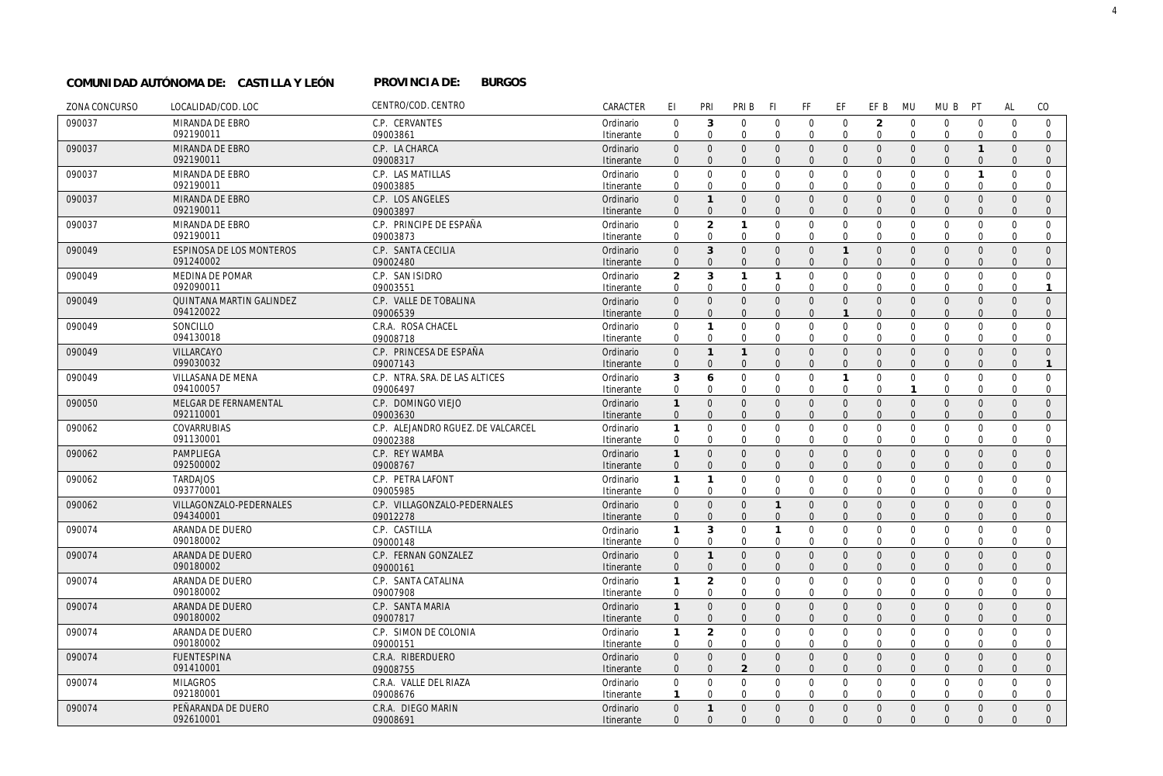#### **PROVINCIA DE: BURGOS COMUNIDAD AUTÓNOMA DE: CASTILLA Y LEÓN PROVINCIA DE:**

| ZONA CONCURSO | LOCALIDAD/COD. LOC                    | CENTRO/COD. CENTRO                 | CARACTER                | EI.                        | PRI                        | PRI B                    | <b>FI</b>            | FF                       | EF                             | EF B                             | <b>MU</b>               | MU B                        | PT                            | AL                   | CO                           |
|---------------|---------------------------------------|------------------------------------|-------------------------|----------------------------|----------------------------|--------------------------|----------------------|--------------------------|--------------------------------|----------------------------------|-------------------------|-----------------------------|-------------------------------|----------------------|------------------------------|
| 090037        | MIRANDA DE EBRO                       | C.P. CERVANTES                     | Ordinario               | $\mathbf 0$                | 3                          | $\mathbf 0$              | $\mathbf{0}$         | $\mathbf 0$              | $\mathbf 0$                    | $\overline{2}$                   | $\mathbf 0$             | $\mathbf{0}$                | $\mathbf{0}$                  | $\mathbf 0$          | $\mathbf{0}$                 |
|               | 092190011                             | 09003861                           | Itinerante              | $\mathbf{0}$               | $\mathbf 0$                | $\mathbf 0$              | $\Omega$             | $\mathbf 0$              | $\mathbf 0$                    | $\mathbf 0$                      | $\mathbf 0$             | $\mathbf 0$                 | $\mathbf{0}$                  | $\mathbf 0$          | $\overline{0}$               |
| 090037        | MIRANDA DE EBRO                       | C.P. LA CHARCA                     | Ordinario               | $\mathbf{0}$               | $\Omega$                   | $\Omega$                 | $\Omega$             | $\Omega$                 | $\mathbf{0}$                   | $\overline{0}$                   | $\overline{0}$          | $\overline{0}$              | $\mathbf{1}$                  | $\Omega$             | $\Omega$                     |
|               | 092190011                             | 09008317                           | Itinerante              | $\Omega$                   | $\Omega$                   | $\Omega$                 | $\Omega$             | $\mathbf{0}$             | $\overline{0}$                 | $\overline{0}$                   | $\Omega$                | $\mathbf{0}$                | $\mathbf{0}$                  | $\Omega$             | $\mathbf{0}$                 |
| 090037        | MIRANDA DE EBRO                       | C.P. LAS MATILLAS                  | Ordinario               | $\mathbf 0$                | $\mathbf 0$                | $\mathbf 0$              | $\Omega$             | $\mathbf 0$              | $\mathbf 0$                    | $\mathbf 0$                      | $\mathbf 0$             | $\mathbf 0$                 | $\mathbf{1}$                  | $\overline{0}$       | $\mathbf 0$                  |
|               | 092190011                             | 09003885                           | Itinerante              | $\Omega$                   | $\Omega$                   | $\Omega$                 | $\Omega$             | $\mathbf 0$              | $\mathbf 0$                    | $\mathbf 0$                      | $\Omega$                | $\mathbf 0$                 | $\Omega$                      | $\Omega$             | $\mathbf 0$                  |
| 090037        | MIRANDA DE EBRO                       | C.P. LOS ANGELES                   | Ordinario               | $\mathbf{0}$               | $\mathbf{1}$               | $\Omega$                 | $\Omega$             | $\Omega$                 | $\mathbf{0}$                   | $\overline{0}$                   | $\overline{0}$          | $\mathbf{0}$                | $\overline{0}$                | $\Omega$             | $\overline{0}$               |
|               | 092190011                             | 09003897                           | Itinerante              | $\Omega$                   | $\Omega$                   | $\Omega$                 | $\Omega$             | $\Omega$                 | $\mathbf{0}$                   | $\overline{0}$                   | $\Omega$                | $\mathbf{0}$                | $\mathbf{0}$                  | $\mathbf{0}$         | $\mathbf{0}$                 |
| 090037        | MIRANDA DE EBRO<br>092190011          | C.P. PRINCIPE DE ESPAÑA            | Ordinario               | $\mathbf 0$<br>$\Omega$    | $\overline{2}$<br>$\Omega$ | $\mathbf{1}$<br>$\Omega$ | $\Omega$<br>$\Omega$ | $\Omega$<br>$\mathbf 0$  | $\mathbf 0$<br>$\mathbf 0$     | $\mathbf 0$<br>$\mathbf 0$       | $\Omega$<br>$\mathbf 0$ | $\mathbf 0$<br>$\mathbf{0}$ | $\mathbf 0$<br>$\overline{0}$ | $\Omega$<br>$\Omega$ | $\Omega$<br>$\mathbf 0$      |
|               |                                       | 09003873                           | Itinerante              |                            | 3                          | $\Omega$                 | $\Omega$             |                          |                                |                                  |                         |                             |                               |                      |                              |
| 090049        | ESPINOSA DE LOS MONTEROS<br>091240002 | C.P. SANTA CECILIA<br>09002480     | Ordinario<br>Itinerante | $\overline{0}$<br>$\Omega$ | $\Omega$                   | $\Omega$                 | $\Omega$             | $\mathbf{0}$<br>$\Omega$ | $\mathbf{1}$<br>$\overline{0}$ | $\overline{0}$<br>$\overline{0}$ | $\mathbf 0$<br>$\Omega$ | $\mathbf 0$<br>$\mathbf{0}$ | $\overline{0}$<br>$\Omega$    | $\Omega$<br>$\Omega$ | $\mathbf{0}$<br>$\mathbf{0}$ |
| 090049        | MEDINA DE POMAR                       | C.P. SAN ISIDRO                    | Ordinario               | $\overline{2}$             | 3                          | $\mathbf{1}$             | $\mathbf{1}$         | $\mathbf 0$              | $\mathbf 0$                    | $\overline{0}$                   | $\mathbf 0$             | $\mathbf 0$                 | $\mathbf 0$                   | $\Omega$             | $\mathbf 0$                  |
|               | 092090011                             | 09003551                           | Itinerante              | $\Omega$                   | $\Omega$                   | $\Omega$                 | $\Omega$             | $\mathbf 0$              | $\mathbf 0$                    | $\mathbf 0$                      | $\Omega$                | $\mathbf 0$                 | $\mathbf 0$                   | $\Omega$             | -1                           |
| 090049        | QUINTANA MARTIN GALINDEZ              | C.P. VALLE DE TOBALINA             | Ordinario               | $\mathbf{0}$               | $\mathbf{0}$               | $\mathbf{0}$             | $\Omega$             | $\mathbf{0}$             | $\mathbf{0}$                   | $\mathbf{0}$                     | $\overline{0}$          | $\overline{0}$              | $\Omega$                      | $\Omega$             | $\Omega$                     |
|               | 094120022                             | 09006539                           | Itinerante              | $\Omega$                   | $\Omega$                   | $\mathbf{0}$             | $\Omega$             | $\mathbf{0}$             | $\mathbf{1}$                   | $\mathbf{0}$                     | $\Omega$                | $\mathbf{0}$                | $\mathbf{0}$                  | $\Omega$             | $\mathbf{0}$                 |
| 090049        | SONCILLO                              | C.R.A. ROSA CHACEL                 | Ordinario               | $\mathbf 0$                | $\mathbf{1}$               | 0                        | $\Omega$             | $\mathbf 0$              | $\mathbf 0$                    | $\mathbf 0$                      | $\mathbf 0$             | $\mathbf 0$                 | $\overline{0}$                | $\Omega$             | $\mathbf 0$                  |
|               | 094130018                             | 09008718                           | Itinerante              | $\Omega$                   | $\mathbf 0$                | $\mathbf 0$              | $\Omega$             | $\mathbf 0$              | $\mathbf 0$                    | $\Omega$                         | $\Omega$                | $\mathbf 0$                 | $\mathbf 0$                   | $\Omega$             | $\mathbf 0$                  |
| 090049        | VILLARCAYO                            | C.P. PRINCESA DE ESPAÑA            | Ordinario               | $\overline{0}$             | $\mathbf{1}$               | $\mathbf{1}$             | $\Omega$             | $\mathbf{0}$             | $\overline{0}$                 | $\overline{0}$                   | $\overline{0}$          | $\mathbf 0$                 | $\overline{0}$                | $\Omega$             | $\mathbf{0}$                 |
|               | 099030032                             | 09007143                           | Itinerante              | $\mathbf{0}$               | $\mathbf{0}$               | $\mathbf{0}$             | $\Omega$             | $\mathbf{0}$             | $\overline{0}$                 | $\mathbf{0}$                     | $\Omega$                | $\mathbf{0}$                | $\mathbf{0}$                  | $\mathbf{0}$         | $\mathbf{1}$                 |
| 090049        | VILLASANA DE MENA                     | C.P. NTRA. SRA. DE LAS ALTICES     | Ordinario               | 3                          | 6                          | $\Omega$                 | $\Omega$             | $\mathbf 0$              | $\mathbf{1}$                   | $\mathbf 0$                      | $\mathbf 0$             | $\mathbf{0}$                | $\overline{0}$                | $\Omega$             | $\mathbf 0$                  |
|               | 094100057                             | 09006497                           | Itinerante              | $\mathbf{0}$               | $\mathbf 0$                | $\mathbf 0$              | $\Omega$             | $\mathbf 0$              | $\mathbf 0$                    | $\mathbf 0$                      | $\mathbf{1}$            | $\mathbf{0}$                | $\mathbf 0$                   | $\Omega$             | $\mathbf 0$                  |
| 090050        | MELGAR DE FERNAMENTAL                 | C.P. DOMINGO VIEJO                 | Ordinario               | $\mathbf{1}$               | $\mathbf 0$                | $\mathsf{O}\xspace$      | $\Omega$             | $\mathbf{0}$             | $\mathbf 0$                    | $\mathbf 0$                      | $\mathbf 0$             | $\mathbf 0$                 | $\overline{0}$                | $\mathbf{0}$         | $\mathbf{0}$                 |
|               | 092110001                             | 09003630                           | Itinerante              | $\Omega$                   | $\Omega$                   | $\Omega$                 | $\Omega$             | $\mathbf{0}$             | $\Omega$                       | $\Omega$                         | $\Omega$                | $\mathbf{0}$                | $\Omega$                      | $\Omega$             | $\mathbf{0}$                 |
| 090062        | COVARRUBIAS                           | C.P. ALEJANDRO RGUEZ. DE VALCARCEL | Ordinario               | $\mathbf{1}$               | $\mathbf 0$                | $\mathbf 0$              | $\Omega$             | $\mathbf 0$              | $\mathbf 0$                    | $\mathbf 0$                      | $\mathbf 0$             | $\mathbf 0$                 | $\mathbf 0$                   | $\Omega$             | $\mathbf 0$                  |
|               | 091130001                             | 09002388                           | Itinerante              | $\mathbf{0}$               | $\Omega$                   | $\mathbf 0$              | $\Omega$             | $\mathbf 0$              | $\mathbf 0$                    | $\mathbf 0$                      | $\Omega$                | $\mathbf 0$                 | $\mathbf 0$                   | $\Omega$             | $\mathbf 0$                  |
| 090062        | PAMPLIFGA                             | C.P. REY WAMBA                     | Ordinario               | $\mathbf{1}$               | $\Omega$                   | $\Omega$                 | $\Omega$             | $\mathbf{0}$             | $\overline{0}$                 | $\mathbf{0}$                     | $\overline{0}$          | $\mathbf{0}$                | $\overline{0}$                | $\Omega$             | $\Omega$                     |
|               | 092500002                             | 09008767                           | Itinerante              | $\mathbf{0}$               | $\Omega$                   | $\Omega$                 | $\Omega$             | $\mathbf{0}$             | $\overline{0}$                 | $\mathbf{0}$                     | $\Omega$                | $\mathbf{0}$                | $\Omega$                      | $\Omega$             | $\mathbf{0}$                 |
| 090062        | <b>TARDAJOS</b><br>093770001          | C.P. PETRA LAFONT<br>09005985      | Ordinario<br>Itinerante | $\mathbf{1}$<br>$\Omega$   | $\mathbf{1}$<br>$\Omega$   | $\Omega$<br>$\Omega$     | $\Omega$<br>$\Omega$ | $\mathbf 0$<br>$\Omega$  | $\mathbf 0$<br>$\mathbf 0$     | $\mathbf 0$<br>$\Omega$          | $\mathbf 0$<br>$\Omega$ | $\mathbf 0$<br>$\Omega$     | $\mathbf{0}$<br>$\mathbf 0$   | $\Omega$<br>$\Omega$ | $\mathbf 0$<br>$\mathbf 0$   |
| 090062        | VILLAGONZALO-PEDERNALES               | C.P. VILLAGONZALO-PEDERNALES       | Ordinario               | $\Omega$                   | $\overline{0}$             | $\mathbf{0}$             |                      | $\overline{0}$           | $\mathbf{0}$                   | $\overline{0}$                   | $\overline{0}$          | $\mathbf 0$                 | $\mathbf{0}$                  | $\mathbf{0}$         | $\mathbf{0}$                 |
|               | 094340001                             | 09012278                           | Itinerante              | $\mathbf{0}$               | $\Omega$                   | $\mathbf{0}$             | $\Omega$             | $\mathbf{0}$             | $\overline{0}$                 | $\mathbf{0}$                     | $\overline{0}$          | $\mathbf{0}$                | $\overline{0}$                | $\mathbf{0}$         | $\mathbf{0}$                 |
| 090074        | ARANDA DE DUERO                       | C.P. CASTILLA                      | Ordinario               | $\mathbf{1}$               | 3                          | $\mathbf 0$              |                      | $\mathbf 0$              | $\mathbf 0$                    | $\mathbf 0$                      | $\mathbf 0$             | $\mathbf 0$                 | $\mathbf 0$                   | $\Omega$             | $\mathbf 0$                  |
|               | 090180002                             | 09000148                           | Itinerante              | $\mathbf{0}$               | $\Omega$                   | $\mathbf 0$              | $\Omega$             | $\mathbf 0$              | $\mathbf 0$                    | $\mathbf 0$                      | $\mathbf 0$             | $\mathbf 0$                 | $\mathbf 0$                   | $\Omega$             | $\mathbf 0$                  |
| 090074        | ARANDA DE DUERO                       | C.P. FERNAN GONZALEZ               | Ordinario               | $\mathbf 0$                | $\mathbf{1}$               | $\mathbf{0}$             | $\Omega$             | $\mathbf 0$              | $\mathbf 0$                    | $\mathbf 0$                      | $\mathbf 0$             | $\mathbf 0$                 | $\mathbf{0}$                  | $\Omega$             | $\mathbf{0}$                 |
|               | 090180002                             | 09000161                           | Itinerante              | $\Omega$                   | $\Omega$                   | $\Omega$                 | $\Omega$             | $\mathbf{0}$             | $\mathbf{0}$                   | $\mathbf{0}$                     | $\Omega$                | $\mathbf{0}$                | $\mathbf{0}$                  | $\Omega$             | $\mathbf{0}$                 |
| 090074        | ARANDA DE DUERO                       | C.P. SANTA CATALINA                | Ordinario               | $\mathbf{1}$               | $\overline{2}$             | $\mathbf 0$              | $\Omega$             | $\mathbf 0$              | $\mathbf 0$                    | $\mathbf 0$                      | $\overline{0}$          | $\mathbf 0$                 | $\mathbf 0$                   | $\Omega$             | $\mathbf 0$                  |
|               | 090180002                             | 09007908                           | Itinerante              | 0                          | $\mathbf 0$                | $\mathbf 0$              | $\Omega$             | 0                        | 0                              | $\mathbf 0$                      | $\mathbf 0$             | 0                           | $\mathbf 0$                   | 0                    | 0                            |
| 090074        | ARANDA DE DUFRO                       | C.P. SANTA MARIA                   | Ordinario               | $\mathbf{1}$               | $\Omega$                   | $\Omega$                 | $\Omega$             | $\Omega$                 | $\overline{0}$                 | $\overline{0}$                   | $\overline{0}$          | $\mathbf{0}$                | $\mathbf{0}$                  | $\Omega$             | $\Omega$                     |
|               | 090180002                             | 09007817                           | Itinerante              | $\Omega$                   | $\Omega$                   | $\Omega$                 | $\Omega$             | $\Omega$                 | $\overline{0}$                 | $\Omega$                         | $\Omega$                | $\Omega$                    | $\Omega$                      | $\Omega$             | $\Omega$                     |
| 090074        | ARANDA DE DUERO                       | C.P. SIMON DE COLONIA              | Ordinario               | $\mathbf{1}$               | $\overline{2}$             | $\mathbf 0$              | $\mathbf 0$          | $\mathbf 0$              | $\mathbf 0$                    | $\mathbf 0$                      | $\mathbf 0$             | $\mathbf 0$                 | $\mathbf{0}$                  | $\mathbf 0$          | $\mathbf 0$                  |
|               | 090180002                             | 09000151                           | Itinerante              | 0                          | $\mathbf 0$                | $\mathbf 0$              | $\mathbf 0$          | $\mathbf 0$              | $\mathbf 0$                    | $\mathbf 0$                      | $\mathbf 0$             | $\mathbf{0}$                | $\mathbf{0}$                  | $\mathbf 0$          | $\mathbf 0$                  |
| 090074        | <b>FUENTESPINA</b>                    | C.R.A. RIBERDUERO                  | Ordinario               | $\Omega$                   | $\Omega$                   | $\Omega$                 | $\Omega$             | $\mathbf{0}$             | $\mathbf{0}$                   | $\overline{0}$                   | $\overline{0}$          | $\mathbf{0}$                | $\mathbf{0}$                  | $\Omega$             | $\mathbf{0}$                 |
|               | 091410001                             | 09008755                           | Itinerante              | $\Omega$                   | $\Omega$                   | $\overline{2}$           | $\Omega$             | $\mathbf{0}$             | $\Omega$                       | $\Omega$                         | $\Omega$                | $\mathbf{0}$                | $\Omega$                      | $\Omega$             | $\mathbf{0}$                 |
| 090074        | <b>MILAGROS</b>                       | C.R.A. VALLE DEL RIAZA             | Ordinario               | $\mathbf 0$                | $\mathbf 0$                | $\mathbf 0$              | $\Omega$             | $\mathbf 0$              | $\mathbf 0$                    | $\mathbf 0$                      | $\mathbf 0$             | $\mathbf{0}$                | $\overline{0}$                | $\mathbf 0$          | $\mathbf 0$                  |
|               | 092180001                             | 09008676                           | Itinerante              | 1                          | $\Omega$                   | $\Omega$                 | $\Omega$             | $\Omega$                 | $\mathbf 0$                    | $\Omega$                         | $\Omega$                | $\mathbf 0$                 | $\Omega$                      | $\Omega$             | $\mathbf 0$                  |
| 090074        | PEÑARANDA DE DUERO                    | C.R.A. DIEGO MARIN                 | Ordinario               | $\Omega$                   | $\mathbf{1}$               | $\Omega$                 | $\Omega$             | $\overline{0}$           | $\mathbf{0}$                   | $\overline{0}$                   | $\overline{0}$          | $\overline{0}$              | $\mathbf{0}$                  | $\Omega$             | $\mathbf{0}$                 |
|               | 092610001                             | 09008691                           | Itinerante              | $\Omega$                   | $\Omega$                   | $\Omega$                 | $\Omega$             | $\Omega$                 | $\Omega$                       | $\Omega$                         | $\Omega$                | $\Omega$                    | $\Omega$                      | $\Omega$             | $\Omega$                     |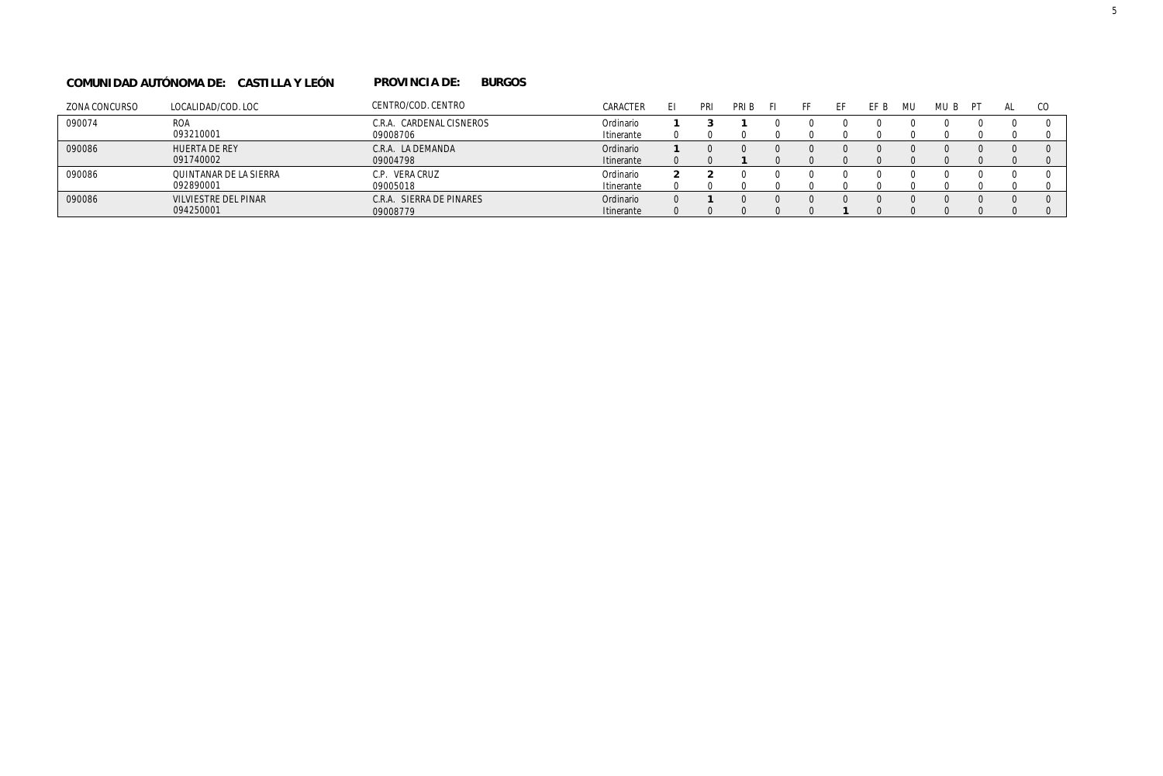#### **PROVINCIA DE: BURGOS COMUNIDAD AUTÓNOMA DE: CASTILLA Y LEÓN PROVINCIA DE:**

| ZONA CONCURSO | LOCALIDAD/COD. LOC     | CENTRO/COD. CENTRO          | CARACTER   | PRI | PRI B |  | FF F | MU. | MU B | ÞТ | CC. |
|---------------|------------------------|-----------------------------|------------|-----|-------|--|------|-----|------|----|-----|
| 090074        | <b>ROA</b>             | CARDENAL CISNEROS<br>C.R.A. | Ordinario  |     |       |  |      |     |      |    |     |
|               | 093210001              | 09008706                    | Itinerante |     |       |  |      |     |      |    |     |
| 090086        | <b>HUERTA DE REY</b>   | C.R.A. LA DEMANDA           | Ordinario  |     |       |  |      |     |      |    |     |
|               | 091740002              | 09004798                    | Itinerante |     |       |  |      |     |      |    |     |
| 090086        | QUINTANAR DE LA SIERRA | C.P. VERA CRUZ              | Ordinario  |     |       |  |      |     |      |    |     |
|               | 092890001              | 09005018                    | Itinerante |     |       |  |      |     |      |    |     |
| 090086        | VILVIESTRE DEL PINAR   | SIERRA DE PINARES<br>C.R.A. | Ordinario  |     |       |  |      |     |      |    |     |
|               | 094250001              | 09008779                    | Itinerante |     |       |  |      |     |      |    |     |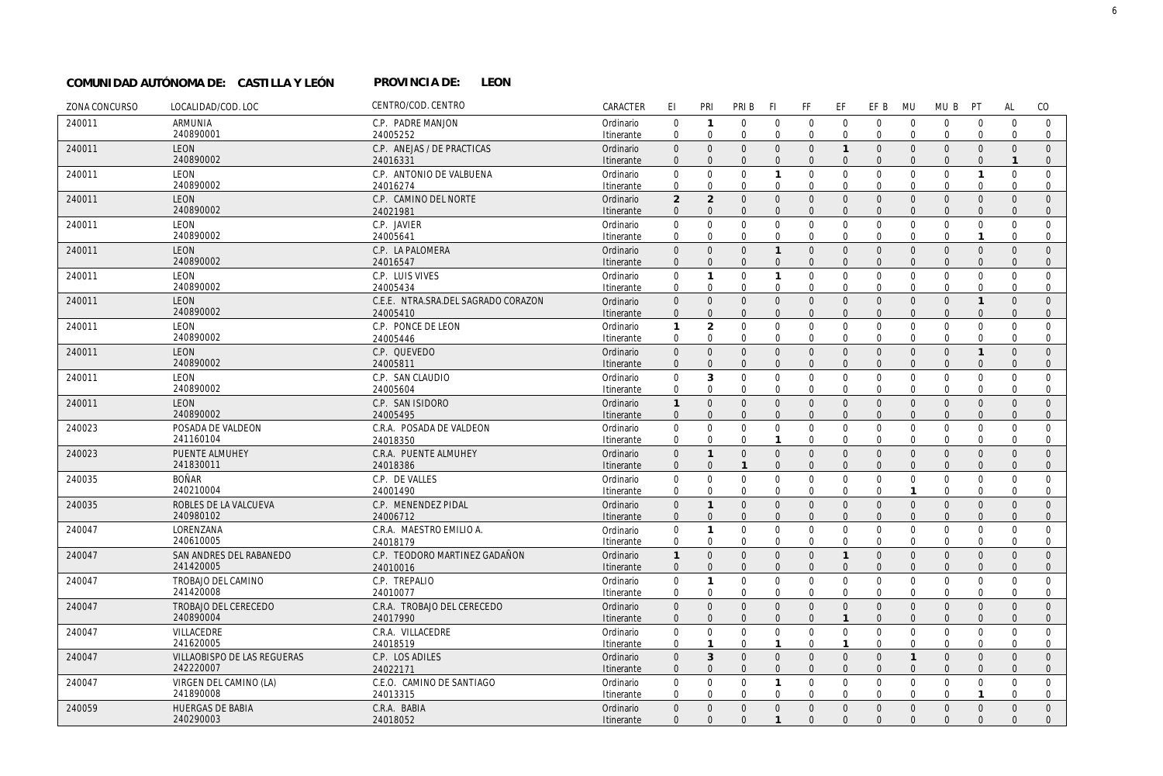#### PROVINCIA DE: LEON **COMUNIDAD AUTÓNOMA DE: CASTILLA Y LEÓN PROVINCIA DE:**

| ZONA CONCURSO | LOCALIDAD/COD. LOC                 | CENTRO/COD. CENTRO                   | CARACTER                | EI                          | PRI                         | PRI B                            | F1                          | FF                             | EF                             | EF B                           | <b>MU</b>                    | MU B                       | PT                          | <b>AL</b>                | CO                         |
|---------------|------------------------------------|--------------------------------------|-------------------------|-----------------------------|-----------------------------|----------------------------------|-----------------------------|--------------------------------|--------------------------------|--------------------------------|------------------------------|----------------------------|-----------------------------|--------------------------|----------------------------|
| 240011        | <b>ARMUNIA</b>                     | C.P. PADRE MANJON                    | Ordinario               | $\mathbf{0}$                | $\mathbf{1}$                | $\mathbf 0$                      | $\mathbf 0$                 | $\mathbf 0$                    | $\mathbf{0}$                   | $\overline{0}$                 | $\overline{0}$               | $\mathbf{0}$               | $\mathbf 0$                 | $\mathbf 0$              | $\mathbf 0$                |
|               | 240890001                          | 24005252                             | Itinerante              | $\mathbf 0$                 | $\mathbf 0$                 | $\mathbf 0$                      | $\mathbf{0}$                | $\mathbf 0$                    | $\mathbf{0}$                   | $\mathbf 0$                    | $\mathbf{0}$                 | $\mathbf 0$                | $\mathbf 0$                 | $\Omega$                 | $\mathbf 0$                |
| 240011        | <b>LEON</b>                        | C.P. ANEJAS / DE PRACTICAS           | Ordinario               | $\Omega$                    | $\mathbf{0}$                | $\mathbf{0}$                     | $\mathbf{0}$                | $\mathbf{0}$                   | $\overline{1}$                 | $\mathbf{0}$                   | $\overline{0}$               | $\mathbf{0}$               | $\mathbf{0}$                | $\Omega$                 | $\Omega$                   |
|               | 240890002                          | 24016331                             | Itinerante              | $\Omega$                    | $\Omega$                    | $\Omega$                         | $\Omega$                    | $\overline{0}$                 | $\Omega$                       | $\Omega$                       | $\Omega$                     | $\mathbf{0}$               | $\Omega$                    | $\mathbf{1}$             | $\mathbf{0}$               |
| 240011        | LEON                               | C.P. ANTONIO DE VALBUENA             | Ordinario               | $\mathbf{0}$                | $\mathbf 0$                 | $\mathbf 0$                      | $\mathbf{1}$                | $\mathbf 0$                    | $\mathbf 0$                    | $\mathbf 0$                    | $\mathbf 0$                  | $\mathbf 0$                | $\overline{1}$              | $\mathbf 0$              | $\mathbf 0$                |
|               | 240890002                          | 24016274                             | Itinerante              | $\mathbf 0$                 | $\Omega$                    | $\Omega$                         | $\Omega$                    | $\mathbf 0$                    | $\Omega$                       | $\mathbf{0}$                   | $\Omega$                     | $\Omega$                   | $\Omega$                    | $\Omega$                 | $\mathbf 0$                |
| 240011        | LEON<br>240890002                  | C.P. CAMINO DEL NORTE                | Ordinario               | $\overline{2}$              | $\overline{2}$<br>$\Omega$  | $\overline{0}$<br>$\overline{0}$ | $\mathbf{0}$<br>$\Omega$    | $\overline{0}$<br>$\mathbf{0}$ | $\mathbf{0}$<br>$\overline{0}$ | $\overline{0}$<br>$\mathbf{0}$ | $\Omega$<br>$\Omega$         | $\mathbf{0}$               | $\mathbf{0}$                | $\Omega$                 | $\mathbf{0}$               |
|               |                                    | 24021981                             | Itinerante              | $\mathbf{0}$                | $\Omega$                    | $\mathbf 0$                      |                             |                                | $\mathbf 0$                    | $\mathbf 0$                    |                              | $\mathbf{0}$<br>$\Omega$   | $\mathbf{0}$                | $\mathbf{0}$<br>$\Omega$ | $\mathbf{0}$<br>$\Omega$   |
| 240011        | LEON<br>240890002                  | C.P. JAVIER<br>24005641              | Ordinario<br>Itinerante | $\mathbf{0}$<br>$\mathbf 0$ | $\mathbf 0$                 | $\mathbf{0}$                     | $\mathbf 0$<br>$\mathbf{0}$ | $\mathbf 0$<br>$\mathbf 0$     | $\overline{0}$                 | $\mathbf 0$                    | $\mathbf{0}$<br>$\mathbf{0}$ | $\mathbf 0$                | $\mathbf{0}$                | $\Omega$                 | $\mathbf 0$                |
| 240011        | LEON                               | C.P. LA PALOMERA                     | Ordinario               | $\mathbf{0}$                | $\mathbf{0}$                | $\mathbf{0}$                     | $\mathbf{1}$                | $\overline{0}$                 | $\overline{0}$                 | $\overline{0}$                 | $\Omega$                     | $\mathbf{0}$               | $\mathbf{0}$                | $\Omega$                 | $\mathbf{0}$               |
|               | 240890002                          | 24016547                             | Itinerante              | $\mathbf{0}$                | $\overline{0}$              | $\overline{0}$                   | $\overline{0}$              | $\overline{0}$                 | $\overline{0}$                 | $\mathbf{0}$                   | $\Omega$                     | $\mathbf 0$                | $\Omega$                    | $\Omega$                 | $\mathbf{0}$               |
| 240011        | LEON                               | C.P. LUIS VIVES                      | Ordinario               | $\mathbf{0}$                | $\mathbf{1}$                | $\mathbf 0$                      | $\mathbf{1}$                | $\mathbf 0$                    | $\mathbf 0$                    | $\mathbf 0$                    | $\mathbf{0}$                 | $\mathbf{0}$               | $\mathbf{0}$                | $\Omega$                 | $\Omega$                   |
|               | 240890002                          | 24005434                             | Itinerante              | $\mathbf 0$                 | $\mathbf 0$                 | $\mathbf{0}$                     | $\mathbf{0}$                | $\mathbf 0$                    | $\mathbf{0}$                   | $\mathbf 0$                    | $\mathbf 0$                  | $\mathbf 0$                | $\mathbf 0$                 | $\Omega$                 | 0                          |
| 240011        | <b>LEON</b>                        | C.E.E. NTRA.SRA.DEL SAGRADO CORAZON  | Ordinario               | $\mathbf 0$                 | $\mathbf{0}$                | $\mathbf{0}$                     | $\mathbf{0}$                | $\mathbf 0$                    | $\mathbf 0$                    | $\mathbf{0}$                   | $\Omega$                     | $\mathbf{0}$               | $\overline{1}$              | $\mathbf{0}$             | $\mathbf{0}$               |
|               | 240890002                          | 24005410                             | Itinerante              | $\Omega$                    | $\Omega$                    | $\Omega$                         | $\Omega$                    | $\Omega$                       | $\Omega$                       | $\Omega$                       | $\Omega$                     | $\Omega$                   | $\Omega$                    | $\Omega$                 | $\mathbf{0}$               |
| 240011        | LEON                               | C.P. PONCE DE LEON                   | Ordinario               | $\mathbf{1}$                | $\overline{2}$              | $\mathbf 0$                      | $\mathbf 0$                 | $\mathbf 0$                    | $\mathbf 0$                    | $\mathbf 0$                    | $\Omega$                     | $\mathbf{0}$               | $\overline{0}$              | $\mathbf 0$              | $\mathbf 0$                |
|               | 240890002                          | 24005446                             | Itinerante              | $\mathbf 0$                 | $\mathbf 0$                 | $\mathbf 0$                      | $\mathbf 0$                 | $\mathbf 0$                    | $\mathbf{0}$                   | $\mathbf{0}$                   | $\mathbf 0$                  | $\mathbf{0}$               | $\mathbf{0}$                | $\mathbf 0$              | $\mathbf 0$                |
| 240011        | LEON                               | C.P. QUEVEDO                         | Ordinario               | $\mathbf{0}$                | $\mathbf{0}$                | $\mathbf{0}$                     | $\mathbf{0}$                | $\mathbf{0}$                   | $\overline{0}$                 | $\overline{0}$                 | $\Omega$                     | $\mathbf{0}$               | $\mathbf{1}$                | $\Omega$                 | $\overline{0}$             |
|               | 240890002                          | 24005811                             | Itinerante              | $\mathbf{0}$                | $\mathbf{0}$                | $\Omega$                         | $\Omega$                    | $\Omega$                       | $\Omega$                       | $\Omega$                       | $\Omega$                     | $\mathbf{0}$               | $\Omega$                    | $\Omega$                 | $\mathbf{0}$               |
| 240011        | LEON                               | C.P. SAN CLAUDIO                     | Ordinario               | $\mathbf{0}$                | 3                           | $\mathbf 0$                      | $\mathbf 0$                 | $\mathbf 0$                    | $\overline{0}$                 | $\mathbf 0$                    | $\overline{0}$               | $\mathbf 0$                | $\overline{0}$              | $\mathbf 0$              | $\mathbf{0}$               |
|               | 240890002                          | 24005604                             | Itinerante              | $\mathbf 0$                 | $\mathbf 0$                 | $\Omega$                         | $\Omega$                    | $\Omega$                       | $\Omega$                       | $\Omega$                       | $\Omega$                     | $\mathbf 0$                | $\Omega$                    | $\Omega$                 | $\mathbf{0}$               |
| 240011        | LEON                               | C.P. SAN ISIDORO                     | Ordinario               | $\mathbf{1}$                | $\mathbf{0}$                | $\mathbf{0}$                     | $\mathbf{0}$                | $\mathbf{0}$                   | $\overline{0}$                 | $\overline{0}$                 | $\Omega$                     | $\mathbf{0}$               | $\mathbf{0}$                | $\Omega$                 | $\overline{0}$             |
|               | 240890002                          | 24005495                             | Itinerante              | $\mathbf{0}$                | $\Omega$                    | $\Omega$                         | $\Omega$                    | $\mathbf{0}$                   | $\Omega$                       | $\Omega$                       | $\Omega$                     | $\mathbf{0}$               | $\mathbf{0}$                | $\Omega$                 | $\mathbf{0}$               |
| 240023        | POSADA DE VALDEON                  | C.R.A. POSADA DE VALDEON             | Ordinario               | $\mathbf{0}$                | $\mathbf 0$                 | $\mathbf 0$                      | $\mathbf 0$                 | $\mathbf 0$                    | $\mathbf 0$                    | $\mathbf 0$                    | $\overline{0}$               | $\mathbf 0$                | $\overline{0}$              | $\mathbf 0$              | $\mathbf 0$                |
|               | 241160104                          | 24018350                             | Itinerante              | $\mathbf 0$                 | $\mathbf 0$                 | $\Omega$                         | $\mathbf{1}$                | $\Omega$                       | $\Omega$                       | $\Omega$                       | $\Omega$                     | $\Omega$                   | $\Omega$                    | $\Omega$                 | $\mathbf 0$                |
| 240023        | PUENTE ALMUHEY                     | C.R.A. PUENTE ALMUHEY                | Ordinario               | $\mathbf{0}$                | $\mathbf{1}$                | $\mathbf{0}$                     | $\mathbf{0}$                | $\mathbf 0$                    | $\mathbf 0$                    | $\mathbf 0$                    | $\overline{0}$               | $\mathbf{0}$               | $\mathbf{0}$                | $\Omega$                 | $\overline{0}$             |
|               | 241830011                          | 24018386                             | Itinerante              | $\mathbf{0}$                | $\mathbf{0}$                | $\mathbf{1}$                     | $\Omega$                    | $\mathbf{0}$                   | $\overline{0}$                 | $\mathbf{0}$                   | $\Omega$                     | $\mathbf{0}$               | $\mathbf{0}$                | $\Omega$                 | $\mathbf{0}$               |
| 240035        | <b>BOÑAR</b>                       | C.P. DE VALLES                       | Ordinario               | $\Omega$                    | $\mathbf 0$                 | $\mathbf 0$                      | $\Omega$                    | $\mathbf 0$                    | $\mathbf 0$                    | $\mathbf 0$                    | $\overline{0}$               | $\mathbf 0$                | $\Omega$                    | $\Omega$                 | $\Omega$                   |
|               | 240210004                          | 24001490                             | Itinerante              | $\mathbf 0$                 | $\mathbf 0$                 | $\mathbf{0}$                     | $\mathbf{0}$                | $\mathbf 0$                    | $\mathbf 0$                    | $\mathbf{0}$                   | $\mathbf{1}$                 | $\mathbf 0$                | $\mathbf 0$                 | $\Omega$                 | $\mathbf 0$                |
| 240035        | ROBLES DE LA VALCUEVA<br>240980102 | C.P. MENENDEZ PIDAL                  | Ordinario               | $\mathbf{0}$                | $\mathbf{1}$                | $\mathbf 0$                      | $\mathbf 0$                 | $\mathsf{O}$                   | $\mathbf 0$                    | $\mathbf 0$                    | $\overline{0}$<br>$\Omega$   | $\mathsf 0$                | $\mathbf{0}$                | $\mathbf{0}$             | $\mathbf{0}$               |
|               |                                    | 24006712                             | Itinerante              | $\mathbf{0}$                | $\mathbf{0}$                | $\overline{0}$                   | $\Omega$                    | $\mathbf{0}$                   | $\overline{0}$                 | $\mathbf{0}$                   |                              | $\mathbf{0}$               | $\mathbf{0}$                | $\Omega$                 | $\mathbf{0}$               |
| 240047        | LORENZANA<br>240610005             | C.R.A. MAESTRO EMILIO A.<br>24018179 | Ordinario<br>Itinerante | $\mathbf{0}$<br>$\mathbf 0$ | $\mathbf{1}$<br>$\mathbf 0$ | $\mathbf 0$<br>$\mathbf{0}$      | $\mathbf 0$<br>$\mathbf{0}$ | $\mathbf 0$<br>$\mathbf 0$     | $\mathbf 0$<br>$\mathbf 0$     | $\mathbf 0$<br>$\mathbf 0$     | $\mathbf{0}$<br>$\mathbf 0$  | $\mathbf 0$<br>$\mathbf 0$ | $\mathbf{0}$<br>$\mathbf 0$ | $\Omega$<br>$\Omega$     | $\mathbf 0$<br>$\mathbf 0$ |
| 240047        | SAN ANDRES DEL RABANEDO            | C.P. TEODORO MARTINEZ GADAÑON        | Ordinario               | $\mathbf{1}$                | $\overline{0}$              | $\mathbf{0}$                     | $\overline{0}$              | $\mathbf{0}$                   | $\overline{1}$                 | $\overline{0}$                 | $\Omega$                     | $\mathbf{0}$               | $\Omega$                    | $\Omega$                 | $\Omega$                   |
|               | 241420005                          | 24010016                             | Itinerante              | $\mathbf{0}$                | $\mathbf{0}$                | $\overline{0}$                   | $\overline{0}$              | $\mathbf{0}$                   | $\overline{0}$                 | $\mathbf{0}$                   | $\Omega$                     | $\mathbf{0}$               | $\mathbf{0}$                | $\Omega$                 | $\mathbf{0}$               |
| 240047        | TROBAJO DEL CAMINO                 | C.P. TREPALIO                        | Ordinario               | $\mathbf 0$                 | $\mathbf{1}$                | $\mathbf{0}$                     | $\mathbf{0}$                | $\mathbf 0$                    | $\mathbf 0$                    | $\mathbf 0$                    | $\mathbf{0}$                 | $\mathbf 0$                | $\mathbf 0$                 | $\Omega$                 | $\mathbf 0$                |
|               | 241420008                          | 24010077                             | Itinerante              | 0                           | $\mathbf 0$                 | 0                                | 0                           | $\mathbf 0$                    | $\mathbf 0$                    | $\mathbf 0$                    | 0                            | $\mathbf 0$                | 0                           | $\mathbf 0$              | 0                          |
| 240047        | TROBAJO DEL CERECEDO               | C.R.A. TROBAJO DEL CERECEDO          | Ordinario               | $\mathbf{0}$                | $\overline{0}$              | $\mathbf{0}$                     | $\mathbf{0}$                | $\mathbf{0}$                   | $\mathbf 0$                    | $\overline{0}$                 | $\Omega$                     | $\mathbf{0}$               | $\mathbf{0}$                | $\Omega$                 | $\overline{0}$             |
|               | 240890004                          | 24017990                             | Itinerante              | $\mathbf{0}$                | $\mathbf{0}$                | $\mathbf{0}$                     | $\Omega$                    | $\mathbf{0}$                   | $\overline{1}$                 | $\mathbf{0}$                   | $\Omega$                     | $\mathbf{0}$               | $\mathbf{0}$                | $\Omega$                 | $\mathbf{0}$               |
| 240047        | VILLACEDRE                         | C.R.A. VILLACEDRE                    | Ordinario               | $\mathbf 0$                 | $\mathbf 0$                 | $\mathbf 0$                      | $\mathbf 0$                 | $\mathbf 0$                    | $\mathbf 0$                    | $\mathbf 0$                    | $\mathbf 0$                  | $\mathbf 0$                | $\mathbf 0$                 | $\mathbf{0}$             | $\mathbf 0$                |
|               | 241620005                          | 24018519                             | Itinerante              | $\mathbf 0$                 | $\mathbf{1}$                | $\mathbf 0$                      | $\mathbf{1}$                | $\Omega$                       | $\mathbf{1}$                   | $\Omega$                       | $\Omega$                     | $\mathbf{0}$               | $\overline{0}$              | $\Omega$                 | $\mathbf{0}$               |
| 240047        | VILLAOBISPO DE LAS REGUERAS        | C.P. LOS ADILES                      | Ordinario               | $\mathbf{0}$                | $\overline{3}$              | $\mathbf{0}$                     | $\mathbf{0}$                | $\overline{0}$                 | $\overline{0}$                 | $\overline{0}$                 | $\overline{1}$               | $\mathbf{0}$               | $\mathbf{0}$                | $\Omega$                 | $\mathbf{0}$               |
|               | 242220007                          | 24022171                             | Itinerante              | $\mathbf{0}$                | $\mathbf{0}$                | $\overline{0}$                   | $\Omega$                    | $\mathbf{0}$                   | $\mathbf{0}$                   | $\mathbf{0}$                   | $\Omega$                     | $\mathbf{0}$               | $\mathbf{0}$                | $\Omega$                 | $\mathbf{0}$               |
| 240047        | VIRGEN DEL CAMINO (LA)             | C.E.O. CAMINO DE SANTIAGO            | Ordinario               | $\Omega$                    | $\mathbf 0$                 | $\mathbf{0}$                     | $\mathbf{1}$                | $\mathbf 0$                    | $\mathbf{0}$                   | $\mathbf{0}$                   | $\mathbf{0}$                 | $\mathbf{0}$               | $\mathbf 0$                 | $\Omega$                 | $\mathbf 0$                |
|               | 241890008                          | 24013315                             | Itinerante              | $\mathbf 0$                 | $\mathbf 0$                 | $\mathbf{0}$                     | $\Omega$                    | $\mathbf 0$                    | $\Omega$                       | $\Omega$                       | $\Omega$                     | $\mathbf 0$                | $\mathbf{1}$                | $\Omega$                 | $\mathbf 0$                |
| 240059        | <b>HUERGAS DE BABIA</b>            | C.R.A. BABIA                         | Ordinario               | $\mathbf{0}$                | $\overline{0}$              | $\mathbf{0}$                     | $\mathbf{0}$                | $\overline{0}$                 | $\mathbf{0}$                   | $\overline{0}$                 | $\overline{0}$               | $\mathbf{0}$               | $\mathbf{0}$                | $\Omega$                 | $\mathbf{0}$               |
|               | 240290003                          | 24018052                             | Itinerante              | $\Omega$                    | $\Omega$                    | $\Omega$                         | $\mathbf{1}$                | $\Omega$                       | $\Omega$                       | $\Omega$                       | $\Omega$                     | $\Omega$                   | $\Omega$                    | $\Omega$                 | $\Omega$                   |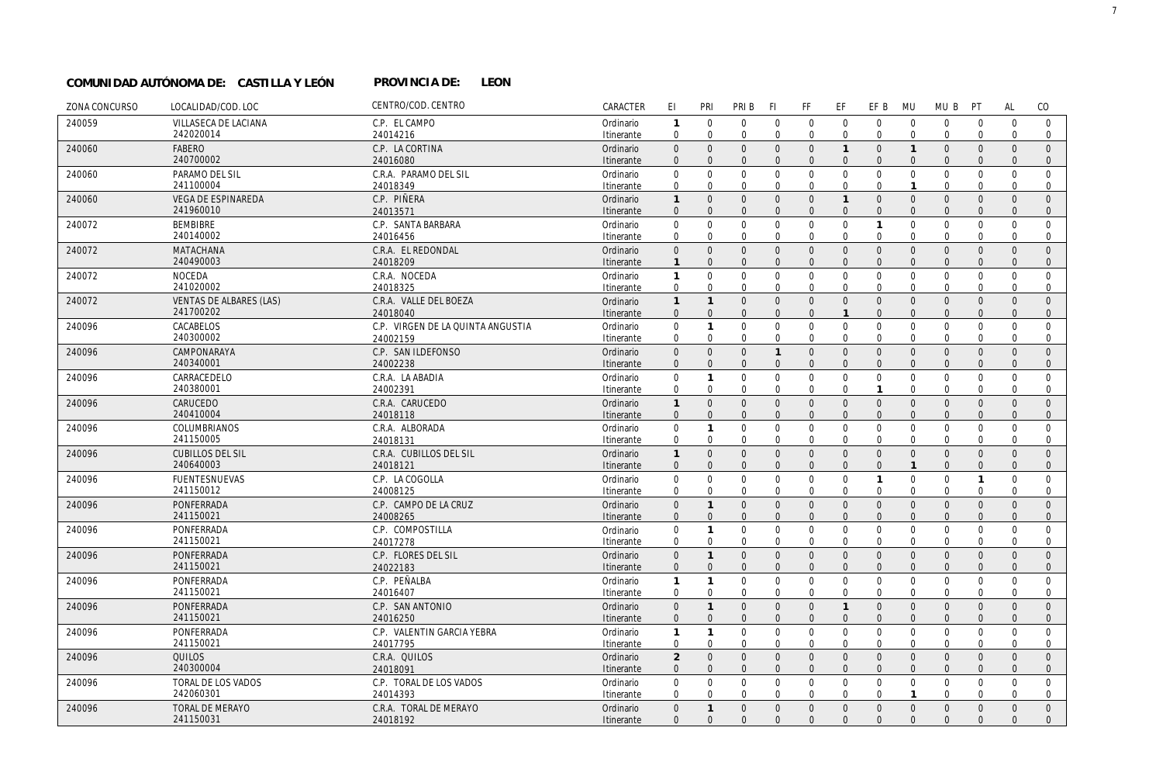#### PROVINCIA DE: LEON **COMUNIDAD AUTÓNOMA DE: CASTILLA Y LEÓN PROVINCIA DE:**

| ZONA CONCURSO | LOCALIDAD/COD. LOC                     | CENTRO/COD. CENTRO                | CARACTER                | EI                               | PRI                      | PRI B                   | F1                      | FF                             | EF                            | EF B                         | <b>MU</b>               | MU B                        | PT                            | AL                       | CO                           |
|---------------|----------------------------------------|-----------------------------------|-------------------------|----------------------------------|--------------------------|-------------------------|-------------------------|--------------------------------|-------------------------------|------------------------------|-------------------------|-----------------------------|-------------------------------|--------------------------|------------------------------|
| 240059        | VILLASECA DE LACIANA                   | C.P. EL CAMPO                     | Ordinario               | $\mathbf{1}$                     | $\mathbf 0$              | $\mathbf{0}$            | $\mathbf 0$             | $\mathbf 0$                    | $\mathbf 0$                   | $\mathbf 0$                  | $\mathbf 0$             | $\mathbf 0$                 | $\overline{0}$                | $\mathbf 0$              | $\mathbf 0$                  |
|               | 242020014                              | 24014216                          | Itinerante              | $\mathbf 0$                      | $\Omega$                 | $\mathbf 0$             | $\mathbf 0$             | $\mathbf 0$                    | $\mathbf 0$                   | $\mathbf 0$                  | $\overline{0}$          | $\mathbf{0}$                | $\overline{0}$                | $\mathbf 0$              | $\mathbf 0$                  |
| 240060        | <b>FABERO</b>                          | C.P. LA CORTINA                   | Ordinario               | $\mathbf{0}$                     | $\Omega$                 | $\Omega$                | $\Omega$                | $\mathbf{0}$                   | $\mathbf{1}$                  | $\mathbf{0}$                 | $\overline{1}$          | $\mathbf{0}$                | $\mathbf{0}$                  | $\Omega$                 | $\Omega$                     |
|               | 240700002                              | 24016080                          | Itinerante              | $\Omega$                         | $\Omega$                 | $\Omega$                | $\Omega$                | $\overline{0}$                 | $\overline{0}$                | $\mathbf{0}$                 | $\Omega$                | $\mathbf{0}$                | $\Omega$                      | $\Omega$                 | $\mathbf{0}$                 |
| 240060        | PARAMO DEL SIL                         | C.R.A. PARAMO DEL SIL             | Ordinario               | 0                                | $\mathbf 0$              | $\mathbf 0$             | $\mathbf 0$             | $\mathbf 0$                    | $\mathbf 0$                   | $\mathsf 0$                  | $\mathbf 0$             | $\mathbf 0$                 | $\mathbf 0$                   | $\mathbf 0$              | $\mathbf 0$                  |
|               | 241100004                              | 24018349                          | Itinerante              | $\mathbf 0$                      | $\Omega$                 | $\mathbf 0$             | $\Omega$                | $\mathbf 0$                    | $\mathbf 0$                   | $\mathbf 0$                  | $\mathbf{1}$            | $\mathbf 0$                 | $\Omega$                      | $\Omega$                 | $\mathbf 0$                  |
| 240060        | <b>VEGA DE ESPINAREDA</b><br>241960010 | C.P. PIÑERA                       | Ordinario               | $\mathbf{1}$                     | $\Omega$<br>$\Omega$     | $\Omega$<br>$\Omega$    | $\Omega$<br>$\Omega$    | $\mathbf{0}$<br>$\overline{0}$ | $\overline{1}$                | $\mathbf{0}$<br>$\mathbf{0}$ | $\Omega$<br>$\Omega$    | $\mathbf{0}$                | $\mathbf{0}$                  | $\Omega$                 | $\mathbf{0}$                 |
|               |                                        | 24013571                          | Itinerante              | $\boldsymbol{0}$                 |                          | $\Omega$                | $\Omega$                |                                | $\mathbf 0$                   | $\mathbf{1}$                 |                         | $\mathbf 0$                 | $\mathbf{0}$                  | $\mathbf{0}$<br>$\Omega$ | $\mathbf{0}$<br>$\Omega$     |
| 240072        | <b>BEMBIBRE</b><br>240140002           | C.P. SANTA BARBARA<br>24016456    | Ordinario<br>Itinerante | $\mathbf 0$<br>$\mathbf 0$       | $\mathbf 0$<br>$\Omega$  | $\mathbf 0$             | $\Omega$                | $\mathbf 0$<br>$\mathbf 0$     | $\mathbf 0$<br>$\overline{0}$ | $\mathbf 0$                  | $\mathbf 0$<br>$\Omega$ | $\mathbf{0}$<br>$\mathbf 0$ | $\overline{0}$<br>$\mathbf 0$ | $\Omega$                 | $\mathbf 0$                  |
| 240072        | <b>MATACHANA</b>                       | C.R.A. EL REDONDAL                | Ordinario               | $\mathsf{O}\xspace$              | $\mathbf{0}$             | $\mathbf{0}$            | $\Omega$                | $\mathbf 0$                    | $\mathbf 0$                   | $\mathsf{O}$                 | $\overline{0}$          | $\mathbf{0}$                | $\mathbf{0}$                  | $\Omega$                 | $\mathbf{0}$                 |
|               | 240490003                              | 24018209                          | Itinerante              | $\mathbf{1}$                     | $\overline{0}$           | $\mathbf{0}$            | $\Omega$                | $\mathbf 0$                    | $\mathbf 0$                   | $\mathbf 0$                  | $\Omega$                | $\mathbf 0$                 | $\Omega$                      | $\mathbf{0}$             | $\mathbf 0$                  |
| 240072        | <b>NOCEDA</b>                          | C.R.A. NOCEDA                     | Ordinario               | $\mathbf{1}$                     | $\mathbf 0$              | $\mathbf{0}$            | $\mathbf 0$             | $\mathbf 0$                    | $\mathbf 0$                   | $\mathbf 0$                  | $\mathbf 0$             | $\mathbf{0}$                | $\overline{0}$                | $\Omega$                 | $\mathbf 0$                  |
|               | 241020002                              | 24018325                          | Itinerante              | $\mathbf 0$                      | $\mathbf 0$              | $\mathbf 0$             | $\mathbf 0$             | $\mathbf 0$                    | $\mathbf 0$                   | $\mathbf 0$                  | $\mathbf 0$             | $\mathbf 0$                 | $\mathbf 0$                   | $\mathbf 0$              | $\mathbf{0}$                 |
| 240072        | VENTAS DE ALBARES (LAS)                | C.R.A. VALLE DEL BOEZA            | Ordinario               | $\mathbf{1}$                     | $\mathbf{1}$             | $\mathbf 0$             | $\Omega$                | $\mathbf 0$                    | $\mathbf 0$                   | $\mathbf 0$                  | $\overline{0}$          | $\mathbf 0$                 | $\mathbf{0}$                  | $\mathbf{0}$             | $\mathbf{0}$                 |
|               | 241700202                              | 24018040                          | Itinerante              | $\mathbf{0}$                     | $\mathbf{0}$             | $\mathbf{0}$            | $\Omega$                | $\mathbf{0}$                   | $\overline{1}$                | $\Omega$                     | $\Omega$                | $\mathbf{0}$                | $\mathbf{0}$                  | $\Omega$                 | $\mathbf{0}$                 |
| 240096        | CACABELOS                              | C.P. VIRGEN DE LA QUINTA ANGUSTIA | Ordinario               | $\boldsymbol{0}$                 | $\mathbf{1}$             | $\mathbf 0$             | $\mathbf 0$             | $\mathbf 0$                    | $\mathbf 0$                   | $\mathsf 0$                  | $\mathbf 0$             | $\mathbf 0$                 | $\overline{0}$                | $\mathbf 0$              | $\mathbf 0$                  |
|               | 240300002                              | 24002159                          | Itinerante              | $\mathbf 0$                      | $\mathbf 0$              | $\mathbf 0$             | $\mathbf 0$             | $\mathbf 0$                    | $\mathbf 0$                   | $\mathbf{0}$                 | $\mathbf 0$             | $\mathbf{0}$                | $\mathbf 0$                   | $\mathbf 0$              | 0                            |
| 240096        | CAMPONARAYA                            | C.P. SAN ILDEFONSO                | Ordinario               | $\Omega$                         | $\Omega$                 | $\mathbf{0}$            | $\mathbf{1}$            | $\mathbf{0}$                   | $\overline{0}$                | $\mathbf{0}$                 | $\overline{0}$          | $\mathbf{0}$                | $\mathbf{0}$                  | $\Omega$                 | $\overline{0}$               |
|               | 240340001                              | 24002238                          | Itinerante              | $\mathbf{0}$                     | $\mathbf{0}$             | $\Omega$                | $\Omega$                | $\mathbf{0}$                   | $\Omega$                      | $\Omega$                     | $\Omega$                | $\mathbf{0}$                | $\Omega$                      | $\Omega$                 | $\mathbf{0}$                 |
| 240096        | CARRACEDELO                            | C.R.A. LA ABADIA                  | Ordinario               | 0                                | $\mathbf{1}$             | $\mathbf{0}$            | $\mathbf 0$             | $\mathbf 0$                    | $\mathbf 0$                   | $\mathsf 0$                  | $\overline{0}$          | $\mathbf 0$                 | $\overline{0}$                | $\mathbf 0$              | $\mathbf 0$                  |
|               | 240380001                              | 24002391                          | Itinerante              | $\mathbf 0$                      | $\mathbf 0$              | $\mathbf 0$             | $\mathbf 0$             | $\mathbf 0$                    | $\mathbf 0$                   | $\mathbf{1}$                 | $\Omega$                | $\mathbf{0}$                | $\mathbf 0$                   | $\Omega$                 | $\mathbf{0}$                 |
| 240096        | CARUCEDO                               | C.R.A. CARUCEDO                   | Ordinario               | $\mathbf{1}$                     | $\mathbf{0}$             | $\mathbf{0}$            | $\mathbf{0}$            | $\mathbf{0}$                   | $\overline{0}$                | $\mathbf{0}$                 | $\overline{0}$          | $\mathbf{0}$                | $\mathbf{0}$                  | $\mathbf{0}$             | $\mathbf{0}$                 |
|               | 240410004                              | 24018118                          | Itinerante              | $\mathbf{0}$                     | $\mathbf{0}$             | $\mathbf{0}$            | $\Omega$                | $\mathbf{0}$                   | $\overline{0}$                | $\mathbf{0}$                 | $\Omega$                | $\mathbf{0}$                | $\mathbf{0}$                  | $\Omega$                 | $\mathbf{0}$                 |
| 240096        | COLUMBRIANOS                           | C.R.A. ALBORADA                   | Ordinario               | $\mathbf 0$                      | $\mathbf{1}$             | $\mathbf 0$             | $\mathbf 0$             | $\mathbf 0$                    | $\mathbf 0$                   | $\mathbf 0$                  | $\mathbf 0$             | $\mathbf 0$                 | $\overline{0}$                | $\mathbf 0$              | $\mathbf 0$                  |
|               | 241150005                              | 24018131                          | Itinerante              | $\mathbf 0$                      | $\mathbf 0$              | $\mathbf 0$             | $\Omega$                | $\mathbf 0$                    | $\mathbf 0$                   | $\mathbf 0$                  | $\Omega$                | $\mathbf{0}$                | $\mathbf 0$                   | $\Omega$                 | $\mathbf 0$                  |
| 240096        | <b>CUBILLOS DEL SIL</b>                | C.R.A. CUBILLOS DEL SIL           | Ordinario               | $\mathbf{1}$                     | $\Omega$                 | $\mathbf{0}$            | $\mathbf{0}$            | $\mathbf 0$                    | $\mathbf 0$                   | $\mathsf{O}$                 | $\overline{0}$          | $\mathbf 0$                 | $\mathbf{0}$                  | $\mathbf{0}$             | $\mathbf{0}$                 |
|               | 240640003                              | 24018121                          | Itinerante              | $\mathbf{0}$                     | $\Omega$                 | $\mathbf{0}$            | $\Omega$                | $\mathbf{0}$                   | $\overline{0}$                | $\mathbf{0}$                 | $\mathbf{1}$            | $\mathbf{0}$                | $\mathbf{0}$                  | $\mathbf{0}$             | $\mathbf{0}$                 |
| 240096        | <b>FUENTESNUEVAS</b>                   | C.P. LA COGOLLA                   | Ordinario               | $\mathbf 0$                      | $\mathbf 0$              | $\Omega$                | $\mathbf 0$             | $\mathbf{0}$                   | $\mathbf 0$                   | $\mathbf{1}$                 | $\overline{0}$          | $\mathbf{0}$                | $\overline{1}$                | $\Omega$                 | $\mathbf 0$                  |
|               | 241150012                              | 24008125                          | Itinerante              | $\mathbf 0$                      | $\mathbf 0$              | $\mathbf 0$             | $\mathbf 0$             | $\mathbf{0}$                   | $\mathbf 0$                   | $\mathbf 0$                  | $\mathbf 0$             | $\mathbf{0}$                | $\overline{0}$                | $\mathbf 0$              | $\mathbf 0$                  |
| 240096        | PONFERRADA<br>241150021                | C.P. CAMPO DE LA CRUZ<br>24008265 | Ordinario<br>Itinerante | $\boldsymbol{0}$<br>$\mathbf{0}$ | $\mathbf{1}$<br>$\Omega$ | $\mathbf 0$<br>$\Omega$ | $\mathbf 0$<br>$\Omega$ | $\mathsf 0$<br>$\mathbf{0}$    | $\mathbf 0$<br>$\overline{0}$ | $\mathsf 0$<br>$\mathbf{0}$  | $\mathbf 0$<br>$\Omega$ | $\mathbf 0$<br>$\mathbf{0}$ | $\mathbf 0$<br>$\mathbf{0}$   | $\mathbf{0}$<br>$\Omega$ | $\mathbf{0}$<br>$\mathbf{0}$ |
| 240096        | PONFERRADA                             | C.P. COMPOSTILLA                  | Ordinario               | $\mathbf 0$                      | $\mathbf{1}$             | $\mathbf 0$             | $\mathbf 0$             | $\mathbf 0$                    | $\mathbf 0$                   | $\mathbf 0$                  | $\mathbf 0$             | $\mathbf 0$                 | $\mathbf 0$                   | $\Omega$                 | $\mathbf 0$                  |
|               | 241150021                              | 24017278                          | Itinerante              | $\mathbf 0$                      | $\mathbf 0$              | $\mathbf 0$             | $\mathbf 0$             | $\mathbf 0$                    | $\mathbf 0$                   | $\mathbf 0$                  | $\mathbf 0$             | $\mathbf 0$                 | 0                             | $\mathbf 0$              | $\mathbf 0$                  |
| 240096        | PONFERRADA                             | C.P. FLORES DEL SIL               | Ordinario               | $\mathbf{0}$                     | $\mathbf{1}$             | $\mathbf{0}$            | $\mathbf{0}$            | $\mathbf{0}$                   | $\overline{0}$                | $\mathbf{0}$                 | $\Omega$                | $\mathbf{0}$                | $\mathbf{0}$                  | $\Omega$                 | $\Omega$                     |
|               | 241150021                              | 24022183                          | Itinerante              | $\mathbf{0}$                     | $\Omega$                 | $\mathbf{0}$            | $\Omega$                | $\mathbf{0}$                   | $\overline{0}$                | $\mathbf{0}$                 | $\Omega$                | $\mathbf{0}$                | $\overline{0}$                | $\mathbf{0}$             | $\mathbf{0}$                 |
| 240096        | PONFERRADA                             | C.P. PEÑALBA                      | Ordinario               | $\mathbf{1}$                     | $\mathbf{1}$             | $\mathbf 0$             | $\mathbf 0$             | $\mathbf{0}$                   | $\mathbf 0$                   | $\mathbf 0$                  | $\mathbf 0$             | $\mathbf{0}$                | $\mathbf 0$                   | $\Omega$                 | $\mathbf 0$                  |
|               | 241150021                              | 24016407                          | Itinerante              | 0                                | 0                        | 0                       | 0                       | 0                              | 0                             | $\mathbf 0$                  | 0                       | 0                           | 0                             | $\mathbf 0$              | 0                            |
| 240096        | PONFERRADA                             | C.P. SAN ANTONIO                  | Ordinario               | $\boldsymbol{0}$                 | $\mathbf{1}$             | $\mathbf{0}$            | $\mathbf{0}$            | $\mathsf 0$                    | $\mathbf{1}$                  | $\mathsf 0$                  | $\Omega$                | $\mathbf{0}$                | $\mathbf{0}$                  | $\Omega$                 | $\mathbf{0}$                 |
|               | 241150021                              | 24016250                          | Itinerante              | $\mathbf{0}$                     | $\mathbf{0}$             | $\mathbf{0}$            | $\mathbf{0}$            | $\mathbf{0}$                   | $\overline{0}$                | $\mathbf{0}$                 | $\Omega$                | $\mathbf{0}$                | $\overline{0}$                | $\Omega$                 | $\mathbf{0}$                 |
| 240096        | PONFERRADA                             | C.P. VALENTIN GARCIA YEBRA        | Ordinario               | $\mathbf{1}$                     | $\mathbf{1}$             | $\mathbf 0$             | $\mathbf 0$             | $\mathbf 0$                    | $\mathbf 0$                   | $\mathsf 0$                  | $\mathbf 0$             | $\mathbf 0$                 | $\mathbf 0$                   | $\mathbf 0$              | $\mathbf 0$                  |
|               | 241150021                              | 24017795                          | Itinerante              | $\mathbf 0$                      | $\mathbf 0$              | $\mathbf 0$             | $\mathbf 0$             | $\mathbf 0$                    | $\mathbf 0$                   | $\Omega$                     | $\Omega$                | $\mathbf{0}$                | $\overline{0}$                | $\Omega$                 | $\mathbf{0}$                 |
| 240096        | QUILOS                                 | C.R.A. QUILOS                     | Ordinario               | $\overline{2}$                   | $\Omega$                 | $\mathbf{0}$            | $\mathbf{0}$            | $\mathbf 0$                    | $\mathbf 0$                   | $\mathsf 0$                  | $\Omega$                | $\mathbf{0}$                | $\mathbf{0}$                  | $\Omega$                 | $\mathbf{0}$                 |
|               | 240300004                              | 24018091                          | Itinerante              | $\boldsymbol{0}$                 | $\Omega$                 | $\mathbf{0}$            | $\Omega$                | $\mathbf{0}$                   | $\overline{0}$                | $\mathbf{0}$                 | $\Omega$                | $\mathbf{0}$                | $\mathbf{0}$                  | $\Omega$                 | $\mathbf{0}$                 |
| 240096        | TORAL DE LOS VADOS                     | C.P. TORAL DE LOS VADOS           | Ordinario               | $\mathbf 0$                      | $\mathbf 0$              | $\mathbf 0$             | $\mathbf 0$             | $\mathbf 0$                    | $\mathbf 0$                   | $\mathbf 0$                  | $\overline{0}$          | $\mathbf{0}$                | $\overline{0}$                | $\Omega$                 | $\mathbf 0$                  |
|               | 242060301                              | 24014393                          | Itinerante              | $\Omega$                         | $\Omega$                 | $\mathbf 0$             | $\Omega$                | $\mathbf 0$                    | $\mathbf 0$                   | $\mathbf 0$                  | $\mathbf{1}$            | $\mathbf 0$                 | $\mathbf 0$                   | $\Omega$                 | $\mathbf 0$                  |
| 240096        | <b>TORAL DE MERAYO</b>                 | C.R.A. TORAL DE MERAYO            | Ordinario               | $\mathbf{0}$                     | $\mathbf{1}$             | $\mathbf{0}$            | $\mathbf{0}$            | $\mathbf{0}$                   | $\overline{0}$                | $\mathbf{0}$                 | $\mathbf{0}$            | $\mathbf{0}$                | $\mathbf{0}$                  | $\mathbf{0}$             | $\mathbf{0}$                 |
|               | 241150031                              | 24018192                          | Itinerante              | $\Omega$                         | $\Omega$                 | $\Omega$                | $\Omega$                | $\Omega$                       | $\Omega$                      | $\Omega$                     | $\Omega$                | $\Omega$                    | $\Omega$                      | $\Omega$                 | $\Omega$                     |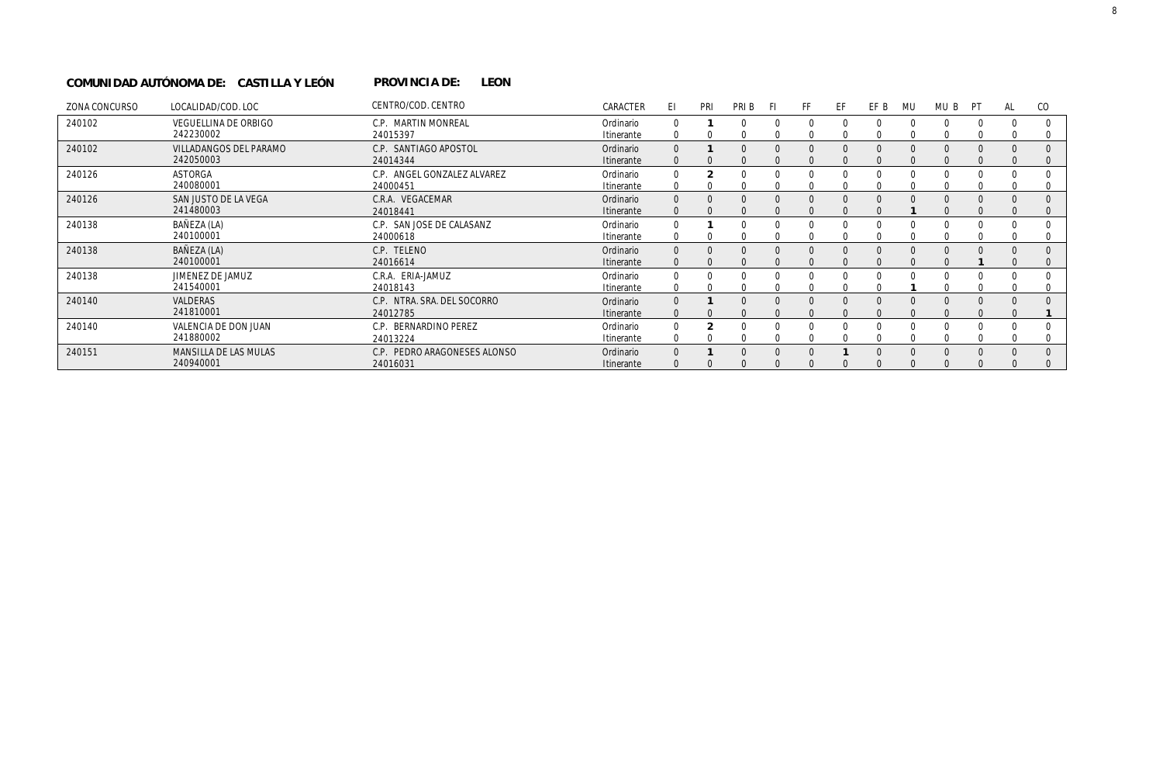#### PROVINCIA DE: LEON **COMUNIDAD AUTÓNOMA DE: CASTILLA Y LEÓN PROVINCIA DE:**

| ZONA CONCURSO | LOCALIDAD/COD. LOC          | CENTRO/COD. CENTRO           | CARACTER   | E1.      | PRI | PRI B | -FI | FF. | EF | EF B | MU       | MU B     | PT       | AL | CO       |
|---------------|-----------------------------|------------------------------|------------|----------|-----|-------|-----|-----|----|------|----------|----------|----------|----|----------|
| 240102        | <b>VEGUELLINA DE ORBIGO</b> | C.P. MARTIN MONREAL          | Ordinario  |          |     |       |     |     | 0  |      | 0        | 0        | 0        |    | 0        |
|               | 242230002                   | 24015397                     | Itinerante |          |     |       |     |     |    |      |          |          |          |    |          |
| 240102        | VILLADANGOS DEL PARAMO      | C.P. SANTIAGO APOSTOL        | Ordinario  |          |     |       |     |     |    |      |          |          |          |    | $\Omega$ |
|               | 242050003                   | 24014344                     | Itinerante |          |     |       |     |     |    |      |          |          |          |    | 0        |
| 240126        | <b>ASTORGA</b>              | C.P. ANGEL GONZALEZ ALVAREZ  | Ordinario  |          |     |       |     |     |    |      |          |          |          |    |          |
|               | 240080001                   | 24000451                     | Itinerante |          |     |       |     |     |    |      |          |          |          |    |          |
| 240126        | SAN JUSTO DE LA VEGA        | C.R.A. VEGACEMAR             | Ordinario  | $\Omega$ |     |       |     |     |    |      |          |          |          |    |          |
|               | 241480003                   | 24018441                     | Itinerante |          |     |       |     |     |    |      |          |          |          |    | 0        |
| 240138        | BAÑEZA (LA)                 | C.P. SAN JOSE DE CALASANZ    | Ordinario  |          |     |       |     |     |    |      |          |          |          |    |          |
|               | 240100001                   | 24000618                     | Itinerante |          |     |       |     |     |    |      |          |          |          |    | 0        |
| 240138        | BAÑEZA (LA)                 | C.P. TELENO                  | Ordinario  |          |     |       |     |     |    |      |          |          |          |    |          |
|               | 240100001                   | 24016614                     | Itinerante |          |     |       |     |     |    |      |          |          |          |    |          |
| 240138        | JIMENEZ DE JAMUZ            | C.R.A. ERIA-JAMUZ            | Ordinario  |          |     |       |     |     |    |      |          |          |          |    |          |
|               | 241540001                   | 24018143                     | Itinerante |          |     |       |     |     |    |      |          |          |          |    | 0        |
| 240140        | <b>VALDERAS</b>             | C.P. NTRA. SRA. DEL SOCORRO  | Ordinario  |          |     |       |     |     |    |      |          |          |          |    |          |
|               | 241810001                   | 24012785                     | Itinerante | $\Omega$ |     |       |     |     |    |      |          |          |          |    |          |
| 240140        | VALENCIA DE DON JUAN        | C.P. BERNARDINO PEREZ        | Ordinario  | 0        |     |       |     |     |    |      |          |          |          |    |          |
|               | 241880002                   | 24013224                     | Itinerante | 0        |     |       |     |     |    |      |          |          |          |    |          |
| 240151        | MANSILLA DE LAS MULAS       | C.P. PEDRO ARAGONESES ALONSO | Ordinario  |          |     |       |     |     |    |      | $\Omega$ | $\Omega$ | $\Omega$ |    |          |
|               | 240940001                   | 24016031                     | Itinerante |          |     |       |     |     |    |      |          |          |          |    |          |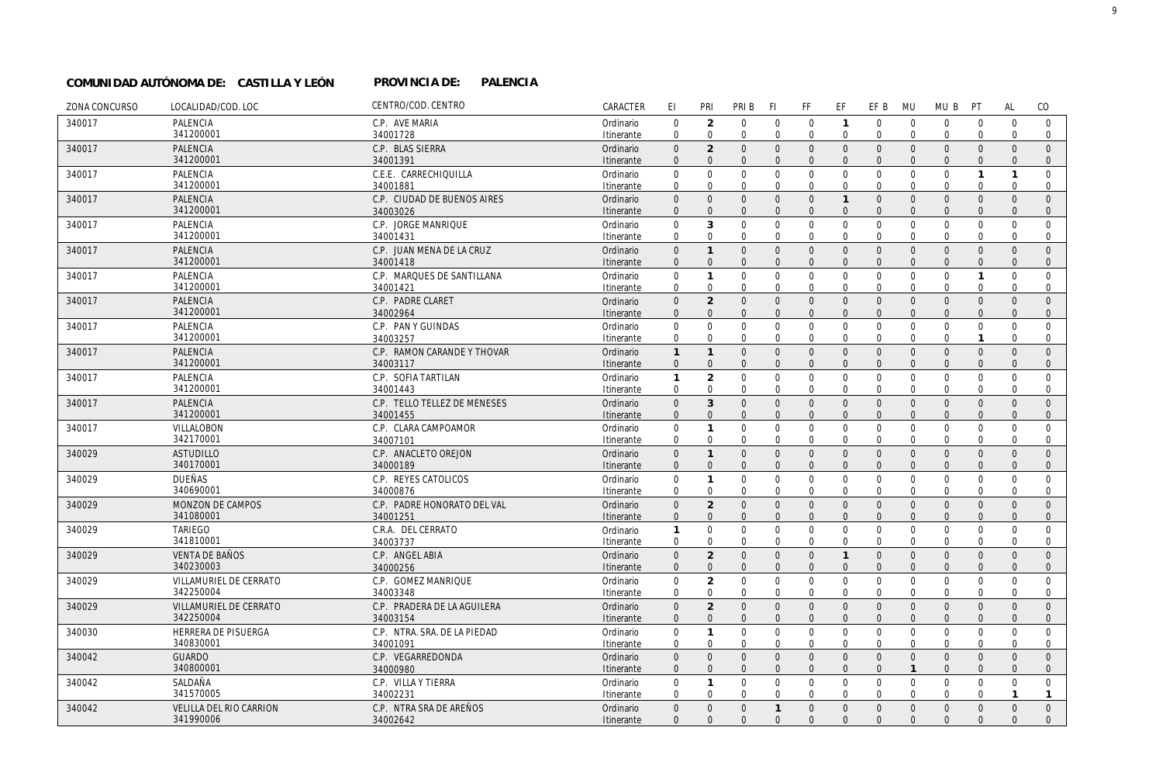## **PALENCIA COMUNIDAD AUTÓNOMA DE: CASTILLA Y LEÓN PROVINCIA DE:**

| ZONA CONCURSO | LOCALIDAD/COD. LOC                  | CENTRO/COD. CENTRO                       | CARACTER                | EI                           | PRI                              | PRI B                        | F1                            | FF                           | EF                            | EF B                         | MU                         | MU B                         | PT                          | <b>AL</b>               | CO                           |
|---------------|-------------------------------------|------------------------------------------|-------------------------|------------------------------|----------------------------------|------------------------------|-------------------------------|------------------------------|-------------------------------|------------------------------|----------------------------|------------------------------|-----------------------------|-------------------------|------------------------------|
| 340017        | PALENCIA                            | C.P. AVE MARIA                           | Ordinario               | $\mathbf{0}$                 | $\overline{2}$                   | $\mathbf 0$                  | $\mathbf 0$                   | $\mathbf 0$                  | $\mathbf{1}$                  | $\overline{0}$               | $\mathbf 0$                | $\mathbf 0$                  | $\mathbf 0$                 | $\mathbf 0$             | $\overline{0}$               |
|               | 341200001                           | 34001728                                 | Itinerante              | $\mathbf 0$                  | $\mathbf 0$                      | $\mathbf{0}$                 | $\mathbf 0$                   | $\mathbf 0$                  | $\overline{0}$                | $\mathbf 0$                  | $\mathbf 0$                | $\mathbf 0$                  | $\Omega$                    | $\Omega$                | $\overline{0}$               |
| 340017        | PALENCIA                            | C.P. BLAS SIERRA                         | Ordinario               | $\mathbf{0}$                 | $\overline{2}$                   | $\mathbf{0}$                 | $\overline{0}$                | $\mathbf{0}$                 | $\overline{0}$                | $\mathbf{0}$                 | $\mathbf{0}$               | $\mathbf{0}$                 | $\mathbf{0}$                | $\Omega$                | $\Omega$                     |
|               | 341200001                           | 34001391                                 | Itinerante              | $\Omega$                     | $\Omega$                         | $\overline{0}$               | $\Omega$                      | $\mathbf{0}$                 | $\Omega$                      | $\Omega$                     | $\Omega$                   | $\mathbf{0}$                 | $\Omega$                    | $\Omega$                | $\mathbf{0}$                 |
| 340017        | PALENCIA                            | C.E.E. CARRECHIQUILLA                    | Ordinario               | $\mathbf{0}$                 | $\mathbf 0$                      | $\mathbf 0$                  | $\mathbf 0$                   | $\mathbf 0$                  | $\mathbf 0$                   | $\mathbf 0$                  | $\mathbf 0$                | $\mathbf 0$                  | $\overline{1}$              | $\mathbf{1}$            | $\mathbf 0$                  |
|               | 341200001                           | 34001881                                 | Itinerante              | $\mathbf 0$                  | $\Omega$                         | $\mathbf 0$                  | $\Omega$                      | $\mathbf 0$                  | $\mathbf 0$                   | $\mathbf 0$                  | $\Omega$                   | $\mathbf 0$                  | $\mathbf 0$                 | $\Omega$                | $\mathbf 0$                  |
| 340017        | PALENCIA                            | C.P. CIUDAD DE BUENOS AIRES              | Ordinario               | $\mathbf{0}$                 | $\overline{0}$                   | $\mathbf{0}$                 | $\overline{0}$                | $\mathbf{0}$                 | $\overline{1}$                | $\mathbf{0}$                 | $\mathbf{0}$               | $\mathbf{0}$                 | $\mathbf{0}$                | $\Omega$                | $\Omega$                     |
|               | 341200001                           | 34003026                                 | Itinerante              | $\mathbf{0}$                 | $\Omega$                         | $\overline{0}$               | $\overline{0}$                | $\mathbf{0}$                 | $\mathbf 0$                   | $\mathbf{0}$                 | $\Omega$                   | $\mathbf{0}$                 | $\mathbf{0}$                | $\Omega$                | $\mathbf{0}$                 |
| 340017        | PALENCIA                            | C.P. JORGE MANRIQUE                      | Ordinario               | $\mathbf{0}$                 | 3                                | $\mathbf 0$                  | $\overline{0}$                | $\mathbf 0$                  | $\mathbf 0$                   | $\mathbf 0$                  | $\Omega$                   | $\mathbf 0$                  | $\mathbf 0$                 | $\Omega$                | $\Omega$                     |
|               | 341200001                           | 34001431                                 | Itinerante              | $\mathbf 0$                  | $\mathbf 0$                      | $\mathbf 0$                  | $\mathbf 0$                   | $\mathbf 0$                  | $\mathbf 0$                   | $\mathbf 0$                  | $\Omega$                   | $\mathbf 0$                  | $\Omega$                    | $\Omega$                | $\mathbf 0$                  |
| 340017        | PALENCIA                            | C.P. JUAN MENA DE LA CRUZ                | Ordinario               | $\mathbf 0$                  | $\mathbf{1}$                     | $\mathbf 0$                  | $\mathbf 0$                   | $\mathbf 0$                  | $\mathbf 0$                   | $\mathbf{0}$                 | $\mathbf{0}$               | $\mathbf{0}$                 | $\mathbf{0}$                | $\mathbf{0}$            | $\overline{0}$               |
|               | 341200001                           | 34001418                                 | Itinerante              | $\mathbf{0}$                 | $\mathbf 0$                      | $\overline{0}$               | $\overline{0}$                | $\mathbf 0$                  | $\mathbf 0$                   | $\mathbf 0$                  | $\Omega$                   | $\mathbf 0$                  | $\mathbf{0}$                | $\Omega$                | $\overline{0}$               |
| 340017        | PALENCIA<br>341200001               | C.P. MARQUES DE SANTILLANA<br>34001421   | Ordinario               | $\mathbf 0$<br>$\mathbf 0$   | $\mathbf{1}$<br>$\mathbf 0$      | $\mathbf 0$<br>$\mathbf{0}$  | $\overline{0}$<br>$\mathbf 0$ | $\mathbf 0$<br>$\mathbf{0}$  | $\mathbf 0$<br>$\mathbf 0$    | $\mathbf 0$<br>$\mathbf 0$   | $\mathbf 0$<br>$\mathbf 0$ | $\mathbf 0$<br>$\mathbf 0$   | $\mathbf{1}$<br>$\mathbf 0$ | $\Omega$<br>$\Omega$    | $\Omega$<br>$\mathbf{0}$     |
|               |                                     | C.P. PADRE CLARET                        | Itinerante              |                              |                                  |                              |                               |                              |                               | $\mathbf{0}$                 |                            |                              |                             | $\mathbf{0}$            | $\mathbf{0}$                 |
| 340017        | PALENCIA<br>341200001               | 34002964                                 | Ordinario<br>Itinerante | $\mathbf 0$<br>$\mathbf{0}$  | $\overline{2}$<br>$\mathbf{0}$   | $\mathbf 0$<br>$\mathbf{0}$  | $\mathbf 0$<br>$\Omega$       | $\mathbf 0$<br>$\mathbf{0}$  | $\mathbf 0$<br>$\Omega$       | $\Omega$                     | $\overline{0}$<br>$\Omega$ | $\mathbf{0}$<br>$\mathbf{0}$ | $\mathbf{0}$<br>$\Omega$    | $\Omega$                | $\mathbf{0}$                 |
| 340017        | PALENCIA                            | C.P. PAN Y GUINDAS                       | Ordinario               | $\mathbf 0$                  | $\mathbf 0$                      | $\mathbf 0$                  | $\mathbf 0$                   | $\mathsf 0$                  | $\mathbf 0$                   | $\mathbf 0$                  | $\mathbf 0$                | $\mathbf{0}$                 | $\mathbf 0$                 | $\mathbf 0$             | $\mathbf 0$                  |
|               | 341200001                           | 34003257                                 | Itinerante              | $\mathbf 0$                  | $\mathbf 0$                      | $\mathbf{0}$                 | $\mathbf 0$                   | $\mathbf{0}$                 | $\mathbf 0$                   | $\mathbf 0$                  | $\mathbf 0$                | $\mathbf 0$                  | $\mathbf{1}$                | $\mathbf 0$             | $\mathbf 0$                  |
| 340017        | PALENCIA                            | C.P. RAMON CARANDE Y THOVAR              | Ordinario               | $\mathbf{1}$                 | $\mathbf{1}$                     | $\mathbf{0}$                 | $\overline{0}$                | $\mathbf{0}$                 | $\overline{0}$                | $\mathbf{0}$                 | $\Omega$                   | $\mathbf{0}$                 | $\mathbf{0}$                | $\mathbf{0}$            | $\mathbf{0}$                 |
|               | 341200001                           | 34003117                                 | Itinerante              | $\mathbf{0}$                 | $\overline{0}$                   | $\Omega$                     | $\Omega$                      | $\Omega$                     | $\Omega$                      | $\Omega$                     | $\Omega$                   | $\Omega$                     | $\Omega$                    | $\Omega$                | $\mathbf{0}$                 |
| 340017        | PALENCIA                            | C.P. SOFIA TARTILAN                      | Ordinario               | $\mathbf{1}$                 | $\overline{2}$                   | $\mathbf 0$                  | $\mathbf 0$                   | $\mathsf 0$                  | $\mathbf 0$                   | $\mathbf 0$                  | $\mathbf 0$                | $\mathbf{0}$                 | $\mathbf 0$                 | $\mathbf 0$             | $\mathbf 0$                  |
|               | 341200001                           | 34001443                                 | Itinerante              | $\mathbf 0$                  | $\mathbf 0$                      | $\mathbf 0$                  | $\Omega$                      | $\mathbf{0}$                 | $\mathbf 0$                   | $\mathbf 0$                  | $\Omega$                   | $\mathbf 0$                  | $\Omega$                    | $\Omega$                | $\mathbf{0}$                 |
| 340017        | <b>PALENCIA</b>                     | C.P. TELLO TELLEZ DE MENESES             | Ordinario               | $\mathbf{0}$                 | 3                                | $\mathbf{0}$                 | $\overline{0}$                | $\mathbf{0}$                 | $\overline{0}$                | $\mathbf{0}$                 | $\overline{0}$             | $\mathbf{0}$                 | $\mathbf{0}$                | $\mathbf{0}$            | $\mathbf{0}$                 |
|               | 341200001                           | 34001455                                 | Itinerante              | $\mathbf{0}$                 | $\overline{0}$                   | $\mathbf{0}$                 | $\Omega$                      | $\mathbf{0}$                 | $\mathbf{0}$                  | $\mathbf{0}$                 | $\Omega$                   | $\mathbf{0}$                 | $\Omega$                    | $\Omega$                | $\overline{0}$               |
| 340017        | VILLALOBON                          | C.P. CLARA CAMPOAMOR                     | Ordinario               | $\mathbf 0$                  | $\mathbf{1}$                     | $\mathbf 0$                  | $\mathbf 0$                   | $\mathbf 0$                  | $\mathbf 0$                   | $\mathbf 0$                  | $\mathbf 0$                | $\mathbf 0$                  | $\mathbf 0$                 | $\mathbf 0$             | $\overline{0}$               |
|               | 342170001                           | 34007101                                 | Itinerante              | $\mathbf 0$                  | $\mathbf 0$                      | $\mathbf 0$                  | $\mathbf 0$                   | $\mathbf{0}$                 | $\mathbf 0$                   | $\mathbf 0$                  | $\mathbf 0$                | $\mathbf 0$                  | $\mathbf 0$                 | $\Omega$                | $\mathbf{0}$                 |
| 340029        | <b>ASTUDILLO</b>                    | C.P. ANACLETO OREJON                     | Ordinario               | $\mathsf{O}\xspace$          | $\mathbf{1}$                     | $\mathbf 0$                  | $\overline{0}$                | $\mathbf 0$                  | $\mathbf 0$                   | $\mathsf{O}$                 | $\overline{0}$             | $\mathbf{0}$                 | $\mathbf{0}$                | $\mathbf{0}$            | $\mathbf{0}$                 |
|               | 340170001                           | 34000189                                 | Itinerante              | $\mathbf{0}$                 | $\mathbf{0}$                     | $\overline{0}$               | $\overline{0}$                | $\mathbf{0}$                 | $\mathbf{0}$                  | $\mathbf{0}$                 | $\Omega$                   | $\mathbf{0}$                 | $\mathbf{0}$                | $\mathbf{0}$            | $\mathbf 0$                  |
| 340029        | <b>DUEÑAS</b>                       | C.P. REYES CATOLICOS                     | Ordinario               | $\mathbf{0}$                 | $\mathbf{1}$                     | $\mathbf 0$                  | $\mathbf 0$                   | $\mathbf 0$                  | $\mathbf 0$                   | $\mathbf 0$                  | $\Omega$                   | $\mathbf 0$                  | $\mathbf 0$                 | $\Omega$                | $\Omega$                     |
|               | 340690001                           | 34000876                                 | Itinerante              | $\mathbf 0$                  | $\mathbf 0$                      | $\mathbf{0}$                 | $\mathbf 0$                   | $\mathbf{0}$                 | $\overline{0}$                | $\mathbf 0$                  | $\mathbf 0$                | $\mathbf 0$                  | $\mathbf 0$                 | $\Omega$                | $\mathbf{0}$                 |
| 340029        | MONZON DE CAMPOS                    | C.P. PADRE HONORATO DEL VAL              | Ordinario               | $\mathbf 0$                  | $\sqrt{2}$                       | $\mathbf 0$                  | $\mathbf 0$                   | $\mathsf{O}$                 | $\mathbf 0$                   | $\mathsf{O}$                 | $\mathbf{0}$               | $\mathbf 0$                  | $\mathbf{0}$                | $\mathbf{0}$            | $\mathbf{0}$                 |
|               | 341080001                           | 34001251                                 | Itinerante              | $\mathbf{0}$                 | $\mathbf{0}$                     | $\mathbf{0}$                 | $\Omega$                      | $\mathbf{0}$                 | $\overline{0}$                | $\mathbf{0}$                 | $\Omega$                   | $\mathbf{0}$                 | $\Omega$                    | $\Omega$                | $\mathbf{0}$                 |
| 340029        | <b>TARIEGO</b>                      | C.R.A. DEL CERRATO                       | Ordinario               | $\mathbf{1}$                 | $\mathbf 0$                      | $\mathbf 0$                  | $\mathbf{0}$                  | $\mathbf 0$                  | $\mathbf 0$                   | $\mathbf 0$                  | $\mathbf 0$                | $\mathbf{0}$                 | $\mathbf 0$                 | $\Omega$                | $\mathbf 0$                  |
|               | 341810001                           | 34003737                                 | Itinerante              | $\mathbf 0$                  | $\mathbf 0$                      | $\mathbf 0$                  | $\mathbf 0$                   | $\mathbf 0$                  | $\mathbf 0$                   | $\mathbf 0$                  | $\Omega$                   | $\mathbf 0$                  | 0                           | $\Omega$                | $\mathbf{0}$                 |
| 340029        | <b>VENTA DE BAÑOS</b>               | C.P. ANGEL ABIA                          | Ordinario               | $\mathbf{0}$                 | $\overline{2}$                   | $\mathbf{0}$                 | $\overline{0}$                | $\mathbf{0}$                 | $\mathbf{1}$                  | $\mathbf{0}$                 | $\Omega$                   | $\Omega$                     | $\Omega$                    | $\Omega$                | $\Omega$                     |
|               | 340230003                           | 34000256                                 | Itinerante              | $\mathbf{0}$                 | $\mathbf{0}$                     | $\overline{0}$               | $\overline{0}$                | $\mathbf{0}$                 | $\overline{0}$                | $\mathbf{0}$                 | $\Omega$                   | $\mathbf{0}$                 | $\mathbf{0}$                | $\Omega$                | $\mathbf{0}$                 |
| 340029        | VILLAMURIEL DE CERRATO<br>342250004 | C.P. GOMEZ MANRIQUE                      | Ordinario               | $\mathbf{0}$                 | $\overline{2}$                   | $\mathbf 0$                  | $\mathbf 0$                   | $\mathbf 0$                  | $\mathbf 0$                   | $\mathbf 0$                  | $\mathbf 0$                | $\mathbf{0}$                 | $\mathbf 0$                 | $\Omega$                | $\mathbf{0}$                 |
|               |                                     | 34003348                                 | Itinerante              | 0                            | 0                                | 0                            | 0                             | $\mathbf 0$                  | $\mathbf 0$                   | 0                            | 0                          | 0                            | 0                           | $\mathbf 0$<br>$\Omega$ | $\mathbf{0}$                 |
| 340029        | VILLAMURIEL DE CERRATO<br>342250004 | C.P. PRADERA DE LA AGUILERA<br>34003154  | Ordinario<br>Itinerante | $\mathbf{0}$<br>$\mathbf{0}$ | $\overline{2}$<br>$\overline{0}$ | $\mathbf{0}$<br>$\mathbf{0}$ | $\overline{0}$<br>$\Omega$    | $\mathbf{0}$<br>$\mathbf{0}$ | $\mathbf 0$<br>$\overline{0}$ | $\mathbf{0}$<br>$\mathbf{0}$ | $\Omega$<br>$\Omega$       | $\mathbf{0}$<br>$\mathbf{0}$ | $\mathbf{0}$<br>$\Omega$    | $\Omega$                | $\mathbf{0}$<br>$\mathbf{0}$ |
|               |                                     |                                          |                         | $\mathbf{0}$                 | $\mathbf{1}$                     | $\mathbf 0$                  |                               |                              | $\mathbf 0$                   |                              | $\mathbf 0$                |                              | $\mathbf 0$                 | $\mathbf 0$             | $\mathbf 0$                  |
| 340030        | HERRERA DE PISUERGA<br>340830001    | C.P. NTRA. SRA. DE LA PIEDAD<br>34001091 | Ordinario<br>Itinerante | $\mathbf 0$                  | $\mathbf 0$                      | $\mathbf 0$                  | $\mathbf 0$<br>$\Omega$       | $\mathbf 0$<br>$\Omega$      | $\mathbf{0}$                  | $\mathbf 0$<br>$\Omega$      | $\Omega$                   | $\mathbf 0$<br>$\Omega$      | $\Omega$                    | $\Omega$                | $\mathbf{0}$                 |
| 340042        | <b>GUARDO</b>                       | C.P. VEGARREDONDA                        | Ordinario               | $\mathbf{0}$                 | $\mathbf{0}$                     | $\mathbf{0}$                 | $\overline{0}$                | $\mathbf{0}$                 | $\overline{0}$                | $\mathbf{0}$                 | $\Omega$                   | $\mathbf{0}$                 | $\mathbf{0}$                | $\mathbf{0}$            | $\mathbf{0}$                 |
|               | 340800001                           | 34000980                                 | Itinerante              | $\mathbf{0}$                 | $\mathbf{0}$                     | $\mathbf{0}$                 | $\Omega$                      | $\mathbf{0}$                 | $\overline{0}$                | $\mathbf{0}$                 | $\mathbf{1}$               | $\mathbf{0}$                 | $\Omega$                    | $\Omega$                | $\mathbf{0}$                 |
| 340042        | SALDAÑA                             | C.P. VILLA Y TIERRA                      | Ordinario               | $\Omega$                     | $\mathbf{1}$                     | $\mathbf 0$                  | $\mathbf 0$                   | $\mathbf 0$                  | $\overline{0}$                | $\mathbf 0$                  | $\Omega$                   | $\mathbf 0$                  | $\mathbf 0$                 | $\Omega$                | $\overline{0}$               |
|               | 341570005                           | 34002231                                 | Itinerante              | $\mathbf 0$                  | $\mathbf 0$                      | $\mathbf{0}$                 | $\Omega$                      | $\mathbf 0$                  | $\Omega$                      | $\mathbf 0$                  | $\Omega$                   | $\mathbf 0$                  | $\Omega$                    | $\mathbf{1}$            | $\mathbf{1}$                 |
| 340042        | VELILLA DEL RIO CARRION             | C.P. NTRA SRA DE AREÑOS                  | Ordinario               | $\mathbf{0}$                 | $\mathbf{0}$                     | $\mathbf{0}$                 | $\overline{1}$                | $\mathbf{0}$                 | $\overline{0}$                | $\mathbf{0}$                 | $\mathbf{0}$               | $\overline{0}$               | $\mathbf{0}$                | $\Omega$                | $\mathbf{0}$                 |
|               | 341990006                           | 34002642                                 | Itinerante              | $\Omega$                     | $\Omega$                         | $\Omega$                     | $\Omega$                      | $\Omega$                     | $\Omega$                      | $\Omega$                     | $\Omega$                   | $\Omega$                     | $\Omega$                    | $\Omega$                | $\Omega$                     |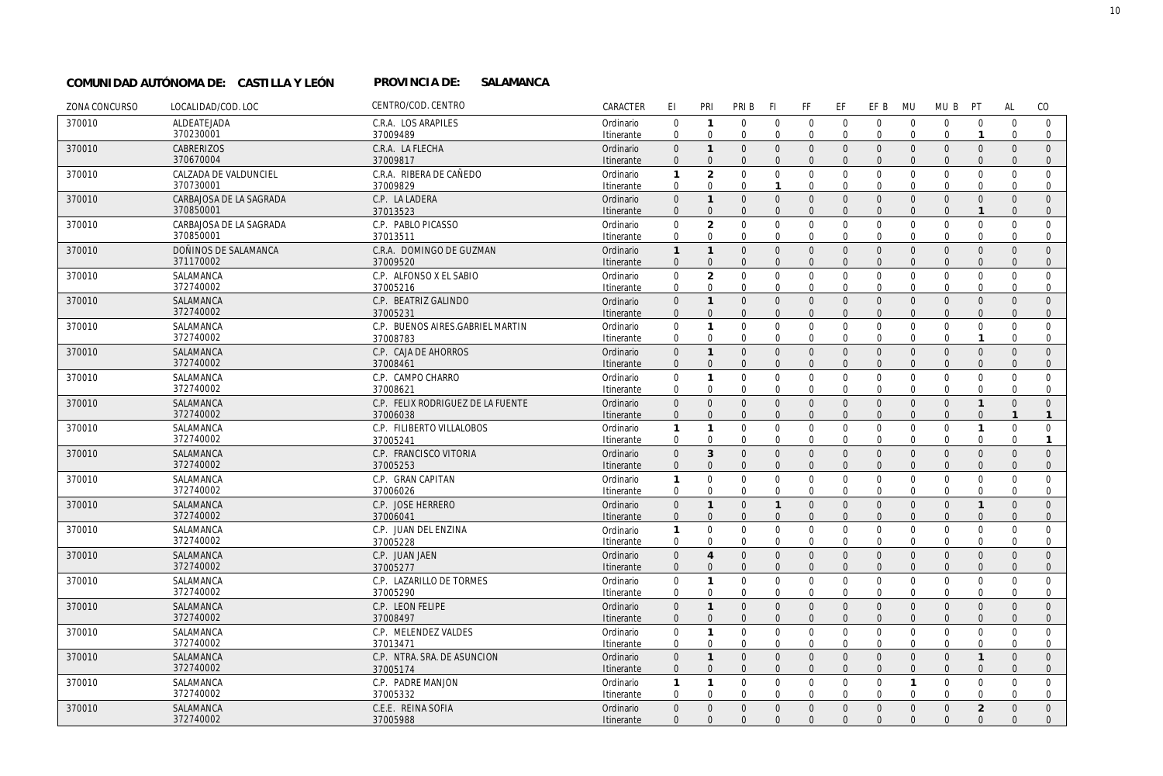#### PROVINCIA DE: SALAMANCA **COMUNIDAD AUTÓNOMA DE: CASTILLA Y LEÓN PROVINCIA DE:**

| ZONA CONCURSO | LOCALIDAD/COD. LOC      | CENTRO/COD. CENTRO                | CARACTER                | EI                                  | PRI                          | PRI B                        | F1                         | FF                           | EF                       | EF B                     | MU                   | MU B                       | PT                      | <b>AL</b>            | CO                             |
|---------------|-------------------------|-----------------------------------|-------------------------|-------------------------------------|------------------------------|------------------------------|----------------------------|------------------------------|--------------------------|--------------------------|----------------------|----------------------------|-------------------------|----------------------|--------------------------------|
| 370010        | ALDEATEJADA             | C.R.A. LOS ARAPILES               | Ordinario               | $\mathbf 0$                         | $\mathbf{1}$                 | $\mathbf 0$                  | $\overline{0}$             | $\mathbf 0$                  | $\mathbf{0}$             | $\mathbf 0$              | $\mathbf 0$          | $\mathbf 0$                | $\mathbf 0$             | $\mathbf 0$          | $\mathbf 0$                    |
|               | 370230001               | 37009489                          | Itinerante              | $\mathbf 0$                         | $\mathbf 0$                  | $\Omega$                     | $\Omega$                   | $\mathbf 0$                  | $\Omega$                 | $\Omega$                 | $\Omega$             | $\Omega$                   |                         | $\Omega$             | $\mathbf{0}$                   |
| 370010        | <b>CABRERIZOS</b>       | C.R.A. LA FLECHA                  | Ordinario               | $\mathbf{0}$                        | $\mathbf{1}$                 | $\mathbf{0}$                 | $\overline{0}$             | $\mathbf{0}$                 | $\mathbf{0}$             | $\mathbf{0}$             | $\Omega$             | $\Omega$                   | $\Omega$                | $\Omega$             | $\mathbf{0}$                   |
|               | 370670004               | 37009817                          | Itinerante              | $\mathbf{0}$                        | $\mathbf{0}$                 | $\mathbf{0}$                 | $\overline{0}$             | $\mathbf{0}$                 | $\mathbf{0}$             | $\mathbf{0}$             | $\Omega$             | $\mathbf{0}$               | $\Omega$                | $\Omega$             | $\mathbf 0$                    |
| 370010        | CALZADA DE VALDUNCIEL   | C.R.A. RIBERA DE CAÑEDO           | Ordinario               | $\mathbf{1}$                        | $\overline{2}$               | $\mathbf 0$                  | $\overline{0}$             | $\mathbf 0$                  | $\mathbf 0$              | $\mathbf 0$              | $\mathbf 0$          | $\mathbf 0$                | $\Omega$                | $\Omega$             | $\mathbf 0$                    |
|               | 370730001               | 37009829                          | Itinerante              | $\mathbf 0$                         | $\mathbf 0$                  | $\mathbf 0$                  | $\mathbf{1}$               | $\mathbf 0$                  | $\mathbf{0}$             | $\Omega$                 | $\Omega$             | $\mathbf 0$                | $\Omega$                | $\Omega$             | $\mathbf 0$                    |
| 370010        | CARBAJOSA DE LA SAGRADA | C.P. LA LADERA                    | Ordinario               | $\mathsf{O}\xspace$                 | $\mathbf{1}$                 | $\mathbf 0$                  | $\mathbf 0$                | $\mathbf 0$                  | $\mathbf{0}$             | $\mathbf{0}$             | $\mathbf{0}$         | $\mathbf{0}$               | $\mathbf{0}$            | $\mathbf{0}$         | $\mathbf 0$                    |
|               | 370850001               | 37013523                          | Itinerante              | $\Omega$                            | $\Omega$                     | $\overline{0}$               | $\Omega$                   | $\mathbf{0}$                 | $\Omega$                 | $\Omega$                 | $\Omega$             | $\Omega$                   | $\mathbf{1}$            | $\Omega$             | $\mathbf{0}$                   |
| 370010        | CARBAJOSA DE LA SAGRADA | C.P. PABLO PICASSO                | Ordinario               | $\mathbf 0$                         | $\overline{2}$               | $\mathbf 0$                  | $\mathbf 0$                | $\mathbf 0$                  | $\mathbf{0}$             | $\mathbf 0$              | $\mathbf 0$          | $\mathbf 0$                | $\mathbf 0$             | $\mathbf 0$          | $\mathbf 0$                    |
|               | 370850001               | 37013511                          | Itinerante              | $\Omega$                            | $\Omega$                     | $\mathbf 0$                  | $\Omega$                   | $\mathbf 0$                  | $\Omega$                 | $\Omega$                 | $\Omega$             | $\Omega$                   | $\Omega$                | $\Omega$             | $\mathbf{0}$                   |
| 370010        | DOÑINOS DE SALAMANCA    | C.R.A. DOMINGO DE GUZMAN          | Ordinario               | $\mathbf{1}$                        | $\mathbf{1}$                 | $\mathbf{0}$                 | $\overline{0}$             | $\mathbf{0}$                 | $\mathbf{0}$             | $\Omega$                 | $\Omega$             | $\Omega$                   | $\Omega$                | $\Omega$             | $\mathbf{0}$                   |
|               | 371170002               | 37009520                          | Itinerante              | $\Omega$                            | $\Omega$                     | $\mathbf{0}$                 | $\Omega$                   | $\mathbf{0}$                 | $\mathbf{0}$             | $\mathbf{0}$             | $\Omega$             | $\Omega$                   | $\Omega$                | $\Omega$             | $\mathbf 0$                    |
| 370010        | SALAMANCA               | C.P. ALFONSO X EL SABIO           | Ordinario               | $\mathbf 0$                         | $\overline{2}$               | $\mathbf 0$                  | $\Omega$                   | $\mathbf 0$                  | $\Omega$                 | $\Omega$                 | $\Omega$             | $\Omega$                   | $\Omega$                | $\Omega$             | $\Omega$                       |
|               | 372740002               | 37005216                          | Itinerante              | $\mathbf 0$                         | $\Omega$                     | $\mathbf 0$                  | $\mathbf 0$                | $\mathbf 0$                  | $\mathbf 0$              | $\Omega$                 | $\Omega$             | $\Omega$                   | $\Omega$                | $\Omega$             | $\mathbf 0$                    |
| 370010        | SALAMANCA               | C.P. BEATRIZ GALINDO              | Ordinario               | $\mathsf{O}\xspace$                 | $\mathbf{1}$                 | $\mathbf 0$                  | $\overline{0}$             | $\mathbf 0$                  | $\Omega$                 | $\mathbf{0}$             | $\Omega$             | $\Omega$                   | $\Omega$                | $\Omega$             | $\mathbf{0}$                   |
|               | 372740002               | 37005231                          | Itinerante              | $\Omega$                            | $\Omega$                     | $\overline{0}$               | $\Omega$                   | $\overline{0}$               | $\Omega$                 | $\Omega$                 | $\Omega$             | $\Omega$                   | $\Omega$                | $\Omega$             | $\mathbf{0}$                   |
| 370010        | SALAMANCA<br>372740002  | C.P. BUENOS AIRES.GABRIEL MARTIN  | Ordinario               | 0                                   | $\mathbf{1}$                 | $\mathbf 0$                  | $\mathbf 0$                | $\mathbf 0$                  | $\mathbf{0}$             | $\mathbf 0$              | $\Omega$             | $\mathbf 0$                | $\mathbf 0$             | $\mathbf 0$          | $\mathbf 0$                    |
|               |                         | 37008783                          | Itinerante              | $\mathbf 0$                         | $\mathbf 0$                  | $\mathbf 0$                  | $\Omega$                   | $\mathbf 0$                  | 0                        | 0                        | $\Omega$             | 0                          |                         | $\Omega$             | $\mathbf 0$                    |
| 370010        | SALAMANCA<br>372740002  | C.P. CAJA DE AHORROS<br>37008461  | Ordinario               | $\mathsf{O}\xspace$<br>$\mathbf{0}$ | $\mathbf{1}$<br>$\mathbf{0}$ | $\mathbf{0}$<br>$\mathbf{0}$ | $\overline{0}$<br>$\Omega$ | $\mathbf{0}$<br>$\mathbf{0}$ | $\Omega$<br>$\mathbf{0}$ | $\Omega$<br>$\mathbf{0}$ | $\Omega$<br>$\Omega$ | $\Omega$<br>$\mathbf{0}$   | $\Omega$<br>$\Omega$    | $\Omega$<br>$\Omega$ | $\mathbf{0}$<br>$\overline{0}$ |
|               |                         |                                   | Itinerante              |                                     |                              |                              |                            |                              |                          |                          |                      |                            |                         |                      |                                |
| 370010        | SALAMANCA<br>372740002  | C.P. CAMPO CHARRO<br>37008621     | Ordinario<br>Itinerante | 0<br>$\mathbf 0$                    | $\mathbf{1}$<br>$\mathbf 0$  | $\mathbf 0$<br>$\mathbf 0$   | $\Omega$<br>$\Omega$       | $\mathbf 0$<br>$\mathbf 0$   | $\Omega$<br>$\mathbf 0$  | $\mathbf 0$<br>$\Omega$  | $\Omega$<br>$\Omega$ | $\mathbf 0$<br>$\mathbf 0$ | $\Omega$<br>$\mathbf 0$ | $\Omega$<br>$\Omega$ | $\mathbf 0$<br>$\mathbf 0$     |
| 370010        | SALAMANCA               | C.P. FELIX RODRIGUEZ DE LA FUENTE |                         | $\mathsf{O}\xspace$                 | $\mathbf 0$                  | $\mathbf 0$                  |                            | $\mathbf 0$                  | $\mathbf{0}$             | $\mathbf{0}$             | $\mathbf{0}$         | $\mathbf 0$                | $\mathbf{1}$            | $\mathbf{0}$         | $\mathbf 0$                    |
|               | 372740002               | 37006038                          | Ordinario<br>Itinerante | $\mathbf{0}$                        | $\mathbf{0}$                 | $\Omega$                     | $\mathbf 0$<br>$\Omega$    | $\Omega$                     | $\Omega$                 | $\Omega$                 | $\Omega$             | $\Omega$                   | $\Omega$                | $\mathbf{1}$         | $\mathbf{1}$                   |
| 370010        | SALAMANCA               | C.P. FILIBERTO VILLALOBOS         | Ordinario               | 1                                   | $\mathbf{1}$                 | $\mathbf 0$                  | $\mathbf 0$                | $\mathbf 0$                  | $\mathbf 0$              | $\mathbf 0$              | $\mathbf 0$          | $\mathbf 0$                | $\mathbf{1}$            | $\mathbf 0$          | $\mathbf 0$                    |
|               | 372740002               | 37005241                          | Itinerante              | $\mathbf 0$                         | $\mathbf 0$                  | $\mathbf 0$                  | $\mathbf 0$                | $\mathbf 0$                  | $\mathbf 0$              | $\Omega$                 | $\Omega$             | $\Omega$                   | $\mathbf 0$             | $\Omega$             | $\mathbf{1}$                   |
| 370010        | SALAMANCA               | C.P. FRANCISCO VITORIA            | Ordinario               | $\mathbf{0}$                        | 3                            | $\mathbf{0}$                 | $\overline{0}$             | $\mathbf{0}$                 | $\mathbf{0}$             | $\mathbf{0}$             | $\Omega$             | $\mathbf{0}$               | $\Omega$                | $\Omega$             | $\mathbf{0}$                   |
|               | 372740002               | 37005253                          | Itinerante              | $\mathbf{0}$                        | $\Omega$                     | $\Omega$                     | $\Omega$                   | $\mathbf{0}$                 | $\Omega$                 | $\Omega$                 | $\Omega$             | $\Omega$                   | $\Omega$                | $\Omega$             | $\mathbf 0$                    |
| 370010        | <b>SALAMANCA</b>        | C.P. GRAN CAPITAN                 | Ordinario               | $\mathbf{1}$                        | $\mathbf 0$                  | $\mathbf 0$                  | $\mathbf 0$                | $\mathbf 0$                  | $\Omega$                 | $\Omega$                 | $\Omega$             | $\Omega$                   | $\Omega$                | $\Omega$             | $\mathbf 0$                    |
|               | 372740002               | 37006026                          | Itinerante              | $\mathbf 0$                         | $\mathbf 0$                  | $\mathbf{0}$                 | $\Omega$                   | $\mathbf 0$                  | $\mathbf 0$              | $\Omega$                 | $\Omega$             | $\Omega$                   | $\Omega$                | $\Omega$             | $\mathbf 0$                    |
| 370010        | SALAMANCA               | C.P. JOSE HERRERO                 | Ordinario               | $\boldsymbol{0}$                    | $\mathbf{1}$                 | $\mathbf 0$                  | $\mathbf{1}$               | $\mathbf 0$                  | $\mathbf{0}$             | $\mathbf{0}$             | $\Omega$             | $\mathbf 0$                |                         | $\Omega$             | $\mathbf{0}$                   |
|               | 372740002               | 37006041                          | <b>Itinerante</b>       | $\mathbf{0}$                        | $\Omega$                     | $\Omega$                     | $\Omega$                   | $\Omega$                     | $\Omega$                 | $\Omega$                 | $\Omega$             | $\Omega$                   | $\Omega$                | $\Omega$             | $\mathbf{0}$                   |
| 370010        | SALAMANCA               | C.P. JUAN DEL ENZINA              | Ordinario               | 1                                   | $\mathbf 0$                  | $\mathbf 0$                  | $\overline{0}$             | $\mathbf 0$                  | $\mathbf 0$              | $\mathbf 0$              | $\Omega$             | $\mathbf 0$                | $\mathbf 0$             | $\Omega$             | $\mathbf{0}$                   |
|               | 372740002               | 37005228                          | Itinerante              | $\mathbf 0$                         | $\Omega$                     | $\mathbf{0}$                 | $\mathbf 0$                | $\mathbf 0$                  | $\mathbf 0$              | 0                        | $\Omega$             | 0                          | $\mathbf 0$             | $\Omega$             | $\mathbf 0$                    |
| 370010        | SALAMANCA               | C.P. JUAN JAEN                    | Ordinario               | $\mathbf{0}$                        | $\overline{4}$               | $\overline{0}$               | $\overline{0}$             | $\mathbf{0}$                 | $\Omega$                 | $\mathbf{0}$             | $\Omega$             | $\Omega$                   | $\Omega$                | $\Omega$             | $\mathbf{0}$                   |
|               | 372740002               | 37005277                          | Itinerante              | $\boldsymbol{0}$                    | $\Omega$                     | $\overline{0}$               | $\overline{0}$             | $\mathbf{0}$                 | $\Omega$                 | $\mathbf{0}$             | $\Omega$             | $\Omega$                   | $\Omega$                | $\Omega$             | $\mathbf 0$                    |
| 370010        | SALAMANCA               | C.P. LAZARILLO DE TORMES          | Ordinario               | $\mathbf 0$                         | $\mathbf{1}$                 | $\mathbf 0$                  | $\mathbf 0$                | $\mathbf 0$                  | $\mathbf 0$              | $\mathbf 0$              | $\mathbf 0$          | $\mathbf 0$                | $\mathbf 0$             | $\Omega$             | $\mathbf 0$                    |
|               | 372740002               | 37005290                          | Itinerante              | $\mathbf 0$                         | $\mathbf 0$                  | $\mathbf 0$                  | $\mathbf 0$                | $\mathbf 0$                  | $\mathbf 0$              | $\Omega$                 | $\Omega$             | 0                          | $\mathbf 0$             | $\Omega$             | $\mathbf 0$                    |
| 370010        | SALAMANCA               | C.P. LEON FELIPE                  | Ordinario               | $\boldsymbol{0}$                    | $\mathbf{1}$                 | $\mathbf 0$                  | $\overline{0}$             | $\mathbf{0}$                 | $\mathbf{0}$             | $\mathbf{0}$             | $\mathbf{0}$         | $\mathbf{0}$               | $\mathbf{0}$            | $\mathbf{0}$         | $\mathbf 0$                    |
|               | 372740002               | 37008497                          | Itinerante              | $\mathbf{0}$                        | $\Omega$                     | $\Omega$                     | $\Omega$                   | $\Omega$                     | $\Omega$                 | $\Omega$                 | $\Omega$             | $\Omega$                   | $\Omega$                | $\Omega$             | $\mathbf{0}$                   |
| 370010        | SALAMANCA               | C.P. MELENDEZ VALDES              | Ordinario               | $\mathbf 0$                         | $\mathbf{1}$                 | $\mathbf 0$                  | $\Omega$                   | $\mathbf 0$                  | $\mathbf 0$              | $\mathbf 0$              | $\Omega$             | $\Omega$                   | $\mathbf 0$             | $\Omega$             | $\mathbf{0}$                   |
|               | 372740002               | 37013471                          | Itinerante              | $\mathbf 0$                         | $\mathbf 0$                  | $\mathbf 0$                  | $\mathbf 0$                | $\mathbf 0$                  | $\mathbf{0}$             | $\mathbf 0$              | $\Omega$             | 0                          | $\mathbf 0$             | $\Omega$             | $\mathbf{0}$                   |
| 370010        | SALAMANCA               | C.P. NTRA. SRA. DE ASUNCION       | Ordinario               | $\mathbf{0}$                        | $\mathbf{1}$                 | $\mathbf{0}$                 | $\overline{0}$             | $\overline{0}$               | $\mathbf{0}$             | $\mathbf{0}$             | $\mathbf{0}$         | $\Omega$                   | $\mathbf{1}$            | $\Omega$             | $\mathbf{0}$                   |
|               | 372740002               | 37005174                          | Itinerante              | $\mathbf{0}$                        | $\Omega$                     | $\Omega$                     | $\Omega$                   | $\Omega$                     | $\Omega$                 | $\Omega$                 | $\Omega$             | $\Omega$                   | $\Omega$                | $\Omega$             | $\mathbf{0}$                   |
| 370010        | SALAMANCA               | C.P. PADRE MANJON                 | Ordinario               | $\mathbf{1}$                        | $\mathbf{1}$                 | $\mathbf 0$                  | $\mathbf 0$                | 0                            | $\mathbf 0$              | 0                        | $\mathbf{1}$         | $\mathbf 0$                | $\mathbf 0$             | $\mathbf 0$          | $\mathbf 0$                    |
|               | 372740002               | 37005332                          | Itinerante              | $\mathbf 0$                         | $\Omega$                     | $\mathbf 0$                  | $\Omega$                   | $\mathbf 0$                  | $\Omega$                 | $\Omega$                 | $\Omega$             | $\Omega$                   | $\Omega$                | $\Omega$             | $\mathbf{0}$                   |
| 370010        | SALAMANCA               | C.E.E. REINA SOFIA                | Ordinario               | $\mathbf{0}$                        | $\Omega$                     | $\mathbf{0}$                 | $\overline{0}$             | $\mathbf{0}$                 | $\mathbf{0}$             | $\mathbf{0}$             | $\Omega$             | $\Omega$                   | $\overline{2}$          | $\Omega$             | $\mathbf{0}$                   |
|               | 372740002               | 37005988                          | Itinerante              | $\Omega$                            | $\Omega$                     | $\Omega$                     | $\Omega$                   | $\Omega$                     | $\Omega$                 | $\Omega$                 | $\Omega$             | $\Omega$                   | $\Omega$                | $\Omega$             | $\overline{0}$                 |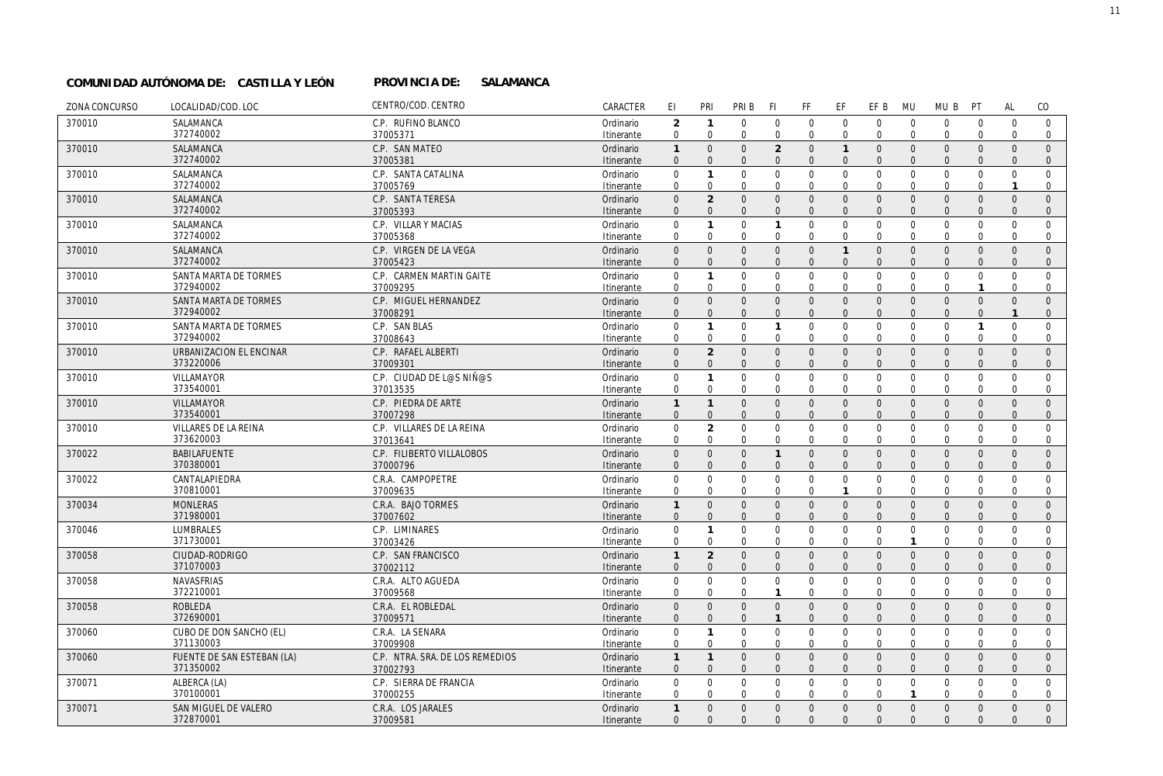#### PROVINCIA DE: SALAMANCA **COMUNIDAD AUTÓNOMA DE: CASTILLA Y LEÓN PROVINCIA DE:**

| ZONA CONCURSO | LOCALIDAD/COD. LOC                 | CENTRO/COD. CENTRO                    | CARACTER                | EI                                  | PRI                           | PRI B                        | <b>FI</b>                  | FF                           | EF                          | EF B                         | MU                             | MU B                         | PT                           | <b>AL</b>                    | CO                             |
|---------------|------------------------------------|---------------------------------------|-------------------------|-------------------------------------|-------------------------------|------------------------------|----------------------------|------------------------------|-----------------------------|------------------------------|--------------------------------|------------------------------|------------------------------|------------------------------|--------------------------------|
| 370010        | SALAMANCA                          | C.P. RUFINO BLANCO                    | Ordinario               | 2                                   | $\mathbf{1}$                  | $\mathbf 0$                  | $\mathbf 0$                | $\mathbf 0$                  | $\mathbf 0$                 | $\mathbf 0$                  | $\overline{0}$                 | $\mathbf{0}$                 | $\mathbf 0$                  | $\mathbf 0$                  | $\overline{0}$                 |
|               | 372740002                          | 37005371                              | Itinerante              | $\mathbf 0$                         | $\mathbf 0$                   | $\Omega$                     | $\mathbf 0$                | $\mathbf 0$                  | $\Omega$                    | $\Omega$                     | $\Omega$                       | $\Omega$                     | $\Omega$                     | $\Omega$                     | $\Omega$                       |
| 370010        | SALAMANCA                          | C.P. SAN MATEO                        | Ordinario               | $\mathbf{1}$                        | $\Omega$                      | $\Omega$                     | $\overline{2}$             | $\mathbf{0}$                 | $\overline{1}$              | $\overline{0}$               | $\Omega$                       | $\Omega$                     | $\mathbf{0}$                 | $\Omega$                     | $\mathbf{0}$                   |
|               | 372740002                          | 37005381                              | Itinerante              | $\Omega$                            | $\Omega$                      | $\Omega$                     | $\Omega$                   | $\overline{0}$               | $\overline{0}$              | $\mathbf{0}$                 | $\Omega$                       | $\mathbf{0}$                 | $\Omega$                     | $\Omega$                     | $\mathbf{0}$                   |
| 370010        | SALAMANCA<br>372740002             | C.P. SANTA CATALINA<br>37005769       | Ordinario<br>Itinerante | $\mathbf 0$<br>$\mathbf 0$          | $\mathbf{1}$<br>$\Omega$      | $\Omega$<br>$\mathbf 0$      | $\mathbf 0$<br>$\mathbf 0$ | $\mathbf 0$<br>$\mathbf 0$   | $\mathbf 0$<br>$\mathbf 0$  | $\mathbf{0}$<br>$\mathbf 0$  | $\overline{0}$<br>$\mathbf 0$  | $\Omega$<br>$\mathbf 0$      | $\mathbf 0$<br>$\Omega$      | $\Omega$<br>$\mathbf{1}$     | $\Omega$<br>$\Omega$           |
| 370010        | SALAMANCA                          | C.P. SANTA TERESA                     | Ordinario               | $\Omega$                            | $\overline{2}$                | $\mathbf{0}$                 | $\Omega$                   | $\mathbf{0}$                 | $\overline{0}$              | $\mathbf{0}$                 | $\Omega$                       | $\mathbf{0}$                 | $\mathbf{0}$                 | $\mathbf{0}$                 | $\mathbf{0}$                   |
|               | 372740002                          | 37005393                              | <b>Itinerante</b>       | $\Omega$                            | $\Omega$                      | $\Omega$                     | $\Omega$                   | $\Omega$                     | $\Omega$                    | $\Omega$                     | $\Omega$                       | $\Omega$                     | $\Omega$                     | $\Omega$                     | $\Omega$                       |
| 370010        | SALAMANCA                          | C.P. VILLAR Y MACIAS                  | Ordinario               | $\mathbf 0$                         | $\mathbf{1}$                  | $\Omega$                     | $\mathbf{1}$               | $\mathbf 0$                  | $\mathbf 0$                 | $\mathbf 0$                  | $\mathbf 0$                    | $\Omega$                     | $\mathbf 0$                  | $\Omega$                     | $\Omega$                       |
|               | 372740002                          | 37005368                              | Itinerante              | $\Omega$                            | $\Omega$                      | $\mathbf 0$                  | $\Omega$                   | $\mathbf 0$                  | $\mathbf 0$                 | $\mathbf 0$                  | $\Omega$                       | $\mathbf 0$                  | 0                            | $\mathbf 0$                  | $\mathbf 0$                    |
| 370010        | SALAMANCA                          | C.P. VIRGEN DE LA VEGA                | Ordinario               | $\Omega$                            | $\Omega$                      | $\Omega$                     | $\Omega$                   | $\mathbf{0}$                 | $\mathbf{1}$                | $\mathbf{0}$                 | $\Omega$                       | $\mathbf{0}$                 | $\Omega$                     | $\Omega$                     | $\Omega$                       |
|               | 372740002                          | 37005423                              | Itinerante              | $\Omega$                            | $\Omega$                      | $\Omega$                     | $\Omega$                   | $\overline{0}$               | $\overline{0}$              | $\mathbf{0}$                 | $\Omega$                       | $\mathbf{0}$                 | $\Omega$                     | $\Omega$                     | $\mathbf{0}$                   |
| 370010        | SANTA MARTA DE TORMES              | C.P. CARMEN MARTIN GAITE              | Ordinario               | 0                                   | $\mathbf{1}$                  | $\mathbf 0$                  | $\mathbf 0$                | $\mathbf 0$                  | $\mathbf 0$                 | $\mathbf 0$                  | $\mathbf 0$                    | $\mathbf 0$                  | 0                            | $\mathbf 0$                  | $\mathbf 0$                    |
|               | 372940002                          | 37009295                              | Itinerante              | $\Omega$                            | $\Omega$                      | $\Omega$                     | $\mathbf 0$                | $\mathbf 0$                  | $\mathbf 0$                 | $\mathbf 0$                  | $\mathbf 0$                    | $\mathbf 0$                  | $\mathbf{1}$                 | $\Omega$                     | $\mathbf{0}$                   |
| 370010        | SANTA MARTA DE TORMES<br>372940002 | C.P. MIGUEL HERNANDEZ<br>37008291     | Ordinario<br>Itinerante | $\mathsf{O}\xspace$<br>$\mathbf{0}$ | $\Omega$<br>$\Omega$          | $\mathbf{0}$<br>$\mathbf{0}$ | $\Omega$<br>$\mathbf{0}$   | $\mathbf{0}$<br>$\mathbf{0}$ | $\overline{0}$<br>$\Omega$  | $\mathbf{0}$<br>$\mathbf{0}$ | $\Omega$<br>$\Omega$           | $\mathbf{0}$<br>$\mathbf{0}$ | $\mathbf{0}$<br>$\mathbf{0}$ | $\mathbf{0}$<br>$\mathbf{1}$ | $\mathbf{0}$<br>$\overline{0}$ |
| 370010        | SANTA MARTA DE TORMES              | C.P. SAN BLAS                         | Ordinario               | $\mathsf{O}\xspace$                 | $\mathbf{1}$                  | $\mathbf 0$                  | $\mathbf{1}$               | $\mathbf 0$                  | $\mathbf 0$                 | $\mathbf 0$                  | $\mathbf 0$                    | $\Omega$                     | $\mathbf{1}$                 | $\Omega$                     | $\Omega$                       |
|               | 372940002                          | 37008643                              | Itinerante              | $\mathbf 0$                         | $\mathbf 0$                   | $\mathbf 0$                  | $\mathbf 0$                | $\mathbf 0$                  | $\mathbf 0$                 | $\mathbf 0$                  | $\mathbf 0$                    | $\mathbf 0$                  | $\mathbf 0$                  | $\Omega$                     | $\mathbf{0}$                   |
| 370010        | URBANIZACION EL ENCINAR            | C.P. RAFAEL ALBERTI                   | Ordinario               | $\overline{0}$                      | $\overline{2}$                | $\mathbf{0}$                 | $\Omega$                   | $\mathbf 0$                  | $\mathbf 0$                 | $\mathbf 0$                  | $\Omega$                       | $\mathbf{0}$                 | $\mathbf{0}$                 | $\Omega$                     | $\mathbf{0}$                   |
|               | 373220006                          | 37009301                              | Itinerante              | $\Omega$                            | $\mathbf{0}$                  | $\Omega$                     | $\Omega$                   | $\Omega$                     | $\Omega$                    | $\Omega$                     | $\Omega$                       | $\Omega$                     | $\Omega$                     | $\Omega$                     | $\mathbf{0}$                   |
| 370010        | VILLAMAYOR                         | C.P. CIUDAD DE L@S NIÑ@S              | Ordinario               | $\mathsf{O}\xspace$                 | $\mathbf{1}$                  | $\mathbf 0$                  | $\mathbf 0$                | $\mathbf 0$                  | $\mathbf 0$                 | $\mathbf 0$                  | $\overline{0}$                 | $\mathbf 0$                  | $\mathbf 0$                  | $\mathbf 0$                  | $\mathbf 0$                    |
|               | 373540001                          | 37013535                              | Itinerante              | $\mathbf 0$                         | $\mathbf 0$                   | $\mathbf 0$                  | $\mathbf 0$                | $\mathbf 0$                  | $\mathbf 0$                 | $\mathbf 0$                  | $\mathbf 0$                    | $\mathbf 0$                  | 0                            | $\mathbf 0$                  | $\mathbf 0$                    |
| 370010        | <b>VILLAMAYOR</b>                  | C.P. PIEDRA DE ARTE                   | Ordinario               | $\mathbf{1}$                        | $\mathbf{1}$                  | $\mathbf{0}$                 | $\Omega$                   | $\mathbf 0$                  | $\overline{0}$              | $\overline{0}$               | $\Omega$                       | $\mathbf{0}$                 | $\mathbf{0}$                 | $\mathbf{0}$                 | $\mathbf{0}$                   |
|               | 373540001                          | 37007298                              | Itinerante              | $\mathbf{0}$                        | $\overline{0}$                | $\mathbf{0}$                 | $\Omega$                   | $\mathbf{0}$                 | $\mathbf{0}$                | $\mathbf{0}$                 | $\Omega$                       | $\mathbf{0}$                 | $\Omega$                     | $\Omega$                     | $\overline{0}$                 |
| 370010        | VILLARES DE LA REINA<br>373620003  | C.P. VILLARES DE LA REINA<br>37013641 | Ordinario<br>Itinerante | $\Omega$<br>$\mathbf 0$             | $\overline{2}$<br>$\mathbf 0$ | $\Omega$<br>$\Omega$         | $\Omega$<br>$\mathbf 0$    | $\mathbf 0$<br>$\mathbf 0$   | $\mathbf 0$<br>$\mathbf 0$  | $\mathbf{0}$<br>$\Omega$     | $\Omega$<br>$\Omega$           | $\mathbf 0$<br>$\mathbf 0$   | $\mathbf 0$<br>$\Omega$      | $\Omega$<br>$\Omega$         | $\Omega$<br>$\mathbf{0}$       |
| 370022        | <b>BABILAFUENTE</b>                | C.P. FILIBERTO VILLALOBOS             | Ordinario               | $\Omega$                            | $\mathbf{0}$                  | $\mathbf{0}$                 | $\mathbf{1}$               | $\mathbf{0}$                 | $\mathbf 0$                 | $\mathbf 0$                  | $\Omega$                       | $\mathbf{0}$                 | $\mathbf{0}$                 | $\mathbf{0}$                 | $\mathbf{0}$                   |
|               | 370380001                          | 37000796                              | Itinerante              | $\Omega$                            | $\Omega$                      | $\Omega$                     | $\Omega$                   | $\Omega$                     | $\Omega$                    | $\Omega$                     | $\Omega$                       | $\Omega$                     | $\Omega$                     | $\Omega$                     | $\overline{0}$                 |
| 370022        | CANTALAPIEDRA                      | C.R.A. CAMPOPETRE                     | Ordinario               | $\mathbf 0$                         | $\Omega$                      | $\mathbf 0$                  | $\mathbf 0$                | $\mathbf 0$                  | $\mathbf 0$                 | $\mathbf 0$                  | $\mathbf 0$                    | $\mathbf 0$                  | $\Omega$                     | $\Omega$                     | $\Omega$                       |
|               | 370810001                          | 37009635                              | Itinerante              | $\mathbf 0$                         | $\Omega$                      | $\mathbf 0$                  | $\mathbf 0$                | $\mathbf 0$                  | $\mathbf{1}$                | $\mathbf 0$                  | $\Omega$                       | $\mathbf 0$                  | 0                            | $\mathbf 0$                  | $\mathbf{0}$                   |
| 370034        | <b>MONLERAS</b>                    | C.R.A. BAJO TORMES                    | Ordinario               | $\mathbf{1}$                        | $\Omega$                      | $\Omega$                     | $\Omega$                   | $\mathbf{0}$                 | $\overline{0}$              | $\mathbf{0}$                 | $\Omega$                       | $\mathbf{0}$                 | $\mathbf{0}$                 | $\Omega$                     | $\Omega$                       |
|               | 371980001                          | 37007602                              | Itinerante              | $\mathbf{0}$                        | $\Omega$                      | $\mathbf{0}$                 | $\Omega$                   | $\mathbf{0}$                 | $\overline{0}$              | $\mathbf{0}$                 | $\Omega$                       | $\mathbf{0}$                 | $\mathbf{0}$                 | $\Omega$                     | $\mathbf{0}$                   |
| 370046        | <b>LUMBRALES</b><br>371730001      | C.P. LIMINARES                        | Ordinario               | $\boldsymbol{0}$                    | $\mathbf{1}$                  | $\mathbf 0$                  | $\mathbf 0$                | $\mathbf 0$                  | $\mathbf 0$                 | $\mathsf 0$                  | $\mathbf{0}$                   | $\mathbf 0$                  | $\mathbf 0$                  | $\mathbf 0$                  | $\mathbf 0$                    |
|               | CIUDAD-RODRIGO                     | 37003426<br>C.P. SAN FRANCISCO        | Itinerante              | $\mathbf 0$<br>$\mathbf{1}$         | $\Omega$<br>$\overline{2}$    | $\Omega$<br>$\mathbf{0}$     | $\Omega$<br>$\mathbf{0}$   | $\mathbf 0$                  | $\mathbf 0$<br>$\mathsf{O}$ | $\Omega$<br>$\mathbf{0}$     | $\mathbf{1}$<br>$\overline{0}$ | $\Omega$<br>$\mathbf{0}$     | $\Omega$<br>$\mathbf{0}$     | $\Omega$<br>$\mathbf{0}$     | $\Omega$<br>$\mathbf{0}$       |
| 370058        | 371070003                          | 37002112                              | Ordinario<br>Itinerante | $\mathbf 0$                         | $\overline{0}$                | $\mathbf{0}$                 | $\Omega$                   | $\mathbf 0$<br>$\mathbf 0$   | $\mathbf 0$                 | $\mathbf 0$                  | $\Omega$                       | $\mathbf{0}$                 | $\mathbf{0}$                 | $\mathbf{0}$                 | $\mathbf{0}$                   |
| 370058        | <b>NAVASFRIAS</b>                  | C.R.A. ALTO AGUEDA                    | Ordinario               | $\mathbf 0$                         | $\mathbf 0$                   | $\mathbf 0$                  | $\mathbf 0$                | $\mathbf{0}$                 | $\mathbf 0$                 | $\mathbf 0$                  | $\mathbf{0}$                   | $\Omega$                     | $\Omega$                     | $\Omega$                     | $\Omega$                       |
|               | 372210001                          | 37009568                              | Itinerante              | 0                                   | $\mathbf 0$                   | $\mathbf 0$                  | $\mathbf{1}$               | $\mathbf 0$                  | $\mathbf 0$                 | $\mathbf 0$                  | $\mathbf 0$                    | $\mathbf 0$                  | 0                            | $\Omega$                     | $\mathbf{0}$                   |
| 370058        | <b>ROBLEDA</b>                     | C.R.A. EL ROBLEDAL                    | Ordinario               | $\boldsymbol{0}$                    | $\mathbf{0}$                  | $\mathbf{0}$                 | $\mathbf 0$                | $\mathbf{0}$                 | $\mathsf 0$                 | $\mathbf{0}$                 | $\overline{0}$                 | $\mathbf{0}$                 | $\mathbf{0}$                 | $\mathbf{0}$                 | $\mathbf{0}$                   |
|               | 372690001                          | 37009571                              | Itinerante              | $\Omega$                            | $\Omega$                      | $\Omega$                     | $\mathbf{1}$               | $\Omega$                     | $\Omega$                    | $\Omega$                     | $\Omega$                       | $\Omega$                     | $\Omega$                     | $\Omega$                     | $\Omega$                       |
| 370060        | CUBO DE DON SANCHO (EL)            | C.R.A. LA SENARA                      | Ordinario               | $\mathbf 0$                         | $\mathbf{1}$                  | $\mathbf 0$                  | $\mathbf 0$                | $\mathbf 0$                  | $\mathsf 0$                 | $\mathbf 0$                  | $\mathbf 0$                    | $\mathbf 0$                  | $\mathbf 0$                  | $\mathbf 0$                  | $\mathbf 0$                    |
|               | 371130003                          | 37009908                              | Itinerante              | $\mathbf 0$                         | $\mathbf 0$                   | $\mathbf 0$                  | $\mathbf 0$                | $\mathbf 0$                  | $\mathbf 0$                 | $\mathbf{0}$                 | $\overline{0}$                 | $\mathbf 0$                  | $\mathbf 0$                  | $\mathbf 0$                  | $\mathbf{0}$                   |
| 370060        | FUENTE DE SAN ESTEBAN (LA)         | C.P. NTRA. SRA. DE LOS REMEDIOS       | Ordinario               | $\mathbf{1}$                        | $\mathbf{1}$                  | $\overline{0}$               | $\overline{0}$             | $\mathbf{0}$                 | $\overline{0}$              | $\mathbf{0}$                 | $\Omega$                       | $\mathbf{0}$                 | $\mathbf{0}$                 | $\mathbf{0}$                 | $\mathbf{0}$                   |
|               | 371350002                          | 37002793                              | Itinerante              | $\mathbf{0}$                        | $\Omega$                      | $\mathbf{0}$                 | $\Omega$                   | $\mathbf{0}$                 | $\Omega$                    | $\Omega$                     | $\Omega$                       | $\Omega$                     | $\Omega$                     | $\Omega$                     | $\mathbf{0}$                   |
| 370071        | ALBERCA (LA)<br>370100001          | C.P. SIERRA DE FRANCIA<br>37000255    | Ordinario<br>Itinerante | $\Omega$<br>$\Omega$                | $\Omega$<br>$\Omega$          | $\mathbf 0$<br>$\Omega$      | $\mathbf 0$<br>$\Omega$    | $\mathbf 0$<br>$\Omega$      | $\mathbf 0$<br>$\Omega$     | $\mathbf 0$<br>$\Omega$      | $\mathbf 0$<br>$\mathbf{1}$    | $\mathbf 0$<br>$\Omega$      | 0<br>$\Omega$                | $\mathbf 0$<br>$\Omega$      | $\mathbf 0$<br>$\Omega$        |
| 370071        | SAN MIGUEL DE VALERO               | C.R.A. LOS JARALES                    | Ordinario               | $\mathbf{1}$                        | $\Omega$                      | $\Omega$                     | $\mathbf{0}$               | $\mathbf{0}$                 | $\overline{0}$              | $\mathbf{0}$                 | $\mathbf{0}$                   | $\mathbf{0}$                 | $\mathbf{0}$                 | $\Omega$                     | $\mathbf{0}$                   |
|               | 372870001                          | 37009581                              | Itinerante              | $\Omega$                            | $\Omega$                      | $\Omega$                     | $\Omega$                   | $\Omega$                     | $\Omega$                    | $\Omega$                     | $\Omega$                       | $\Omega$                     | $\Omega$                     | $\Omega$                     | $\Omega$                       |
|               |                                    |                                       |                         |                                     |                               |                              |                            |                              |                             |                              |                                |                              |                              |                              |                                |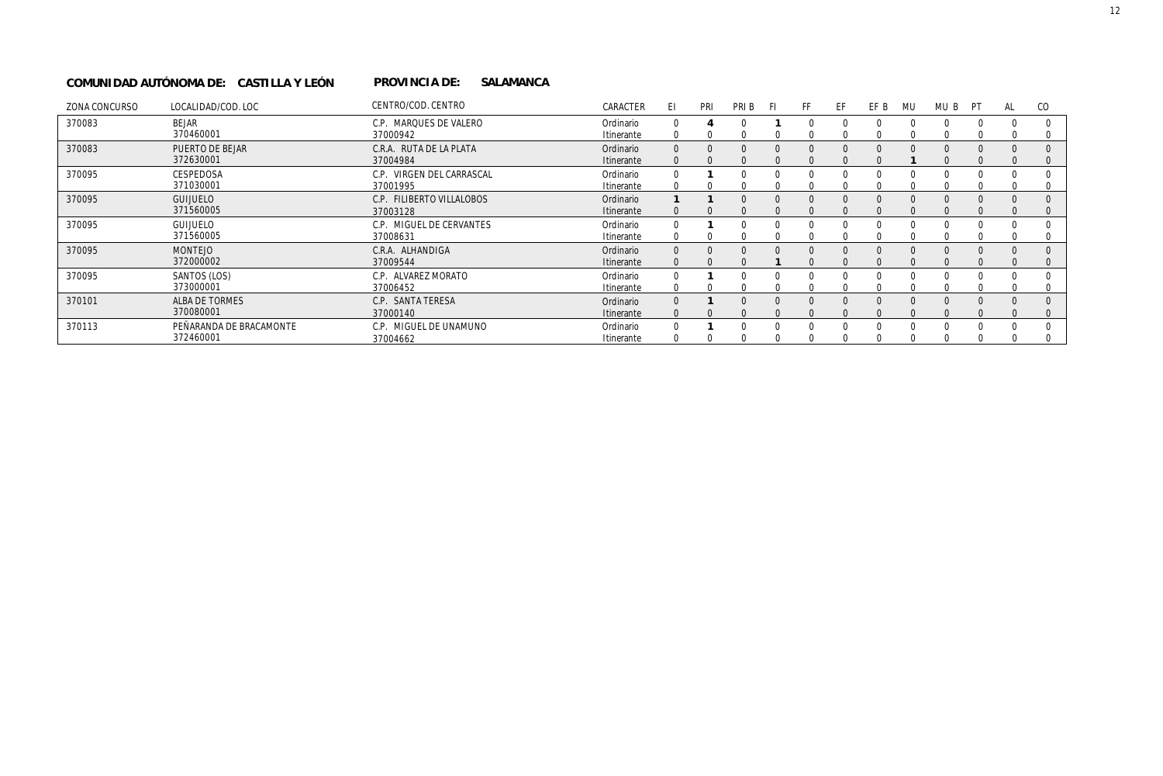#### PROVINCIA DE: SALAMANCA **COMUNIDAD AUTÓNOMA DE: CASTILLA Y LEÓN PROVINCIA DE:**

| ZONA CONCURSO | LOCALIDAD/COD. LOC                   | CENTRO/COD. CENTRO                    | CARACTER                | -FI                      | PRI      | PRI B                | Η                        | FF                       | FF                   | FF B                 | MU                   | MU B                 | PT           | AL                   | <sub>CO</sub>        |
|---------------|--------------------------------------|---------------------------------------|-------------------------|--------------------------|----------|----------------------|--------------------------|--------------------------|----------------------|----------------------|----------------------|----------------------|--------------|----------------------|----------------------|
| 370083        | <b>BEJAR</b><br>370460001            | C.P. MARQUES DE VALERO<br>37000942    | Ordinario<br>Itinerante | <sup>0</sup><br>$\Omega$ |          |                      |                          | 0                        | $\Omega$<br>∩        | $\Omega$             | $\Omega$             | $\Omega$             |              |                      |                      |
| 370083        | PUERTO DE BEJAR<br>372630001         | C.R.A. RUTA DE LA PLATA<br>37004984   | Ordinario<br>Itinerante | $\Omega$                 |          |                      | $\Omega$                 | $\Omega$<br><sup>0</sup> | $\Omega$<br>$\Omega$ | $\Omega$             | $\Omega$             | $\Omega$             | $\Omega$     | $\Omega$             | $\Omega$             |
| 370095        | CESPEDOSA<br>371030001               | C.P. VIRGEN DEL CARRASCAL<br>37001995 | Ordinario<br>Itinerante | $\Omega$                 |          |                      |                          | 0<br>0                   | $\Omega$<br>$\Omega$ | $\Omega$<br>$\Omega$ | <sup>0</sup>         | $\Omega$             | <sup>0</sup> | $\Omega$             | $\Omega$             |
| 370095        | <b>GUIJUELO</b><br>371560005         | C.P. FILIBERTO VILLALOBOS<br>37003128 | Ordinario<br>Itinerante | $\Omega$                 | $\Omega$ | $\Omega$<br>$\Omega$ | $\Omega$<br><sup>0</sup> | $\Omega$<br>$\Omega$     | $\Omega$<br>$\Omega$ | $\Omega$<br>$\Omega$ | $\Omega$<br>$\Omega$ | $\Omega$<br>$\Omega$ | $\Omega$     | $\Omega$<br>$\Omega$ | $\Omega$<br>$\Omega$ |
| 370095        | <b>GUIJUELO</b><br>371560005         | C.P. MIGUEL DE CERVANTES<br>37008631  | Ordinario<br>Itinerante |                          |          |                      | O                        | 0                        | $\Omega$             | $\Omega$             | <sup>0</sup>         | $\Omega$             |              |                      |                      |
| 370095        | <b>MONTEJO</b><br>372000002          | C.R.A. ALHANDIGA<br>37009544          | Ordinario<br>Itinerante | $\Omega$                 | $\Omega$ |                      |                          | $\Omega$                 | $\Omega$             | $\Omega$             | $\Omega$             | $\Omega$             |              |                      |                      |
| 370095        | SANTOS (LOS)<br>373000001            | C.P. ALVAREZ MORATO<br>37006452       | Ordinario<br>Itinerante | $\Omega$                 |          |                      |                          |                          | 0                    | $\Omega$             |                      |                      |              |                      |                      |
| 370101        | ALBA DE TORMES<br>370080001          | C.P. SANTA TERESA<br>37000140         | Ordinario<br>Itinerante | $\Omega$<br>$\Omega$     |          |                      |                          | $\Omega$<br>$\Omega$     | $\Omega$             | $\Omega$             | $\Omega$             | $\Omega$             |              |                      | $\Omega$             |
| 370113        | PEÑARANDA DE BRACAMONTE<br>372460001 | C.P. MIGUEL DE UNAMUNO<br>37004662    | Ordinario<br>Itinerante |                          |          |                      |                          |                          | ∩                    | $\Omega$             |                      | $\Omega$             |              |                      |                      |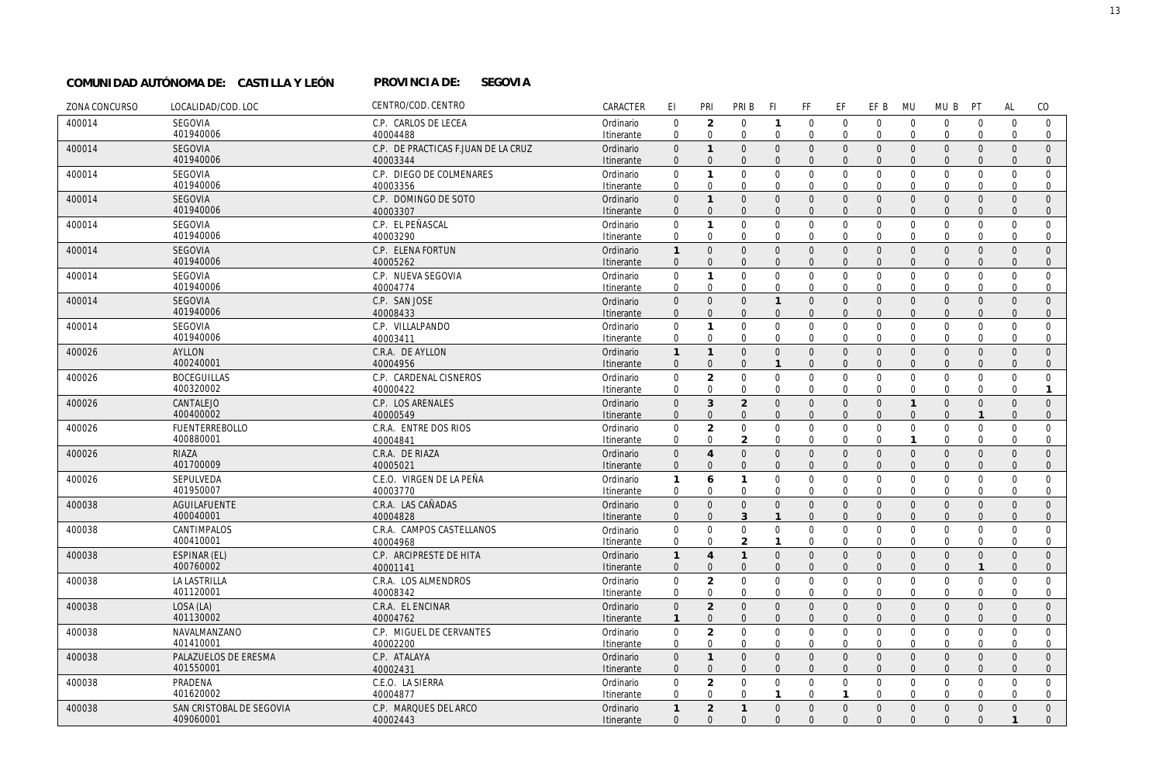#### **PROVINCIA DE:** SEGOVIA **COMUNIDAD AUTÓNOMA DE: CASTILLA Y LEÓN PROVINCIA DE:**

| ZONA CONCURSO | LOCALIDAD/COD. LOC       | CENTRO/COD. CENTRO                  | CARACTER   | EI                  | PRI                 | PRI B          | -FI            | FF             | EF             | EF B           | <b>MU</b>      | MU B             | PT               | <b>AL</b>    | CO             |
|---------------|--------------------------|-------------------------------------|------------|---------------------|---------------------|----------------|----------------|----------------|----------------|----------------|----------------|------------------|------------------|--------------|----------------|
| 400014        | SEGOVIA                  | C.P. CARLOS DE LECEA                | Ordinario  | $\boldsymbol{0}$    | $\overline{2}$      | $\mathbf{0}$   | $\mathbf{1}$   | $\mathbf 0$    | $\overline{0}$ | $\mathbf 0$    | $\mathbf 0$    | $\mathbf{0}$     | $\mathbf 0$      | $\mathbf 0$  | $\mathbf 0$    |
|               | 401940006                | 40004488                            | Itinerante | $\mathbf 0$         | $\mathbf 0$         | $\mathbf 0$    | $\mathbf 0$    | $\mathbf 0$    | $\mathbf 0$    | $\mathbf 0$    | $\overline{0}$ | $\mathbf{0}$     | $\mathbf 0$      | $\mathbf 0$  | $\mathbf 0$    |
| 400014        | SEGOVIA                  | C.P. DE PRACTICAS F.JUAN DE LA CRUZ | Ordinario  | $\mathsf{O}\xspace$ | $\mathbf{1}$        | $\mathbf{0}$   | $\mathbf 0$    | $\mathbf 0$    | $\mathbf 0$    | $\mathbf 0$    | $\overline{0}$ | $\mathbf 0$      | $\mathbf 0$      | $\Omega$     | $\mathbf{0}$   |
|               | 401940006                | 40003344                            | Itinerante | $\Omega$            | $\Omega$            | $\Omega$       | $\Omega$       | $\overline{0}$ | $\overline{0}$ | $\Omega$       | $\Omega$       | $\mathbf{0}$     | $\overline{0}$   | $\Omega$     | $\mathbf{0}$   |
| 400014        | SEGOVIA                  | C.P. DIEGO DE COLMENARES            | Ordinario  | 0                   | $\mathbf{1}$        | $\mathbf 0$    | $\mathbf 0$    | $\mathbf 0$    | $\overline{0}$ | $\mathbf 0$    | $\mathbf 0$    | $\mathbf 0$      | $\mathbf 0$      | $\mathbf{0}$ | $\mathbf 0$    |
|               | 401940006                | 40003356                            | Itinerante | $\mathbf 0$         | $\mathbf 0$         | $\mathbf 0$    | $\Omega$       | $\mathbf 0$    | $\mathbf 0$    | $\mathbf 0$    | $\mathbf 0$    | $\mathbf 0$      | $\mathbf 0$      | $\Omega$     | $\mathbf 0$    |
| 400014        | SEGOVIA                  | C.P. DOMINGO DE SOTO                | Ordinario  | $\mathsf{O}\xspace$ | $\mathbf{1}$        | $\mathbf{0}$   | $\Omega$       | $\mathbf 0$    | $\mathbf 0$    | $\mathsf 0$    | $\overline{0}$ | $\mathbf 0$      | $\mathbf{0}$     | $\Omega$     | $\mathbf{0}$   |
|               | 401940006                | 40003307                            | Itinerante | $\Omega$            | $\Omega$            | $\Omega$       | $\Omega$       | $\mathbf{0}$   | $\overline{0}$ | $\mathbf{0}$   | $\Omega$       | $\mathbf{0}$     | $\Omega$         | $\Omega$     | $\mathbf{0}$   |
| 400014        | <b>SEGOVIA</b>           | C.P. EL PEÑASCAL                    | Ordinario  | $\mathsf{O}\xspace$ | $\mathbf{1}$        | $\mathbf 0$    | $\mathbf 0$    | $\mathbf 0$    | $\overline{0}$ | $\mathbf 0$    | $\mathbf 0$    | $\mathbf 0$      | $\overline{0}$   | $\Omega$     | $\mathbf 0$    |
|               | 401940006                | 40003290                            | Itinerante | $\mathbf 0$         | $\mathbf 0$         | $\mathbf 0$    | $\mathbf 0$    | $\mathbf 0$    | $\mathbf 0$    | $\mathbf 0$    | $\mathbf 0$    | $\mathbf 0$      | $\mathbf 0$      | $\Omega$     | $\mathbf{0}$   |
| 400014        | <b>SEGOVIA</b>           | C.P. ELENA FORTUN                   | Ordinario  | $\mathbf{1}$        | $\mathbf{0}$        | $\mathbf{0}$   | $\mathbf{0}$   | $\mathbf 0$    | $\mathbf 0$    | $\mathbf 0$    | $\overline{0}$ | $\mathbf 0$      | $\overline{0}$   | $\mathbf{0}$ | $\mathbf{0}$   |
|               | 401940006                | 40005262                            | Itinerante | $\mathbf 0$         | $\overline{0}$      | $\mathbf{0}$   | $\mathbf{0}$   | $\mathbf 0$    | $\mathbf 0$    | $\mathbf{0}$   | $\Omega$       | $\mathbf 0$      | $\mathbf{0}$     | $\mathbf{0}$ | $\mathbf 0$    |
| 400014        | <b>SEGOVIA</b>           | C.P. NUEVA SEGOVIA                  | Ordinario  | 0                   | $\mathbf{1}$        | $\mathbf 0$    | $\Omega$       | $\mathbf 0$    | $\overline{0}$ | $\mathsf 0$    | $\mathbf 0$    | $\mathbf 0$      | $\overline{0}$   | $\Omega$     | $\Omega$       |
|               | 401940006                | 40004774                            | Itinerante | $\mathbf 0$         | $\mathbf 0$         | $\mathbf 0$    | $\mathbf 0$    | $\mathbf{0}$   | $\mathbf 0$    | $\mathbf 0$    | $\mathbf 0$    | $\mathbf 0$      | $\mathbf 0$      | 0            | 0              |
| 400014        | <b>SEGOVIA</b>           | C.P. SAN JOSE                       | Ordinario  | $\boldsymbol{0}$    | $\overline{0}$      | $\mathbf{0}$   | $\mathbf{1}$   | $\mathbf 0$    | $\mathbf 0$    | $\mathsf 0$    | $\overline{0}$ | $\mathbf 0$      | $\overline{0}$   | $\Omega$     | $\overline{0}$ |
|               | 401940006                | 40008433                            | Itinerante | $\boldsymbol{0}$    | $\mathbf 0$         | $\mathbf{0}$   | $\mathbf{0}$   | $\mathbf{0}$   | $\mathbf{0}$   | $\mathbf{0}$   | $\mathbf{0}$   | $\mathbf{0}$     | $\mathbf{0}$     | $\mathbf{0}$ | $\mathbf 0$    |
| 400014        | <b>SEGOVIA</b>           | C.P. VILLALPANDO                    | Ordinario  | $\mathsf{O}\xspace$ | $\mathbf{1}$        | $\mathbf{0}$   | $\Omega$       | $\mathbf 0$    | $\mathbf 0$    | $\mathbf 0$    | $\Omega$       | $\mathbf{0}$     | $\overline{0}$   | $\Omega$     | $\mathbf 0$    |
|               | 401940006                | 40003411                            | Itinerante | $\boldsymbol{0}$    | $\mathbf 0$         | $\mathbf 0$    | $\Omega$       | $\mathbf 0$    | $\mathbf 0$    | $\Omega$       | $\Omega$       | $\mathbf{0}$     | $\mathbf 0$      | $\Omega$     | $\mathbf 0$    |
| 400026        | AYLLON                   | C.R.A. DE AYLLON                    | Ordinario  | $\mathbf{1}$        | $\mathbf{1}$        | $\mathbf{0}$   | $\Omega$       | $\mathbf 0$    | $\mathbf 0$    | $\mathbf 0$    | $\overline{0}$ | $\mathbf 0$      | $\overline{0}$   | $\mathbf{0}$ | $\mathbf{0}$   |
|               | 400240001                | 40004956                            | Itinerante | $\boldsymbol{0}$    | $\mathbf 0$         | $\mathbf{0}$   | $\mathbf{1}$   | $\mathbf{0}$   | $\mathbf{0}$   | $\mathbf{0}$   | $\Omega$       | $\mathbf{0}$     | $\mathbf{0}$     | $\Omega$     | $\mathbf 0$    |
| 400026        | <b>BOCEGUILLAS</b>       | C.P. CARDENAL CISNEROS              | Ordinario  | $\mathbf 0$         | $\overline{2}$      | $\mathbf{0}$   | $\mathbf 0$    | $\mathbf 0$    | $\mathbf 0$    | $\mathbf 0$    | $\overline{0}$ | $\mathbf 0$      | $\overline{0}$   | $\mathbf 0$  | $\mathbf 0$    |
|               | 400320002                | 40000422                            | Itinerante | $\mathbf 0$         | $\mathbf 0$         | $\mathbf 0$    | $\mathbf 0$    | $\mathbf 0$    | $\overline{0}$ | $\mathbf 0$    | $\mathbf 0$    | $\mathbf 0$      | $\mathbf 0$      | $\Omega$     | $\mathbf{1}$   |
| 400026        | CANTALEJO                | C.P. LOS ARENALES                   | Ordinario  | $\Omega$            | 3                   | $\overline{2}$ | $\Omega$       | $\mathbf{0}$   | $\overline{0}$ | $\mathsf 0$    | $\overline{1}$ | $\overline{0}$   | $\overline{0}$   | $\mathbf{0}$ | $\overline{0}$ |
|               | 400400002                | 40000549                            | Itinerante | $\mathbf{0}$        | $\mathbf{0}$        | $\mathbf{0}$   | $\Omega$       | $\mathbf{0}$   | $\overline{0}$ | $\mathbf{0}$   | $\Omega$       | $\mathbf{0}$     | $\mathbf{1}$     | $\Omega$     | $\mathbf{0}$   |
| 400026        | <b>FUENTERREBOLLO</b>    | C.R.A. ENTRE DOS RIOS               | Ordinario  | 0                   | $\overline{2}$      | $\mathbf{0}$   | $\mathbf 0$    | $\mathbf 0$    | $\mathbf 0$    | $\mathbf 0$    | $\mathbf 0$    | $\mathbf 0$      | $\overline{0}$   | $\mathbf 0$  | $\mathbf 0$    |
|               | 400880001                | 40004841                            | Itinerante | $\mathbf 0$         | $\Omega$            | $\mathfrak{D}$ | $\Omega$       | $\mathbf 0$    | $\mathbf 0$    | $\Omega$       | $\mathbf 1$    | $\mathbf 0$      | $\mathbf 0$      | $\Omega$     | $\mathbf{0}$   |
| 400026        | RIAZA                    | C.R.A. DE RIAZA                     | Ordinario  | $\mathbf{0}$        | $\overline{4}$      | $\mathbf{0}$   | $\Omega$       | $\mathbf 0$    | $\mathbf 0$    | $\mathsf 0$    | $\overline{0}$ | $\mathbf 0$      | $\mathbf{0}$     | $\Omega$     | $\mathbf{0}$   |
|               | 401700009                | 40005021                            | Itinerante | $\mathbf{0}$        | $\Omega$            | $\mathbf{0}$   | $\Omega$       | $\mathbf{0}$   | $\overline{0}$ | $\mathbf{0}$   | $\Omega$       | $\mathbf{0}$     | $\mathbf{0}$     | $\Omega$     | $\mathbf{0}$   |
| 400026        | SEPULVEDA                | C.E.O. VIRGEN DE LA PEÑA            | Ordinario  | 1                   | 6                   | $\mathbf{1}$   | $\mathbf 0$    | $\mathbf 0$    | $\mathbf 0$    | $\mathbf 0$    | $\mathbf 0$    | $\mathbf 0$      | $\mathbf 0$      | $\mathbf 0$  | $\mathbf 0$    |
|               | 401950007                | 40003770                            | Itinerante | $\mathbf 0$         | $\Omega$            | $\mathbf 0$    | $\mathbf 0$    | 0              | $\mathbf 0$    | $\mathbf 0$    | $\Omega$       | $\mathbf 0$      | $\mathbf 0$      | $\mathbf 0$  | 0              |
| 400038        | <b>AGUILAFUENTE</b>      | C.R.A. LAS CAÑADAS                  | Ordinario  | $\overline{0}$      | $\mathbf{0}$        | $\mathbf{0}$   | $\Omega$       | $\mathbf 0$    | $\mathbf 0$    | $\mathsf 0$    | $\Omega$       | $\mathbf 0$      | $\mathbf{0}$     | $\mathbf{0}$ | $\mathbf{0}$   |
|               | 400040001                | 40004828                            | Itinerante | $\mathbf{0}$        | $\Omega$            | 3              | $\mathbf{1}$   | $\overline{0}$ | $\overline{0}$ | $\mathbf{0}$   | $\Omega$       | $\mathbf{0}$     | $\mathbf{0}$     | $\Omega$     | $\mathbf{0}$   |
| 400038        | CANTIMPALOS              | C.R.A. CAMPOS CASTELLANOS           | Ordinario  | $\mathbf 0$         | $\mathsf{O}\xspace$ | $\mathbf 0$    | $\mathbf 0$    | $\mathbf 0$    | $\mathbf 0$    | $\mathsf 0$    | $\mathbf 0$    | $\boldsymbol{0}$ | $\mathbf 0$      | $\mathbf 0$  | $\mathbf 0$    |
|               | 400410001                | 40004968                            | Itinerante | $\mathbf 0$         | $\mathbf 0$         | 2              | $\mathbf{1}$   | $\mathbf{0}$   | $\mathbf 0$    | $\mathbf 0$    | $\mathbf 0$    | $\mathbf 0$      | 0                | $\mathbf 0$  | $\mathbf 0$    |
| 400038        | ESPINAR (EL)             | C.P. ARCIPRESTE DE HITA             | Ordinario  | $\mathbf{1}$        | $\overline{4}$      | $\mathbf{1}$   | $\mathbf{0}$   | $\overline{0}$ | $\overline{0}$ | $\mathbf{0}$   | $\Omega$       | $\mathbf{0}$     | $\mathbf{0}$     | $\Omega$     | $\mathbf{0}$   |
|               | 400760002                | 40001141                            | Itinerante | $\boldsymbol{0}$    | $\Omega$            | $\mathbf{0}$   | $\Omega$       | $\mathbf{0}$   | $\overline{0}$ | $\mathbf{0}$   | $\Omega$       | $\mathbf{0}$     |                  | $\Omega$     | $\mathbf{0}$   |
| 400038        | <b>LA LASTRILLA</b>      | C.R.A. LOS ALMENDROS                | Ordinario  | $\mathbf 0$         | $\overline{2}$      | $\mathbf 0$    | $\mathbf 0$    | $\mathbf 0$    | $\mathbf 0$    | $\mathsf 0$    | $\mathbf 0$    | $\mathbf 0$      | $\mathbf 0$      | $\mathbf 0$  | $\mathbf 0$    |
|               | 401120001                | 40008342                            | Itinerante | 0                   | $\mathbf 0$         | $\mathbf 0$    | $\mathbf 0$    | $\mathbf 0$    | $\mathbf 0$    | $\mathbf 0$    | $\Omega$       | $\mathbf 0$      | 0                | $\mathbf 0$  | $\mathbf 0$    |
| 400038        | LOSA (LA)                | C.R.A. EL ENCINAR                   | Ordinario  | $\boldsymbol{0}$    | $\overline{2}$      | $\mathbf 0$    | $\mathbf 0$    | $\mathbf 0$    | $\mathbf 0$    | $\mathsf 0$    | $\overline{0}$ | $\mathbf 0$      | $\boldsymbol{0}$ | $\Omega$     | $\mathbf 0$    |
|               | 401130002                | 40004762                            | Itinerante | $\mathbf{1}$        | $\Omega$            | $\mathbf{0}$   | $\mathbf{0}$   | $\mathbf{0}$   | $\overline{0}$ | $\mathbf{0}$   | $\Omega$       | $\mathbf{0}$     | $\Omega$         | $\Omega$     | $\mathbf{0}$   |
| 400038        | NAVALMANZANO             | C.P. MIGUEL DE CERVANTES            | Ordinario  | $\mathbf 0$         | $\overline{2}$      | $\mathbf 0$    | $\mathbf 0$    | $\mathbf 0$    | $\mathsf 0$    | $\mathbf 0$    | $\mathbf 0$    | $\boldsymbol{0}$ | $\mathbf 0$      | $\Omega$     | $\mathbf 0$    |
|               | 401410001                | 40002200                            | Itinerante | $\mathbf 0$         | $\mathbf 0$         | $\mathbf 0$    | $\mathbf 0$    | $\mathbf 0$    | $\mathbf 0$    | $\mathbf{0}$   | $\mathbf 0$    | $\mathbf{0}$     | $\mathbf 0$      | 0            | $\mathbf 0$    |
| 400038        | PALAZUELOS DE ERESMA     | C.P. ATALAYA                        | Ordinario  | $\boldsymbol{0}$    | $\mathbf{1}$        | $\mathbf 0$    | $\overline{0}$ | $\mathbf 0$    | $\mathbf 0$    | $\mathbf 0$    | $\overline{0}$ | $\mathbf 0$      | $\mathbf 0$      | $\mathbf{0}$ | $\mathbf{0}$   |
|               | 401550001                | 40002431                            | Itinerante | $\mathbf{0}$        | $\Omega$            | $\Omega$       | $\Omega$       | $\Omega$       | $\Omega$       | $\Omega$       | $\Omega$       | $\Omega$         | $\Omega$         | $\Omega$     | $\Omega$       |
| 400038        | PRADENA                  | C.E.O. LA SIERRA                    | Ordinario  | $\mathbf 0$         | $\overline{2}$      | $\mathbf 0$    | $\mathbf 0$    | $\mathbf 0$    | $\mathbf 0$    | $\mathsf 0$    | $\Omega$       | $\mathbf 0$      | $\overline{0}$   | $\Omega$     | $\mathbf 0$    |
|               | 401620002                | 40004877                            | Itinerante | $\mathbf 0$         | $\mathbf 0$         | $\mathbf 0$    | $\mathbf{1}$   | $\mathbf{0}$   | $\mathbf{1}$   | $\mathbf 0$    | $\mathbf 0$    | $\mathbf{0}$     | $\mathbf 0$      | $\mathbf 0$  | $\mathbf 0$    |
| 400038        | SAN CRISTOBAL DE SEGOVIA | C.P. MARQUES DEL ARCO               | Ordinario  | $\mathbf{1}$        | $\overline{2}$      |                | $\Omega$       | $\mathbf 0$    | $\mathbf 0$    | $\overline{0}$ | $\Omega$       | $\Omega$         | $\Omega$         | $\Omega$     | $\mathbf{0}$   |
|               | 409060001                | 40002443                            | Itinerante | $\mathbf{0}$        | $\mathbf{0}$        | $\mathbf{0}$   | $\Omega$       | $\overline{0}$ | $\Omega$       | $\mathbf{0}$   | $\Omega$       | $\mathbf{0}$     | $\Omega$         | $\mathbf{1}$ | $\Omega$       |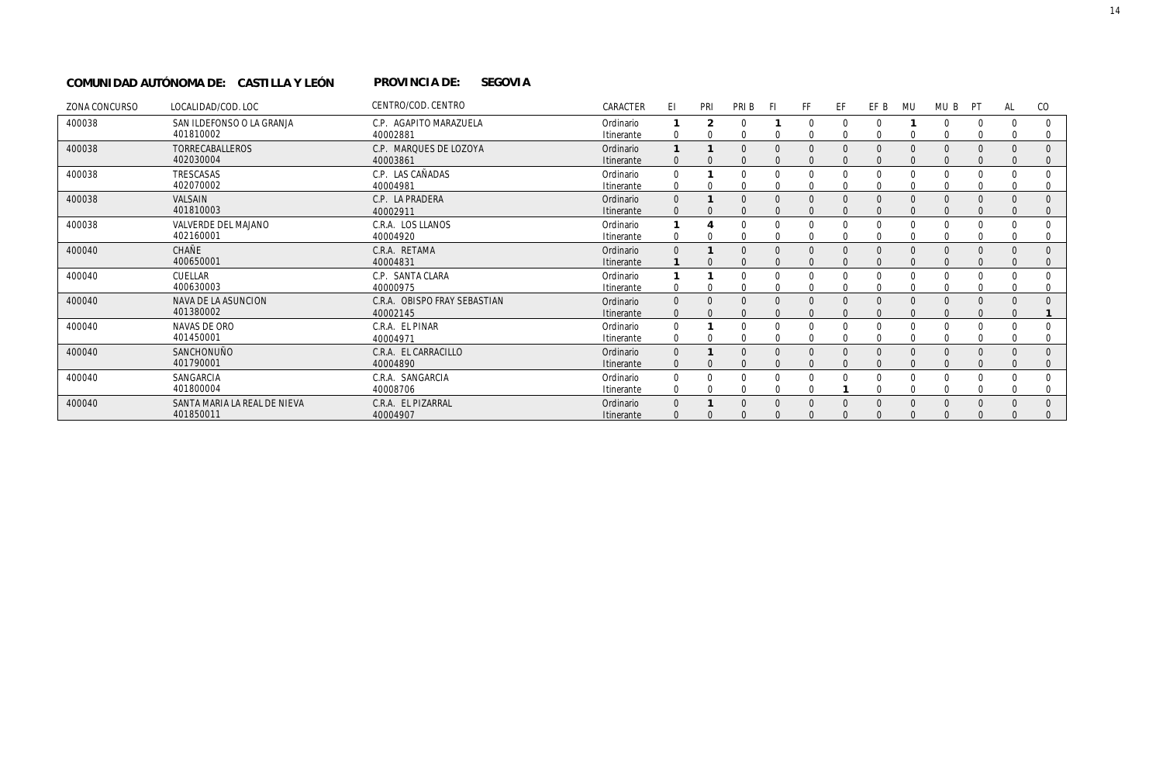#### PROVINCIA DE: SEGOVIA **COMUNIDAD AUTÓNOMA DE: CASTILLA Y LEÓN PROVINCIA DE:**

| ZONA CONCURSO | LOCALIDAD/COD. LOC                        | CENTRO/COD. CENTRO                       | CARACTER                | ΕI                       | PRI          | PRI B        | -FI      | FF                   | EF                   | EF B                 | MU       | MU B                     | PT       | AL       | CO.                      |
|---------------|-------------------------------------------|------------------------------------------|-------------------------|--------------------------|--------------|--------------|----------|----------------------|----------------------|----------------------|----------|--------------------------|----------|----------|--------------------------|
| 400038        | SAN ILDEFONSO O LA GRANJA<br>401810002    | C.P. AGAPITO MARAZUELA<br>40002881       | Ordinario<br>Itinerante | 0                        |              | $\Omega$     | $\Omega$ | $\Omega$             | $\Omega$<br>$\Omega$ | $\Omega$<br>$\Omega$ | $\Omega$ | <sup>0</sup><br>$\Omega$ | $\Omega$ | $\Omega$ | $\Omega$<br>$\Omega$     |
| 400038        | <b>TORRECABALLEROS</b><br>402030004       | C.P. MARQUES DE LOZOYA<br>40003861       | Ordinario<br>Itinerante | $\mathbf{0}$             |              | $\Omega$     | $\Omega$ | $\Omega$<br>$\Omega$ | $\Omega$<br>$\Omega$ | $\Omega$<br>$\Omega$ | $\Omega$ | $\Omega$<br>$\Omega$     | $\Omega$ | $\Omega$ | $\Omega$<br>$\mathbf{0}$ |
| 400038        | TRESCASAS<br>402070002                    | C.P. LAS CAÑADAS<br>40004981             | Ordinario<br>Itinerante | $\Omega$<br>0            |              | <sup>0</sup> |          |                      | 0                    | $\Omega$<br>0        | $\Omega$ | $\Omega$<br>0            | ∩        | $\Omega$ | $\Omega$<br>0            |
| 400038        | VALSAIN<br>401810003                      | C.P. LA PRADERA<br>40002911              | Ordinario<br>Itinerante | $\Omega$<br>$\Omega$     |              | $\Omega$     | $\Omega$ | $\Omega$             | $\Omega$             | $\Omega$<br>$\Omega$ | $\Omega$ | $\Omega$                 |          | $\Omega$ | $\Omega$<br>$\Omega$     |
| 400038        | VALVERDE DEL MAJANO<br>402160001          | C.R.A. LOS LLANOS<br>40004920            | Ordinario<br>Itinerante | 0                        |              |              |          |                      | 0                    | $\Omega$<br>$\Omega$ | $\Omega$ | $\Omega$<br>$\Omega$     |          | $\Omega$ | $\Omega$                 |
| 400040        | CHAÑE<br>400650001                        | C.R.A. RETAMA<br>40004831                | Ordinario<br>Itinerante | $\Omega$                 |              |              | $\Omega$ |                      | $\Omega$<br>$\Omega$ | $\Omega$<br>$\Omega$ |          | $\Omega$<br>$\Omega$     |          |          | $\mathbf 0$              |
| 400040        | CUELLAR<br>400630003                      | C.P. SANTA CLARA<br>40000975             | Ordinario<br>Itinerante | 0                        |              |              |          |                      | $\Omega$             | $\Omega$<br>$\Omega$ | $\Omega$ | $\Omega$<br>$\Omega$     |          | $\Omega$ |                          |
| 400040        | NAVA DE LA ASUNCION<br>401380002          | C.R.A. OBISPO FRAY SEBASTIAN<br>40002145 | Ordinario<br>Itinerante | $\mathbf{0}$<br>$\Omega$ | $\mathbf{0}$ | $\Omega$     | $\Omega$ | $\Omega$<br>$\Omega$ | $\Omega$<br>$\Omega$ | $\Omega$<br>$\Omega$ | $\Omega$ | $\Omega$<br>$\Omega$     | $\Omega$ | $\Omega$ | $\Omega$                 |
| 400040        | NAVAS DE ORO<br>401450001                 | C.R.A. EL PINAR<br>40004971              | Ordinario<br>Itinerante | 0<br>0                   |              |              | $\Omega$ | $\Omega$             | $\Omega$             | $\Omega$<br>$\Omega$ | $\Omega$ | $\Omega$<br>$\Omega$     |          | $\Omega$ |                          |
| 400040        | SANCHONUÑO<br>401790001                   | C.R.A. EL CARRACILLO<br>40004890         | Ordinario<br>Itinerante | $\Omega$<br>$\Omega$     |              | $\Omega$     | $\Omega$ | $\Omega$<br>$\Omega$ | $\Omega$             | $\Omega$<br>$\Omega$ | $\Omega$ | $\Omega$<br>$\Omega$     |          | $\Omega$ | $\Omega$<br>$\Omega$     |
| 400040        | SANGARCIA<br>401800004                    | C.R.A. SANGARCIA<br>40008706             | Ordinario<br>Itinerante | 0<br>0                   |              |              |          | $\Omega$             |                      | $\Omega$<br>$\Omega$ |          | $\Omega$<br>$\Omega$     |          | $\Omega$ | $\Omega$                 |
| 400040        | SANTA MARIA LA REAL DE NIEVA<br>401850011 | C.R.A. EL PIZARRAL<br>40004907           | Ordinario<br>Itinerante | $\Omega$<br>$\Omega$     |              |              |          | $\Omega$<br>$\Omega$ | $\Omega$             | $\Omega$<br>$\Omega$ | $\Omega$ | $\Omega$<br>$\Omega$     | $\Omega$ | $\Omega$ |                          |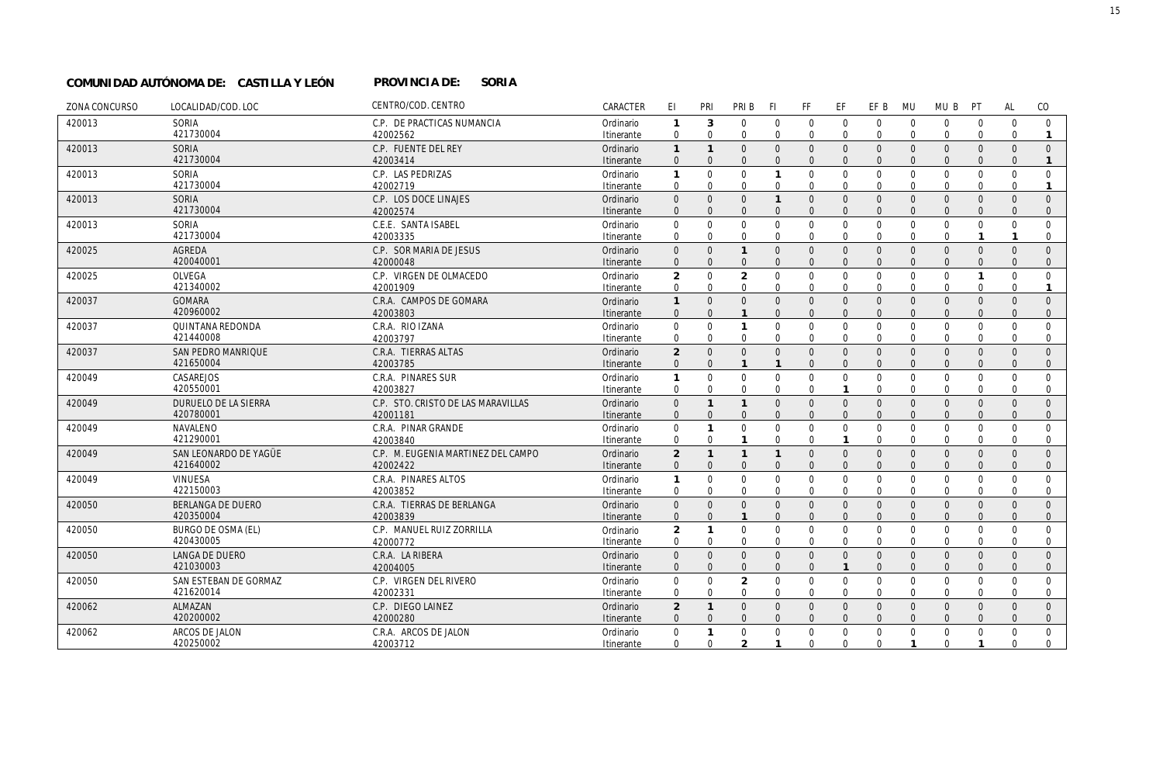#### PROVINCIA DE: SORIA **COMUNIDAD AUTÓNOMA DE: CASTILLA Y LEÓN PROVINCIA DE:**

| ZONA CONCURSO | LOCALIDAD/COD. LOC                 | CENTRO/COD. CENTRO                 | CARACTER                | EI                         | PRI                        | PRI B                    | <b>FI</b>                | FF                       | EF                      | EF B                        | <b>MU</b>                | MU B                           | PT                               | AL                             | CO                           |
|---------------|------------------------------------|------------------------------------|-------------------------|----------------------------|----------------------------|--------------------------|--------------------------|--------------------------|-------------------------|-----------------------------|--------------------------|--------------------------------|----------------------------------|--------------------------------|------------------------------|
| 420013        | SORIA                              | C.P. DE PRACTICAS NUMANCIA         | Ordinario               | 1                          | 3                          | $\mathbf 0$              | $\Omega$                 | $\mathbf 0$              | $\mathbf 0$             | $\mathbf 0$                 | $\mathbf 0$              | $\mathbf 0$                    | $\mathbf 0$                      | $\mathbf 0$                    | $\mathbf 0$                  |
|               | 421730004                          | 42002562                           | Itinerante              | $\mathbf 0$                | $\Omega$                   | $\Omega$                 | $\Omega$                 | $\Omega$                 | $\Omega$                | $\Omega$                    | $\mathbf{0}$             | $\mathbf 0$                    | $\mathbf{0}$                     | $\Omega$                       | $\mathbf{1}$                 |
| 420013        | <b>SORIA</b>                       | C.P. FUENTE DEL REY                | Ordinario               | $\mathbf{1}$               | $\mathbf{1}$               | $\mathbf{0}$             | $\Omega$                 | $\mathbf{0}$             | $\Omega$                | $\mathbf{0}$                | $\overline{0}$           | $\overline{0}$                 | $\overline{0}$                   | $\overline{0}$                 | $\mathbf{0}$                 |
|               | 421730004                          | 42003414                           | Itinerante              | $\Omega$                   | $\Omega$                   | $\Omega$                 | $\Omega$                 | $\Omega$                 | $\Omega$                | $\Omega$                    | $\Omega$                 | $\Omega$                       | $\Omega$                         | $\Omega$                       | $\mathbf{1}$                 |
| 420013        | <b>SORIA</b>                       | C.P. LAS PEDRIZAS                  | Ordinario               | $\mathbf{1}$               | $\mathbf 0$                | $\mathbf 0$              | $\mathbf{1}$             | $\mathbf 0$              | $\mathbf 0$             | $\mathbf 0$                 | $\mathbf 0$              | $\mathbf 0$                    | $\mathbf 0$                      | $\mathbf 0$                    | $\mathbf 0$                  |
|               | 421730004                          | 42002719                           | Itinerante              | $\mathbf 0$                | $\Omega$                   | $\Omega$                 | $\Omega$                 | $\Omega$                 | $\Omega$                | $\Omega$                    | $\Omega$                 | $\Omega$                       | $\mathbf{0}$                     | $\Omega$                       | $\mathbf{1}$                 |
| 420013        | SORIA<br>421730004                 | C.P. LOS DOCE LINAJES<br>42002574  | Ordinario               | $\overline{0}$<br>$\Omega$ | $\overline{0}$<br>$\Omega$ | $\mathbf{0}$<br>$\Omega$ | $\mathbf{1}$<br>$\Omega$ | $\Omega$<br>$\Omega$     | $\Omega$<br>$\Omega$    | $\mathbf{0}$<br>$\Omega$    | $\Omega$<br>$\Omega$     | $\overline{0}$<br>$\Omega$     | $\overline{0}$<br>$\Omega$       | $\overline{0}$<br>$\Omega$     | $\mathbf{0}$<br>$\mathbf{0}$ |
| 420013        | SORIA                              | C.E.E. SANTA ISABEL                | Itinerante<br>Ordinario | 0                          | $\mathbf 0$                | $\mathbf 0$              | $\Omega$                 | $\mathbf{0}$             | $\mathbf 0$             | $\mathbf 0$                 | $\mathbf{0}$             | $\mathbf 0$                    | $\mathbf 0$                      | $\mathbf 0$                    | $\mathbf 0$                  |
| 420025        | 421730004                          | 42003335                           | Itinerante              | $\mathbf 0$                | $\Omega$                   | $\Omega$                 | $\Omega$                 | $\Omega$                 | $\Omega$                | $\Omega$                    | $\Omega$                 | $\mathbf 0$                    | $\mathbf{1}$                     | $\mathbf{1}$                   | $\mathbf{0}$                 |
|               | <b>AGREDA</b>                      | C.P. SOR MARIA DE JESUS            | Ordinario               | $\mathsf{O}\xspace$        | $\mathbf{0}$               | $\mathbf{1}$             | $\Omega$                 | $\mathbf{0}$             | $\overline{0}$          | $\mathbf 0$                 | $\overline{0}$           | $\mathsf{O}$                   | $\mathbf 0$                      | $\mathbf{0}$                   | $\mathbf{0}$                 |
| 420025        | 420040001                          | 42000048                           | Itinerante              | $\mathbf{0}$               | $\Omega$                   | $\mathbf{0}$             | $\Omega$                 | $\mathbf{0}$             | $\mathbf{0}$            | $\mathbf{0}$                | $\overline{0}$           | $\mathbf{0}$                   | $\overline{0}$                   | $\mathbf{0}$                   | $\mathbf{0}$                 |
|               | OLVEGA                             | C.P. VIRGEN DE OLMACEDO            | Ordinario               | $\overline{2}$             | $\Omega$                   | $\overline{2}$           | $\Omega$                 | $\mathbf 0$              | $\mathbf 0$             | $\mathbf 0$                 | $\mathbf{0}$             | $\mathbf 0$                    | $\mathbf{1}$                     | $\mathbf 0$                    | $\mathbf 0$                  |
| 420037        | 421340002                          | 42001909                           | Itinerante              | $\mathbf 0$                | $\mathbf 0$                | $\mathbf 0$              | $\Omega$                 | $\mathbf 0$              | $\mathbf 0$             | $\mathbf 0$                 | $\mathbf 0$              | $\mathbf 0$                    | $\mathbf 0$                      | $\mathbf 0$                    | $\mathbf{1}$                 |
|               | <b>GOMARA</b>                      | C.R.A. CAMPOS DE GOMARA            | Ordinario               | $\mathbf{1}$               | $\Omega$                   | $\mathbf{0}$             | $\Omega$                 | $\mathbf{0}$             | $\mathbf{0}$            | $\mathbf{0}$                | $\overline{0}$           | $\mathbf 0$                    | $\overline{0}$                   | $\mathbf{0}$                   | $\mathbf{0}$                 |
| 420037        | 420960002<br>QUINTANA REDONDA      | 42003803<br>C.R.A. RIO IZANA       | Itinerante<br>Ordinario | $\mathbf{0}$<br>0          | $\Omega$<br>$\mathbf 0$    | $\mathbf{1}$             | $\Omega$<br>$\Omega$     | $\Omega$<br>$\mathbf{0}$ | $\Omega$<br>$\mathbf 0$ | $\Omega$<br>$\mathbf 0$     | $\Omega$<br>$\mathbf{0}$ | $\Omega$<br>$\mathbf 0$        | $\Omega$<br>$\mathbf 0$          | $\Omega$<br>$\mathbf 0$        | $\mathbf{0}$<br>$\mathbf 0$  |
| 420037        | 421440008                          | 42003797                           | Itinerante              | $\Omega$                   | $\Omega$                   | $\Omega$                 | $\Omega$                 | $\Omega$                 | $\Omega$                | $\Omega$                    | $\Omega$                 | $\Omega$                       | $\Omega$                         | $\Omega$                       | $\mathbf{0}$                 |
|               | <b>SAN PEDRO MANRIQUE</b>          | C.R.A. TIERRAS ALTAS               | Ordinario               | $\overline{2}$             | $\mathbf{0}$               | $\mathbf{0}$             | $\Omega$                 | $\mathbf{0}$             | $\mathbf{0}$            | $\mathbf 0$                 | $\mathbf{0}$             | $\mathbf 0$                    | $\mathbf 0$                      | $\mathbf 0$                    | $\mathbf{0}$                 |
| 420049        | 421650004<br>CASAREJOS             | 42003785<br>C.R.A. PINARES SUR     | Itinerante<br>Ordinario | $\mathbf{0}$<br>1          | $\Omega$<br>$\Omega$       | $\mathbf 0$              | $\Omega$                 | $\Omega$<br>$\mathbf 0$  | $\Omega$<br>$\mathbf 0$ | $\mathbf{0}$<br>$\mathbf 0$ | $\Omega$<br>$\mathbf 0$  | $\mathbf{0}$<br>$\mathbf 0$    | $\mathbf{0}$<br>$\mathbf 0$      | $\mathbf{0}$<br>$\mathbf 0$    | $\mathbf{0}$<br>$\mathbf 0$  |
|               | 420550001                          | 42003827                           | Itinerante              | $\mathbf 0$                | $\Omega$                   | $\mathbf 0$              | $\Omega$                 | $\mathbf 0$              | $\mathbf{1}$            | $\mathbf 0$                 | $\mathbf 0$              | $\mathbf 0$                    | $\mathbf 0$                      | $\mathbf 0$                    | $\overline{0}$               |
| 420049        | DURUELO DE LA SIERRA               | C.P. STO. CRISTO DE LAS MARAVILLAS | Ordinario               | $\mathbf 0$                | $\mathbf{1}$               | $\mathbf{1}$             | $\Omega$                 | $\mathbf{0}$             | $\mathbf{0}$            | $\mathbf 0$                 | $\mathbf{0}$             | $\mathbf 0$                    | $\overline{0}$                   | $\mathbf{0}$                   | $\mathbf{0}$                 |
|               | 420780001                          | 42001181                           | Itinerante              | $\mathbf{0}$               | $\Omega$                   | $\mathbf{0}$             | $\Omega$                 | $\mathbf{0}$             | $\Omega$                | $\mathbf{0}$                | $\Omega$                 | $\mathbf{0}$                   | $\mathbf{0}$                     | $\mathbf{0}$                   | $\mathbf{0}$                 |
| 420049        | NAVALENO                           | C.R.A. PINAR GRANDE                | Ordinario               | $\mathbf 0$                | $\mathbf{1}$               | $\mathbf 0$              | $\Omega$                 | $\mathbf 0$              | $\mathbf 0$             | $\mathbf 0$                 | $\mathbf{0}$             | $\mathbf 0$                    | $\mathbf{0}$                     | $\mathbf 0$                    | $\boldsymbol{0}$             |
|               | 421290001                          | 42003840                           | Itinerante              | $\mathbf 0$                | $\Omega$                   | $\mathbf{1}$             | $\Omega$                 | $\mathbf 0$              | $\mathbf{1}$            | $\mathbf 0$                 | $\mathbf 0$              | $\mathbf{0}$                   | $\mathbf{0}$                     | $\mathbf 0$                    | $\mathbf{0}$                 |
| 420049        | SAN LEONARDO DE YAGÜE              | C.P. M. EUGENIA MARTINEZ DEL CAMPO | Ordinario               | $\overline{2}$             | $\mathbf{1}$               | $\mathbf{1}$             | $\mathbf{1}$             | $\mathbf{0}$             | $\mathbf{0}$            | $\mathbf 0$                 | $\overline{0}$           | $\mathbf 0$                    | $\mathbf 0$                      | $\mathbf{0}$                   | $\mathbf{0}$                 |
|               | 421640002                          | 42002422                           | Itinerante              | $\mathbf{0}$               | $\mathbf{0}$               | $\mathbf{0}$             | $\Omega$                 | $\Omega$                 | $\Omega$                | $\mathbf{0}$                | $\Omega$                 | $\mathbf{0}$                   | $\overline{0}$                   | $\Omega$                       | $\mathbf 0$                  |
| 420049        | <b>VINUESA</b>                     | C.R.A. PINARES ALTOS               | Ordinario               | 1                          | $\mathbf 0$                | $\mathbf 0$              | $\mathbf 0$              | $\mathbf 0$              | $\mathbf 0$             | $\mathbf 0$                 | $\mathbf 0$              | $\mathbf 0$                    | $\mathbf{0}$                     | $\mathbf 0$                    | $\mathbf{0}$                 |
|               | 422150003                          | 42003852                           | Itinerante              | 0                          | 0                          | $\mathbf 0$              | $\Omega$                 | $\mathbf 0$              | $\mathbf 0$             | $\mathbf 0$                 | $\mathbf 0$              | $\mathbf 0$                    | $\mathbf 0$                      | $\mathbf 0$                    | $\mathbf 0$                  |
| 420050        | <b>BERLANGA DE DUERO</b>           | C.R.A. TIERRAS DE BERLANGA         | Ordinario               | $\boldsymbol{0}$           | $\Omega$                   | $\mathbf{0}$             | $\Omega$                 | $\mathbf{0}$             | $\overline{0}$          | $\mathbf 0$                 | $\overline{0}$           | $\mathbf 0$                    | $\mathbf 0$                      | $\mathbf{0}$                   | $\mathbf{0}$                 |
|               | 420350004                          | 42003839                           | Itinerante              | $\mathbf{0}$               | $\mathbf{0}$               | $\mathbf{1}$             | $\Omega$                 | $\mathbf{0}$             | $\mathbf{0}$            | $\mathbf{0}$                | $\Omega$                 | $\mathbf{0}$                   | $\Omega$                         | $\Omega$                       | $\mathbf 0$                  |
| 420050        | <b>BURGO DE OSMA (EL)</b>          | C.P. MANUEL RUIZ ZORRILLA          | Ordinario               | $\overline{2}$             | $\mathbf{1}$               | $\mathbf 0$              | $\Omega$                 | $\mathbf 0$              | $\mathbf 0$             | $\mathbf 0$                 | $\mathbf{0}$             | $\mathbf 0$                    | $\mathbf 0$                      | $\mathbf 0$                    | $\mathbf 0$                  |
|               | 420430005                          | 42000772                           | Itinerante              | $\mathbf 0$                | $\Omega$                   | $\mathbf 0$              | $\Omega$                 | $\mathbf 0$              | $\mathbf 0$             | $\mathbf 0$                 | $\Omega$                 | $\mathbf 0$                    | $\mathbf{0}$                     | $\mathbf 0$                    | $\mathbf 0$                  |
| 420050        | <b>LANGA DE DUERO</b><br>421030003 | C.R.A. LA RIBERA<br>42004005       | Ordinario<br>Itinerante | $\Omega$<br>$\mathbf{0}$   | $\Omega$<br>$\Omega$       | $\Omega$<br>$\Omega$     | $\Omega$<br>$\Omega$     | $\Omega$<br>$\mathbf{0}$ | $\Omega$                | $\Omega$<br>$\mathbf{0}$    | $\Omega$<br>$\Omega$     | $\overline{0}$<br>$\mathbf{0}$ | $\overline{0}$<br>$\overline{0}$ | $\overline{0}$<br>$\mathbf{0}$ | $\Omega$<br>$\mathbf{0}$     |
| 420050        | SAN ESTEBAN DE GORMAZ              | C.P. VIRGEN DEL RIVERO             | Ordinario               | $\mathbf 0$                | $\Omega$                   | $\overline{2}$           | $\Omega$                 | $\mathbf 0$              | $\mathbf 0$             | $\mathbf 0$                 | $\mathbf 0$              | $\mathbf{0}$                   | $\mathbf{0}$                     | $\mathbf 0$                    | $\mathbf 0$                  |
|               | 421620014                          | 42002331                           | Itinerante              | $\mathbf 0$                | $\Omega$                   | $\mathbf 0$              | $\Omega$                 | $\mathbf 0$              | $\mathbf 0$             | $\mathbf 0$                 | $\mathbf 0$              | $\mathbf 0$                    | $\mathbf 0$                      | $\mathbf 0$                    | $\mathbf 0$                  |
| 420062        | ALMAZAN                            | C.P. DIEGO LAINEZ                  | Ordinario               | $\overline{2}$             | $\mathbf{1}$               | $\Omega$                 | $\Omega$                 | $\Omega$                 | $\Omega$                | $\mathbf{0}$                | $\Omega$                 | $\mathbf{0}$                   | $\mathbf{0}$                     | $\overline{0}$                 | $\mathbf{0}$                 |
|               | 420200002                          | 42000280                           | Itinerante              | $\mathbf{0}$               | $\Omega$                   | $\Omega$                 | $\Omega$                 | $\mathbf{0}$             | $\Omega$                | $\mathbf{0}$                | $\Omega$                 | $\mathbf{0}$                   | $\overline{0}$                   | $\mathbf{0}$                   | $\mathbf{0}$                 |
| 420062        | ARCOS DE JALON                     | C.R.A. ARCOS DE JALON              | Ordinario               | $\mathbf 0$                | $\mathbf{1}$               | $\mathbf 0$              | $\Omega$                 | $\mathbf 0$              | $\mathbf 0$             | $\mathbf 0$                 | $\mathbf{0}$             | $\mathbf 0$                    | $\mathbf{0}$                     | $\mathbf 0$                    | $\mathbf 0$                  |
|               | 420250002                          | 42003712                           | Itinerante              | $\mathbf 0$                | $\mathbf 0$                | $\overline{2}$           | $\mathbf{1}$             | $\Omega$                 | $\Omega$                | $\Omega$                    | $\mathbf{1}$             | $\mathbf 0$                    | $\mathbf{1}$                     | $\Omega$                       | $\mathbf 0$                  |
|               |                                    |                                    |                         |                            |                            |                          |                          |                          |                         |                             |                          |                                |                                  |                                |                              |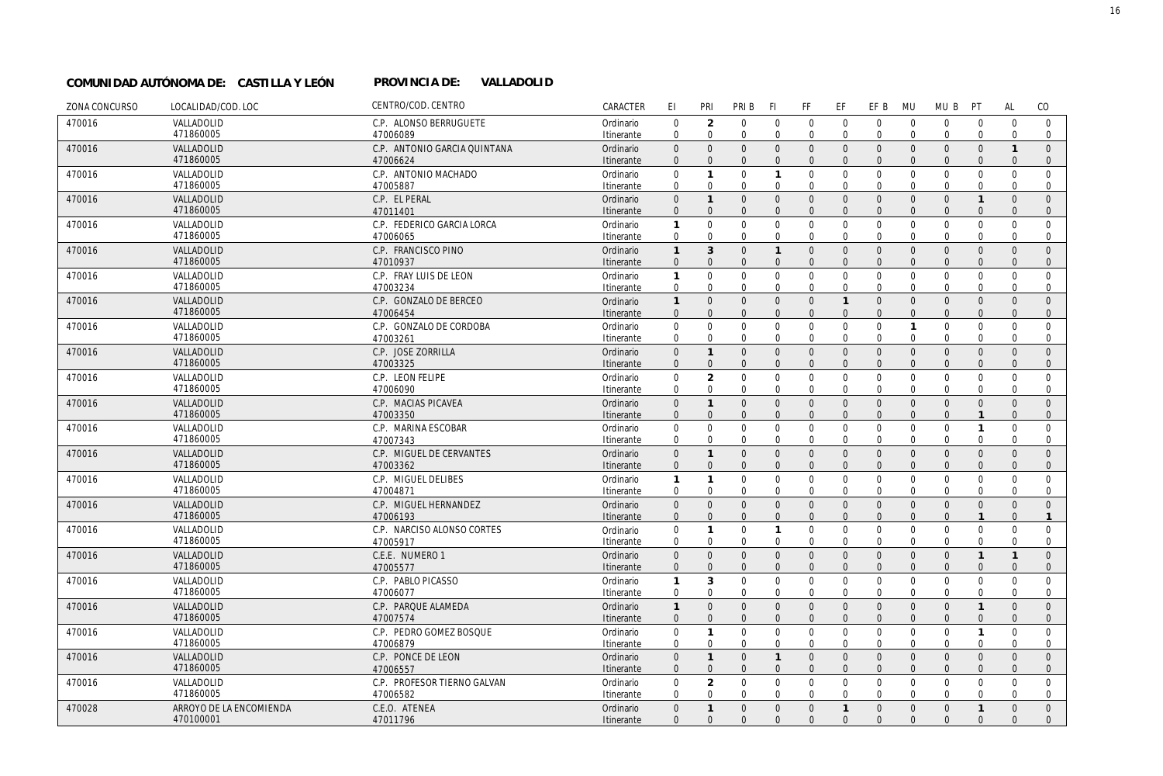#### PROVINCIA DE: VALLADOLID **COMUNIDAD AUTÓNOMA DE: CASTILLA Y LEÓN PROVINCIA DE:**

| ZONA CONCURSO | LOCALIDAD/COD. LOC      | CENTRO/COD. CENTRO              | CARACTER                | EI                         | PRI                           | PRI B                      | -FI                     | FF                          | EF                            | EF B                       | <b>MU</b>                  | MU B                        | PT                               | <b>AL</b>                | CO             |
|---------------|-------------------------|---------------------------------|-------------------------|----------------------------|-------------------------------|----------------------------|-------------------------|-----------------------------|-------------------------------|----------------------------|----------------------------|-----------------------------|----------------------------------|--------------------------|----------------|
| 470016        | VALLADOLID              | C.P. ALONSO BERRUGUETE          | Ordinario               | $\mathbf 0$                | 2                             | $\mathbf{0}$               | $\mathbf 0$             | $\mathbf 0$                 | $\mathbf 0$                   | $\mathbf 0$                | $\overline{0}$             | $\mathbf{0}$                | $\mathbf 0$                      | $\mathbf 0$              | $\mathbf{0}$   |
|               | 471860005               | 47006089                        | Itinerante              | $\mathbf 0$                | $\Omega$                      | $\mathbf 0$                | $\Omega$                | $\mathbf{0}$                | $\mathbf 0$                   | $\mathbf 0$                | $\Omega$                   | $\mathbf{0}$                | $\mathbf 0$                      | $\Omega$                 | $\mathbf 0$    |
| 470016        | VALLADOLID              | C.P. ANTONIO GARCIA QUINTANA    | Ordinario               | $\mathbf{0}$               | $\mathbf{0}$                  | $\Omega$                   | $\Omega$                | $\mathbf{0}$                | $\overline{0}$                | $\mathbf{0}$               | $\overline{0}$             | $\mathbf{0}$                | $\overline{0}$                   | $\mathbf{1}$             | $\Omega$       |
|               | 471860005               | 47006624                        | Itinerante              | $\mathbf{0}$               | $\Omega$                      | $\mathbf{0}$               | $\Omega$                | $\overline{0}$              | $\overline{0}$                | $\mathbf{0}$               | $\Omega$                   | $\mathbf{0}$                | $\overline{0}$                   | $\mathbf{0}$             | $\mathbf{0}$   |
| 470016        | VALLADOLID              | C.P. ANTONIO MACHADO            | Ordinario               | 0                          | $\mathbf{1}$                  | $\mathbf{0}$               | $\mathbf{1}$            | $\mathbf 0$                 | $\mathbf 0$                   | $\mathbf 0$                | $\mathbf 0$                | $\mathbf 0$                 | $\mathbf 0$                      | $\mathbf 0$              | $\mathbf 0$    |
|               | 471860005               | 47005887                        | Itinerante              | $\mathbf 0$                | $\mathbf 0$                   | $\mathbf 0$                | 0                       | 0                           | $\mathbf 0$                   | $\mathbf 0$                | $\mathbf 0$                | $\mathbf 0$                 | $\mathbf 0$                      | $\mathbf 0$              | 0              |
| 470016        | VALLADOLID              | C.P. EL PERAL                   | Ordinario               | $\mathsf{O}\xspace$        | $\mathbf{1}$                  | $\mathbf{0}$               | $\Omega$                | $\mathbf{0}$                | $\overline{0}$                | $\mathbf{0}$               | $\overline{0}$             | $\mathbf{0}$                | $\overline{1}$                   | $\Omega$                 | $\Omega$       |
|               | 471860005               | 47011401                        | Itinerante              | $\mathbf{0}$               | $\mathbf{0}$                  | $\mathbf{0}$               | $\mathbf{0}$            | $\mathbf{0}$                | $\overline{0}$                | $\mathbf{0}$               | $\Omega$                   | $\mathbf{0}$                | $\mathbf{0}$                     | $\Omega$                 | $\mathbf{0}$   |
| 470016        | VALLADOLID              | C.P. FEDERICO GARCIA LORCA      | Ordinario               | 1                          | $\Omega$                      | $\mathbf{0}$               | $\Omega$                | $\mathbf 0$                 | $\overline{0}$                | $\mathbf 0$                | $\Omega$                   | $\mathbf 0$                 | $\overline{0}$                   | $\Omega$                 | $\Omega$       |
|               | 471860005               | 47006065                        | Itinerante              | $\mathbf 0$                | $\mathbf 0$                   | $\mathbf 0$                | $\mathbf 0$             | $\mathbf 0$                 | $\mathbf 0$                   | $\mathbf 0$                | $\Omega$                   | $\mathbf 0$                 | $\mathbf 0$                      | 0                        | 0              |
| 470016        | VALLADOLID              | C.P. FRANCISCO PINO             | Ordinario               | $\mathbf{1}$               | 3                             | $\Omega$                   | $\mathbf{1}$            | $\mathbf 0$                 | $\mathbf 0$                   | $\mathbf 0$                | $\overline{0}$             | $\mathbf 0$                 | $\overline{0}$                   | $\Omega$                 | $\mathbf{0}$   |
|               | 471860005               | 47010937                        | Itinerante              | $\mathbf{0}$               | $\mathbf{0}$                  | $\mathbf{0}$               | $\Omega$                | $\mathbf{0}$                | $\Omega$                      | $\Omega$                   | $\Omega$                   | $\mathbf{0}$                | $\Omega$                         | $\Omega$                 | $\mathbf{0}$   |
| 470016        | VALLADOLID              | C.P. FRAY LUIS DE LEON          | Ordinario               | 1                          | $\Omega$                      | $\mathbf{0}$               | $\Omega$                | $\mathbf 0$                 | $\mathbf 0$                   | $\mathsf 0$                | $\mathbf 0$                | $\mathbf 0$                 | $\overline{0}$                   | $\Omega$                 | $\mathbf 0$    |
|               | 471860005               | 47003234                        | Itinerante              | $\mathbf 0$                | $\mathbf 0$                   | $\mathbf 0$                | $\mathbf 0$             | $\mathbf 0$                 | $\mathbf 0$                   | $\mathbf{0}$               | $\mathbf 0$                | $\mathbf{0}$                | $\mathbf 0$                      | $\mathbf 0$              | $\mathbf 0$    |
| 470016        | VALLADOLID              | C.P. GONZALO DE BERCEO          | Ordinario               | $\mathbf{1}$               | $\mathbf 0$                   | $\mathbf 0$                | $\mathbf 0$             | $\mathbf 0$                 | $\mathbf{1}$                  | $\mathbf 0$                | $\overline{0}$             | $\mathbf 0$                 | $\overline{0}$                   | $\mathbf{0}$             | $\mathbf 0$    |
|               | 471860005               | 47006454                        | Itinerante              | $\mathbf{0}$               | $\Omega$                      | $\Omega$                   | $\Omega$                | $\mathbf{0}$                | $\overline{0}$                | $\Omega$                   | $\Omega$                   | $\mathbf{0}$                | $\Omega$                         | $\Omega$                 | $\mathbf{0}$   |
| 470016        | VALLADOLID              | C.P. GONZALO DE CORDOBA         | Ordinario               | $\mathbf 0$                | $\mathbf 0$                   | $\mathbf 0$                | $\Omega$                | $\mathbf 0$                 | $\mathbf 0$                   | $\mathsf 0$                | $\mathbf{1}$               | $\mathbf 0$                 | $\overline{0}$                   | $\Omega$                 | $\mathbf 0$    |
|               | 471860005               | 47003261                        | Itinerante              | $\mathbf 0$                | $\mathbf 0$                   | $\mathbf 0$                | $\mathbf 0$             | $\mathbf{0}$                | $\mathbf 0$                   | $\mathbf 0$                | $\Omega$                   | $\mathbf{0}$                | $\mathbf 0$                      | $\Omega$                 | 0              |
| 470016        | VALLADOLID              | C.P. JOSE ZORRILLA              | Ordinario               | $\boldsymbol{0}$           | $\mathbf{1}$                  | $\mathbf{0}$               | $\Omega$                | $\mathbf 0$                 | $\mathbf 0$                   | $\mathbf 0$                | $\overline{0}$             | $\mathbf 0$                 | $\mathbf{0}$                     | $\mathbf{0}$             | $\mathbf{0}$   |
|               | 471860005               | 47003325                        | Itinerante              | $\Omega$                   | $\Omega$                      | $\Omega$                   | $\Omega$                | $\Omega$                    | $\Omega$                      | $\Omega$                   | $\Omega$                   | $\Omega$                    | $\Omega$                         | $\Omega$                 | $\mathbf{0}$   |
| 470016        | VALLADOLID              | C.P. LEON FELIPE                |                         | $\mathbf 0$                |                               | $\mathbf 0$                | $\mathbf 0$             |                             |                               |                            | $\mathbf 0$                | $\mathbf 0$                 | $\overline{0}$                   | $\Omega$                 | $\mathbf 0$    |
|               | 471860005               | 47006090                        | Ordinario<br>Itinerante | $\mathbf 0$                | $\overline{2}$<br>$\mathbf 0$ | $\mathbf 0$                | $\mathbf 0$             | $\mathbf 0$<br>$\mathbf{0}$ | $\mathbf 0$<br>$\mathbf 0$    | $\mathsf 0$<br>$\mathbf 0$ | $\Omega$                   | $\mathbf{0}$                | $\mathbf 0$                      | $\Omega$                 | $\mathbf 0$    |
|               |                         |                                 |                         |                            |                               |                            |                         |                             |                               |                            |                            |                             |                                  |                          |                |
| 470016        | VALLADOLID<br>471860005 | C.P. MACIAS PICAVEA             | Ordinario               | $\boldsymbol{0}$           | $\mathbf{1}$<br>$\Omega$      | $\mathbf 0$<br>$\Omega$    | $\mathbf 0$<br>$\Omega$ | $\mathbf 0$<br>$\Omega$     | $\mathbf 0$<br>$\Omega$       | $\mathbf 0$<br>$\Omega$    | $\overline{0}$<br>$\Omega$ | $\mathbf 0$<br>$\Omega$     | $\mathbf 0$<br>$\mathbf{1}$      | $\mathbf{0}$<br>$\Omega$ | $\mathbf{0}$   |
|               |                         | 47003350                        | Itinerante              | $\mathbf{0}$               |                               |                            |                         |                             |                               |                            |                            |                             |                                  |                          | $\mathbf{0}$   |
| 470016        | VALLADOLID<br>471860005 | C.P. MARINA ESCOBAR<br>47007343 | Ordinario               | $\mathbf 0$<br>$\mathbf 0$ | $\mathbf 0$<br>$\mathbf 0$    | $\mathbf 0$<br>$\mathbf 0$ | $\mathbf 0$             | $\mathbf 0$<br>$\mathbf{0}$ | $\overline{0}$<br>$\mathbf 0$ | $\mathbf 0$<br>$\mathbf 0$ | $\overline{0}$<br>$\Omega$ | $\mathbf 0$<br>$\mathbf{0}$ | $\overline{1}$<br>$\overline{0}$ | $\Omega$<br>$\mathbf 0$  | $\mathbf 0$    |
|               |                         |                                 | Itinerante              |                            |                               |                            | $\mathbf 0$             |                             |                               |                            |                            |                             |                                  |                          | $\mathbf 0$    |
| 470016        | VALLADOLID              | C.P. MIGUEL DE CERVANTES        | Ordinario               | $\boldsymbol{0}$           | $\mathbf{1}$                  | $\mathbf 0$<br>$\Omega$    | $\mathbf 0$<br>$\Omega$ | $\mathbf 0$                 | $\mathbf 0$                   | $\mathsf 0$                | $\overline{0}$<br>$\Omega$ | $\mathbf 0$                 | $\mathbf 0$                      | $\Omega$                 | $\mathbf 0$    |
|               | 471860005               | 47003362                        | Itinerante              | $\mathbf{0}$               | $\Omega$                      |                            |                         | $\mathbf{0}$                | $\overline{0}$                | $\mathbf{0}$               |                            | $\overline{0}$              | $\mathbf{0}$                     | $\Omega$                 | $\overline{0}$ |
| 470016        | VALLADOLID              | C.P. MIGUEL DELIBES             | Ordinario               | 1                          | $\mathbf{1}$                  | $\mathbf 0$                | $\mathbf 0$             | $\mathbf 0$                 | $\mathbf 0$                   | $\mathsf 0$                | $\mathbf 0$                | $\mathbf 0$                 | $\mathbf 0$                      | $\Omega$                 | $\mathbf 0$    |
|               | 471860005               | 47004871                        | Itinerante              | $\mathbf 0$                | $\mathbf 0$                   | $\mathbf 0$                | $\mathbf 0$             | $\mathbf 0$                 | $\mathbf 0$                   | $\mathbf{0}$               | $\mathbf 0$                | $\mathbf{0}$                | 0                                | $\mathbf 0$              | $\mathbf 0$    |
| 470016        | VALLADOLID              | C.P. MIGUEL HERNANDEZ           | Ordinario               | $\boldsymbol{0}$           | $\mathbf 0$                   | $\mathbf 0$                | $\mathbf 0$             | $\mathbf 0$                 | $\mathbf 0$                   | $\mathsf 0$                | $\overline{0}$             | $\mathbf 0$                 | $\mathbf 0$                      | $\Omega$                 | $\mathbf 0$    |
|               | 471860005               | 47006193                        | Itinerante              | $\mathbf{0}$               | $\Omega$                      | $\mathbf{0}$               | $\Omega$                | $\overline{0}$              | $\overline{0}$                | $\mathbf{0}$               | $\Omega$                   | $\mathbf{0}$                | $\mathbf{1}$                     | $\Omega$                 | $\mathbf{1}$   |
| 470016        | VALLADOLID              | C.P. NARCISO ALONSO CORTES      | Ordinario               | $\mathbf 0$                | $\mathbf{1}$                  | $\mathbf 0$                | $\mathbf{1}$            | $\mathbf 0$                 | $\overline{0}$                | $\mathbf 0$                | $\mathbf 0$                | $\mathbf 0$                 | $\mathbf 0$                      | $\Omega$                 | $\mathbf 0$    |
|               | 471860005               | 47005917                        | Itinerante              | 0                          | $\mathbf 0$                   | $\mathbf 0$                | $\mathbf 0$             | 0                           | $\mathbf 0$                   | $\mathbf 0$                | $\Omega$                   | $\mathbf 0$                 | 0                                | $\mathbf 0$              | 0              |
| 470016        | VALLADOLID              | C.E.E. NUMERO 1                 | Ordinario               | $\boldsymbol{0}$           | $\mathbf{0}$                  | $\mathbf{0}$               | $\mathbf{0}$            | $\mathbf 0$                 | $\mathbf 0$                   | $\mathsf 0$                | $\overline{0}$             | $\mathbf 0$                 | $\overline{1}$                   | $\mathbf{1}$             | $\mathbf{0}$   |
|               | 471860005               | 47005577                        | Itinerante              | $\mathbf{0}$               | $\Omega$                      | $\mathbf{0}$               | $\Omega$                | $\mathbf{0}$                | $\overline{0}$                | $\mathbf{0}$               | $\Omega$                   | $\mathbf{0}$                | $\mathbf{0}$                     | $\Omega$                 | $\mathbf{0}$   |
| 470016        | VALLADOLID              | C.P. PABLO PICASSO              | Ordinario               | $\mathbf{1}$               | 3                             | $\mathbf 0$                | $\mathbf 0$             | $\mathbf 0$                 | $\overline{0}$                | $\mathbf 0$                | $\mathbf 0$                | $\mathbf 0$                 | $\overline{0}$                   | $\Omega$                 | $\mathbf 0$    |
|               | 471860005               | 47006077                        | Itinerante              | $\mathbf 0$                | $\mathbf 0$                   | $\mathbf 0$                | $\mathbf 0$             | $\mathbf 0$                 | $\mathbf 0$                   | $\mathbf 0$                | $\Omega$                   | $\mathbf 0$                 | $\mathbf 0$                      | 0                        | $\mathbf 0$    |
| 470016        | VALLADOLID              | C.P. PARQUE ALAMEDA             | Ordinario               | $\mathbf{1}$               | $\overline{0}$                | $\mathbf 0$                | $\overline{0}$          | $\mathbf 0$                 | $\mathbf 0$                   | $\mathsf{O}$               | $\overline{0}$             | $\mathbf 0$                 | $\overline{1}$                   | $\mathbf{0}$             | $\mathbf 0$    |
|               | 471860005               | 47007574                        | Itinerante              | $\mathbf{0}$               | $\Omega$                      | $\Omega$                   | $\Omega$                | $\Omega$                    | $\Omega$                      | $\Omega$                   | $\Omega$                   | $\Omega$                    | $\Omega$                         | $\Omega$                 | $\Omega$       |
| 470016        | VALLADOLID              | C.P. PEDRO GOMEZ BOSQUE         | Ordinario               | $\mathbf 0$                | $\mathbf{1}$                  | $\mathbf 0$                | $\mathbf 0$             | $\mathbf 0$                 | $\overline{0}$                | $\mathbf 0$                | $\Omega$                   | $\mathbf 0$                 | $\overline{1}$                   | $\mathbf 0$              | $\mathbf 0$    |
|               | 471860005               | 47006879                        | Itinerante              | $\mathbf 0$                | $\mathbf 0$                   | $\mathbf 0$                | $\mathbf 0$             | $\mathbf{0}$                | $\mathbf 0$                   | $\mathbf 0$                | $\mathbf 0$                | $\mathbf{0}$                | $\overline{0}$                   | $\Omega$                 | $\mathbf 0$    |
| 470016        | VALLADOLID              | C.P. PONCE DE LEON              | Ordinario               | $\Omega$                   | $\mathbf{1}$                  | $\mathbf{0}$               | $\mathbf{1}$            | $\mathbf 0$                 | $\mathbf 0$                   | $\mathbf 0$                | $\overline{0}$             | $\mathbf 0$                 | $\mathbf{0}$                     | $\Omega$                 | $\mathbf 0$    |
|               | 471860005               | 47006557                        | Itinerante              | $\overline{0}$             | $\overline{0}$                | $\mathbf{0}$               | $\Omega$                | $\overline{0}$              | $\overline{0}$                | $\mathbf{0}$               | $\Omega$                   | $\mathbf{0}$                | $\overline{0}$                   | $\Omega$                 | $\mathbf 0$    |
| 470016        | VALLADOLID              | C.P. PROFESOR TIERNO GALVAN     | Ordinario               | $\Omega$                   | $\overline{2}$                | $\mathbf 0$                | $\mathbf 0$             | $\mathbf 0$                 | $\overline{0}$                | $\mathbf 0$                | $\Omega$                   | $\mathbf 0$                 | $\mathbf 0$                      | $\Omega$                 | $\mathbf 0$    |
|               | 471860005               | 47006582                        | Itinerante              | $\Omega$                   | $\mathbf 0$                   | $\mathbf 0$                | $\Omega$                | $\mathbf{0}$                | $\mathbf 0$                   | $\mathbf 0$                | $\Omega$                   | $\mathbf 0$                 | $\mathbf 0$                      | $\Omega$                 | $\mathbf 0$    |
| 470028        | ARROYO DE LA ENCOMIENDA | C.E.O. ATENEA                   | Ordinario               | $\mathbf{0}$               | $\mathbf{1}$                  | $\mathbf{0}$               | $\mathbf{0}$            | $\mathbf{0}$                | $\overline{1}$                | $\mathbf{0}$               | $\mathbf{0}$               | $\mathbf{0}$                | $\overline{1}$                   | $\Omega$                 | $\mathbf{0}$   |
|               | 470100001               | 47011796                        | Itinerante              | $\Omega$                   | $\Omega$                      | $\Omega$                   | $\Omega$                | $\Omega$                    | $\Omega$                      | $\Omega$                   | $\Omega$                   | $\Omega$                    | $\Omega$                         | $\Omega$                 | $\Omega$       |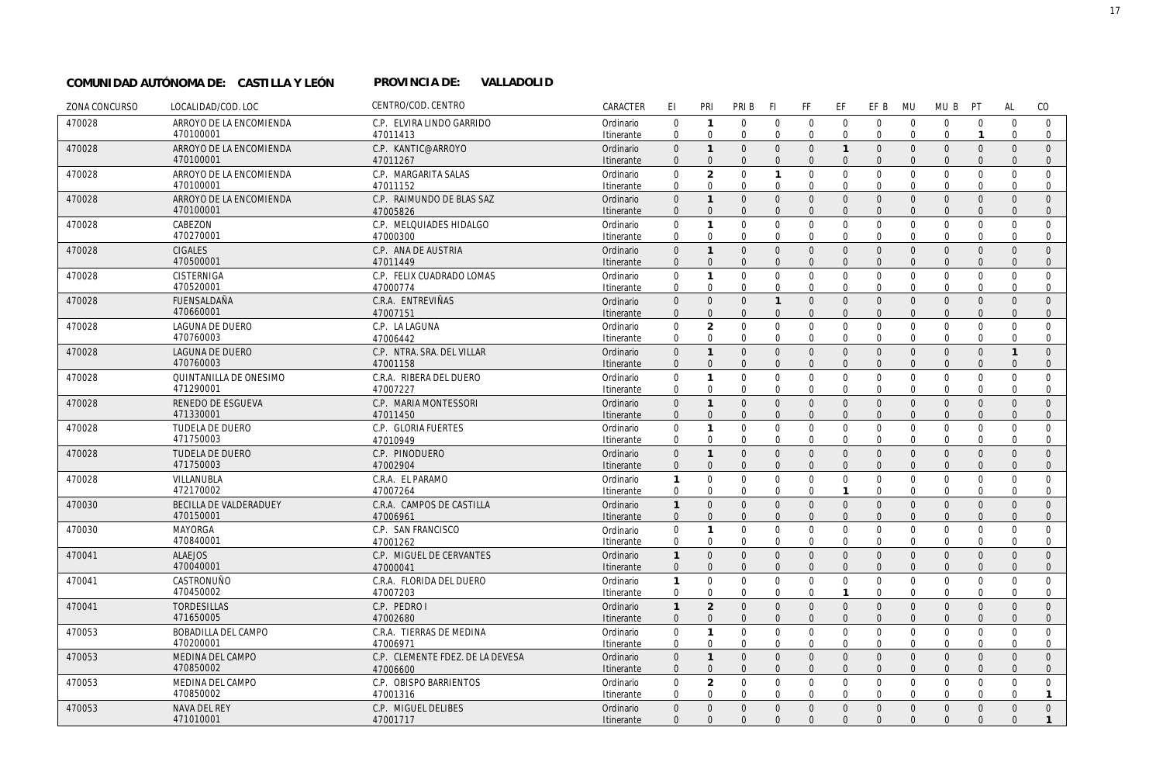## **VALLADOLID COMUNIDAD AUTÓNOMA DE: CASTILLA Y LEÓN PROVINCIA DE:**

| ZONA CONCURSO | LOCALIDAD/COD. LOC                   | CENTRO/COD. CENTRO                    | CARACTER                | EI                         | PRI                                  | PRI B                      | -FI                  | FF                           | EF                               | EF B                           | <b>MU</b>                  | MU B                         | PT                               | AL                   | CO                           |
|---------------|--------------------------------------|---------------------------------------|-------------------------|----------------------------|--------------------------------------|----------------------------|----------------------|------------------------------|----------------------------------|--------------------------------|----------------------------|------------------------------|----------------------------------|----------------------|------------------------------|
| 470028        | ARROYO DE LA ENCOMIENDA              | C.P. ELVIRA LINDO GARRIDO             | Ordinario               | $\mathbf 0$                | $\mathbf{1}$                         | $\Omega$                   | $\Omega$             | $\mathbf 0$                  | $\mathbf{0}$                     | $\mathbf 0$                    | $\overline{0}$             | $\mathbf{0}$                 | $\mathbf 0$                      | $\Omega$             | $\mathbf{0}$                 |
|               | 470100001                            | 47011413                              | Itinerante              | $\Omega$                   | $\Omega$                             | $\mathbf 0$                | $\Omega$             | $\mathbf 0$                  | $\mathbf{0}$                     | $\mathbf 0$                    | $\overline{0}$             | $\mathbf 0$                  | $\mathbf{1}$                     | $\mathbf 0$          | $\mathbf 0$                  |
| 470028        | ARROYO DE LA ENCOMIENDA              | C.P. KANTIC@ARROYO                    | Ordinario               | $\Omega$                   | $\mathbf{1}$                         | $\Omega$                   | $\Omega$             | $\Omega$                     | $\overline{1}$                   | $\Omega$                       | $\Omega$                   | $\overline{0}$               | $\mathbf{0}$                     | $\Omega$             | $\Omega$                     |
|               | 470100001                            | 47011267                              | Itinerante              | $\Omega$                   | $\Omega$                             | $\Omega$                   | $\Omega$             | $\mathbf{0}$                 | $\overline{0}$                   | $\Omega$                       | $\Omega$                   | $\mathbf{0}$                 | $\overline{0}$                   | $\Omega$             | $\mathbf{0}$                 |
| 470028        | ARROYO DE LA ENCOMIENDA              | C.P. MARGARITA SALAS                  | Ordinario               | 0                          | $\overline{2}$                       | $\mathbf 0$                |                      | $\mathbf 0$                  | $\mathbf 0$                      | $\mathbf 0$                    | $\Omega$                   | $\mathbf{0}$                 | $\mathbf 0$                      | $\mathbf 0$          | $\mathbf 0$                  |
|               | 470100001                            | 47011152                              | Itinerante              | $\Omega$                   | $\Omega$                             | $\Omega$                   | $\Omega$             | $\Omega$                     | $\Omega$                         | $\Omega$                       | $\Omega$                   | $\Omega$                     | $\Omega$                         | $\Omega$             | $\mathbf{0}$                 |
| 470028        | ARROYO DE LA ENCOMIENDA<br>470100001 | C.P. RAIMUNDO DE BLAS SAZ<br>47005826 | Ordinario               | $\mathbf 0$<br>$\Omega$    | $\mathbf{1}$<br>$\overline{0}$       | $\mathbf{0}$<br>$\Omega$   | $\Omega$<br>$\Omega$ | $\mathbf{0}$<br>$\mathbf{0}$ | $\overline{0}$<br>$\overline{0}$ | $\mathbf{0}$<br>$\mathbf{0}$   | $\overline{0}$<br>$\Omega$ | $\mathbf{0}$<br>$\mathbf{0}$ | $\overline{0}$<br>$\overline{0}$ | $\Omega$<br>$\Omega$ | $\mathbf{0}$<br>$\mathbf{0}$ |
|               | CABEZON                              |                                       | Itinerante              |                            | $\mathbf{1}$                         | $\mathbf{0}$               | $\Omega$             |                              |                                  | $\mathbf 0$                    | $\overline{0}$             |                              | $\mathbf 0$                      | $\mathbf 0$          | $\mathbf 0$                  |
| 470028        | 470270001                            | C.P. MELQUIADES HIDALGO<br>47000300   | Ordinario<br>Itinerante | 0<br>$\Omega$              | $\Omega$                             | $\Omega$                   | $\Omega$             | $\mathbf 0$<br>$\mathbf 0$   | $\mathbf 0$<br>$\mathbf 0$       | $\Omega$                       | $\Omega$                   | $\mathbf 0$<br>$\mathbf 0$   | $\mathbf 0$                      | $\Omega$             | $\mathbf{0}$                 |
| 470028        | <b>CIGALES</b>                       | C.P. ANA DE AUSTRIA                   | Ordinario               | $\mathbf{0}$               | $\overline{1}$                       | $\mathbf{0}$               | $\Omega$             | $\mathbf{0}$                 | $\overline{0}$                   | $\mathbf{0}$                   | $\overline{0}$             | $\mathbf{0}$                 | $\overline{0}$                   | $\Omega$             | $\Omega$                     |
|               | 470500001                            | 47011449                              | Itinerante              | $\mathbf{0}$               | $\mathbf 0$                          | $\mathbf{0}$               | $\Omega$             | $\mathbf{0}$                 | $\overline{0}$                   | $\mathbf{0}$                   | $\Omega$                   | $\mathbf{0}$                 | $\mathbf{0}$                     | $\mathbf{0}$         | $\mathbf{0}$                 |
| 470028        | CISTERNIGA                           | C.P. FELIX CUADRADO LOMAS             | Ordinario               | $\mathbf 0$                | $\mathbf{1}$                         | $\Omega$                   | $\Omega$             | $\Omega$                     | $\Omega$                         | $\Omega$                       | $\Omega$                   | $\mathbf{0}$                 | $\Omega$                         | $\Omega$             | $\Omega$                     |
|               | 470520001                            | 47000774                              | Itinerante              | $\mathbf 0$                | $\mathbf 0$                          | $\Omega$                   | $\mathbf 0$          | $\mathbf 0$                  | $\mathbf{0}$                     | $\Omega$                       | $\Omega$                   | $\mathbf 0$                  | $\mathbf 0$                      | $\Omega$             | 0                            |
| 470028        | <b>FUENSALDAÑA</b>                   | C.R.A. ENTREVIÑAS                     | Ordinario               | $\overline{0}$             | $\overline{0}$                       | $\mathbf{0}$               | $\mathbf{1}$         | $\mathbf{0}$                 | $\overline{0}$                   | $\mathbf{0}$                   | $\overline{0}$             | $\mathbf 0$                  | $\overline{0}$                   | $\Omega$             | $\Omega$                     |
|               | 470660001                            | 47007151                              | Itinerante              | $\mathbf{0}$               | $\mathbf{0}$                         | $\mathbf{0}$               | $\Omega$             | $\mathbf{0}$                 | $\overline{0}$                   | $\mathbf{0}$                   | $\Omega$                   | $\mathbf{0}$                 | $\mathbf{0}$                     | $\Omega$             | $\mathbf 0$                  |
| 470028        | <b>LAGUNA DE DUERO</b>               | C.P. LA LAGUNA                        | Ordinario               | $\Omega$                   | $\overline{2}$                       | $\mathbf{0}$               | $\Omega$             | $\mathbf 0$                  | $\mathbf 0$                      | $\mathbf 0$                    | $\overline{0}$             | $\mathbf{0}$                 | $\mathbf 0$                      | $\Omega$             | $\mathbf{0}$                 |
|               | 470760003                            | 47006442                              | Itinerante              | $\mathbf 0$                | $\mathbf 0$                          | $\mathbf 0$                | $\Omega$             | $\mathbf 0$                  | $\mathbf 0$                      | $\Omega$                       | $\Omega$                   | $\mathbf{0}$                 | $\mathbf 0$                      | $\Omega$             | $\mathbf 0$                  |
| 470028        | LAGUNA DE DUERO                      | C.P. NTRA. SRA. DEL VILLAR            | Ordinario               | $\overline{0}$             | $\mathbf{1}$                         | $\Omega$                   | $\Omega$             | $\mathbf 0$                  | $\mathbf 0$                      | $\mathbf 0$                    | $\overline{0}$             | $\mathbf 0$                  | $\overline{0}$                   | $\mathbf{1}$         | $\mathbf{0}$                 |
|               | 470760003                            | 47001158                              | Itinerante              | $\Omega$                   | $\Omega$                             | $\Omega$                   | $\Omega$             | $\Omega$                     | $\Omega$                         | $\Omega$                       | $\Omega$                   | $\mathbf{0}$                 | $\Omega$                         | $\Omega$             | $\mathbf{0}$                 |
| 470028        | QUINTANILLA DE ONESIMO               | C.R.A. RIBERA DEL DUERO               | Ordinario               | $\Omega$                   | $\mathbf{1}$                         | $\mathbf 0$                | $\Omega$             | $\mathbf 0$                  | $\mathbf 0$                      | $\mathbf 0$                    | $\overline{0}$             | $\mathbf 0$                  | $\mathbf 0$                      | $\Omega$             | $\mathbf 0$                  |
|               | 471290001                            | 47007227                              | Itinerante              | $\mathbf 0$                | $\mathbf 0$                          | $\Omega$                   | $\Omega$             | $\mathbf 0$                  | $\mathbf 0$                      | $\Omega$                       | $\Omega$                   | $\mathbf{0}$                 | $\mathbf 0$                      | $\Omega$             | 0                            |
| 470028        | <b>RENEDO DE ESGUEVA</b>             | C.P. MARIA MONTESSORI                 | Ordinario               | $\mathbf{0}$               | $\mathbf{1}$                         | $\mathbf{0}$               | $\Omega$             | $\mathbf{0}$                 | $\mathbf 0$                      | $\mathbf 0$                    | $\overline{0}$             | $\mathbf 0$                  | $\mathbf{0}$                     | $\mathbf{0}$         | $\mathbf{0}$                 |
|               | 471330001                            | 47011450                              | Itinerante              | $\Omega$                   | $\Omega$                             | $\Omega$                   | $\Omega$             | $\Omega$                     | $\Omega$                         | $\Omega$                       | $\Omega$                   | $\Omega$                     | $\Omega$                         | $\Omega$             | $\mathbf{0}$                 |
| 470028        | <b>TUDELA DE DUERO</b><br>471750003  | C.P. GLORIA FUERTES<br>47010949       | Ordinario               | $\mathbf 0$<br>$\mathbf 0$ | $\mathbf{1}$<br>$\Omega$             | $\mathbf 0$<br>$\mathbf 0$ | $\Omega$<br>$\Omega$ | $\mathbf 0$<br>$\mathbf 0$   | $\mathbf 0$<br>$\mathbf{0}$      | $\mathbf 0$<br>$\mathbf 0$     | $\overline{0}$<br>$\Omega$ | $\mathbf 0$<br>$\mathbf 0$   | $\mathbf 0$<br>$\mathbf 0$       | $\Omega$<br>$\Omega$ | $\mathbf{0}$<br>$\mathbf 0$  |
| 470028        | <b>TUDELA DE DUERO</b>               | C.P. PINODUERO                        | Itinerante              | $\Omega$                   | $\mathbf{1}$                         | $\Omega$                   | $\Omega$             | $\mathbf{0}$                 | $\overline{0}$                   | $\overline{0}$                 | $\overline{0}$             | $\mathbf{0}$                 | $\overline{0}$                   | $\Omega$             | $\Omega$                     |
|               | 471750003                            | 47002904                              | Ordinario<br>Itinerante | $\Omega$                   | $\Omega$                             | $\Omega$                   | $\Omega$             | $\mathbf{0}$                 | $\Omega$                         | $\Omega$                       | $\Omega$                   | $\mathbf{0}$                 | $\overline{0}$                   | $\Omega$             | $\mathbf{0}$                 |
| 470028        | VILLANUBLA                           | C.R.A. EL PARAMO                      | Ordinario               | $\mathbf{1}$               | $\Omega$                             | $\mathbf 0$                | $\Omega$             | $\mathbf 0$                  | $\mathbf 0$                      | $\mathbf 0$                    | $\overline{0}$             | $\mathbf 0$                  | $\mathbf 0$                      | $\Omega$             | $\mathbf{0}$                 |
|               | 472170002                            | 47007264                              | Itinerante              | $\mathbf 0$                | $\Omega$                             | $\mathbf 0$                | $\Omega$             | $\mathbf 0$                  | $\mathbf{1}$                     | $\mathbf 0$                    | $\overline{0}$             | $\mathbf 0$                  | $\mathbf 0$                      | $\mathbf 0$          | $\mathbf 0$                  |
| 470030        | BECILLA DE VALDERADUEY               | C.R.A. CAMPOS DE CASTILLA             | Ordinario               | $\mathbf{1}$               | $\Omega$                             | $\mathbf{0}$               | $\mathbf{0}$         | $\mathbf{0}$                 | $\overline{0}$                   | $\mathbf{0}$                   | $\overline{0}$             | $\mathbf{0}$                 | $\mathbf{0}$                     | $\Omega$             | $\mathbf{0}$                 |
|               | 470150001                            | 47006961                              | Itinerante              | $\mathbf{0}$               | $\Omega$                             | $\Omega$                   | $\Omega$             | $\mathbf{0}$                 | $\overline{0}$                   | $\mathbf{0}$                   | $\overline{0}$             | $\mathbf{0}$                 | $\overline{0}$                   | $\Omega$             | $\mathbf{0}$                 |
| 470030        | <b>MAYORGA</b>                       | C.P. SAN FRANCISCO                    | Ordinario               | 0                          | $\mathbf{1}$                         | $\mathbf{0}$               | $\mathbf 0$          | $\mathbf 0$                  | $\mathbf 0$                      | $\mathbf 0$                    | $\mathbf 0$                | $\mathbf 0$                  | $\mathbf 0$                      | $\mathbf{0}$         | $\mathbf 0$                  |
|               | 470840001                            | 47001262                              | Itinerante              | 0                          | $\mathbf 0$                          | $\mathbf 0$                | $\Omega$             | 0                            | 0                                | $\mathbf 0$                    | $\Omega$                   | 0                            | 0                                | 0                    | 0                            |
| 470041        | <b>ALAEJOS</b>                       | C.P. MIGUEL DE CERVANTES              | Ordinario               | $\mathbf{1}$               | $\Omega$                             | $\mathbf{0}$               | $\Omega$             | $\mathbf{0}$                 | $\mathbf{0}$                     | $\mathbf{0}$                   | $\overline{0}$             | $\mathbf{0}$                 | $\mathbf{0}$                     | $\Omega$             | $\mathbf{0}$                 |
|               | 470040001                            | 47000041                              | Itinerante              | $\mathbf 0$                | $\Omega$                             | $\mathbf{0}$               | $\Omega$             | $\mathbf{0}$                 | $\mathbf{0}$                     | $\mathbf{0}$                   | $\Omega$                   | $\mathbf{0}$                 | $\mathbf{0}$                     | $\mathbf{0}$         | $\mathbf{0}$                 |
| 470041        | CASTRONUÑO                           | C.R.A. FLORIDA DEL DUERO              | Ordinario               | 1                          | $\mathbf 0$                          | $\mathbf 0$                | $\mathbf 0$          | $\mathbf 0$                  | $\mathbf 0$                      | $\mathbf 0$                    | $\overline{0}$             | $\mathbf 0$                  | $\mathbf 0$                      | $\Omega$             | $\mathbf 0$                  |
|               | 470450002                            | 47007203                              | Itinerante              | 0                          | $\Omega$                             | $\Omega$                   | 0                    | $\mathbf 0$                  | $\mathbf{1}$                     | $\mathbf 0$                    | $\Omega$                   | $\mathbf 0$                  | $\mathbf 0$                      | $\Omega$             | $\mathbf{0}$                 |
| 470041        | <b>TORDESILLAS</b>                   | C.P. PEDRO I                          | Ordinario               | $\mathbf{1}$               | $\overline{2}$                       | $\mathbf{0}$               | $\Omega$             | $\mathbf{0}$                 | $\mathbf{0}$                     | $\mathbf{0}$                   | $\overline{0}$             | $\mathbf{0}$                 | $\mathbf{0}$                     | $\Omega$             | $\mathbf{0}$                 |
|               | 471650005                            | 47002680                              | Itinerante              | $\mathbf{0}$               | $\Omega$                             | $\mathbf{0}$               | $\Omega$             | $\mathbf{0}$                 | $\overline{0}$                   | $\mathbf{0}$                   | $\Omega$                   | $\mathbf{0}$                 | $\overline{0}$                   | $\Omega$             | $\mathbf{0}$                 |
| 470053        | BOBADILLA DEL CAMPO                  | C.R.A. TIERRAS DE MEDINA              | Ordinario               | $\mathbf 0$                | $\mathbf{1}$                         | $\mathbf 0$                | $\mathbf 0$          | $\mathbf 0$                  | $\mathbf{0}$                     | $\mathbf 0$                    | $\overline{0}$             | $\mathbf 0$                  | $\mathbf 0$                      | $\mathbf 0$          | $\mathbf 0$                  |
|               | 470200001                            | 47006971                              | Itinerante              | $\Omega$                   | $\mathbf 0$                          | $\mathbf 0$                | $\Omega$             | $\mathbf 0$                  | $\mathbf 0$                      | $\Omega$                       | $\Omega$                   | $\Omega$                     | $\mathbf 0$                      | $\Omega$             | $\mathbf 0$                  |
| 470053        | MEDINA DEL CAMPO<br>470850002        | C.P. CLEMENTE FDEZ. DE LA DEVESA      | Ordinario               | $\Omega$<br>$\Omega$       | $\mathbf{1}$<br>$\Omega$             | $\mathbf{0}$<br>$\Omega$   | $\Omega$<br>$\Omega$ | $\mathbf{0}$<br>$\mathbf{0}$ | $\mathbf{0}$<br>$\Omega$         | $\overline{0}$<br>$\mathbf{0}$ | $\overline{0}$<br>$\Omega$ | $\mathbf{0}$<br>$\mathbf{0}$ | $\overline{0}$<br>$\Omega$       | $\Omega$<br>$\Omega$ | $\mathbf{0}$<br>$\mathbf{0}$ |
|               |                                      | 47006600                              | Itinerante              |                            |                                      |                            |                      |                              |                                  |                                |                            |                              |                                  |                      |                              |
| 470053        | MEDINA DEL CAMPO<br>470850002        | C.P. OBISPO BARRIENTOS<br>47001316    | Ordinario<br>Itinerante | $\Omega$<br>$\Omega$       | $\overline{\mathcal{L}}$<br>$\Omega$ | $\Omega$<br>$\mathbf 0$    | $\Omega$<br>$\Omega$ | $\mathbf 0$<br>$\mathbf 0$   | $\mathbf{0}$<br>$\Omega$         | $\mathbf 0$<br>$\Omega$        | $\Omega$<br>$\Omega$       | $\mathbf 0$<br>$\mathbf 0$   | $\Omega$<br>$\Omega$             | $\Omega$<br>$\Omega$ | $\mathbf 0$<br>$\mathbf{1}$  |
| 470053        | NAVA DEL REY                         | C.P. MIGUEL DELIBES                   | Ordinario               | $\Omega$                   | $\Omega$                             | $\Omega$                   | $\Omega$             | $\mathbf{0}$                 | $\mathbf{0}$                     | $\overline{0}$                 | $\overline{0}$             | $\mathbf{0}$                 | $\mathbf{0}$                     | $\Omega$             | $\overline{0}$               |
|               | 471010001                            | 47001717                              | Itinerante              | $\Omega$                   | $\Omega$                             | $\Omega$                   | $\Omega$             | $\Omega$                     | $\Omega$                         | $\Omega$                       | $\Omega$                   | $\Omega$                     | $\Omega$                         | $\Omega$             | $\mathbf{1}$                 |
|               |                                      |                                       |                         |                            |                                      |                            |                      |                              |                                  |                                |                            |                              |                                  |                      |                              |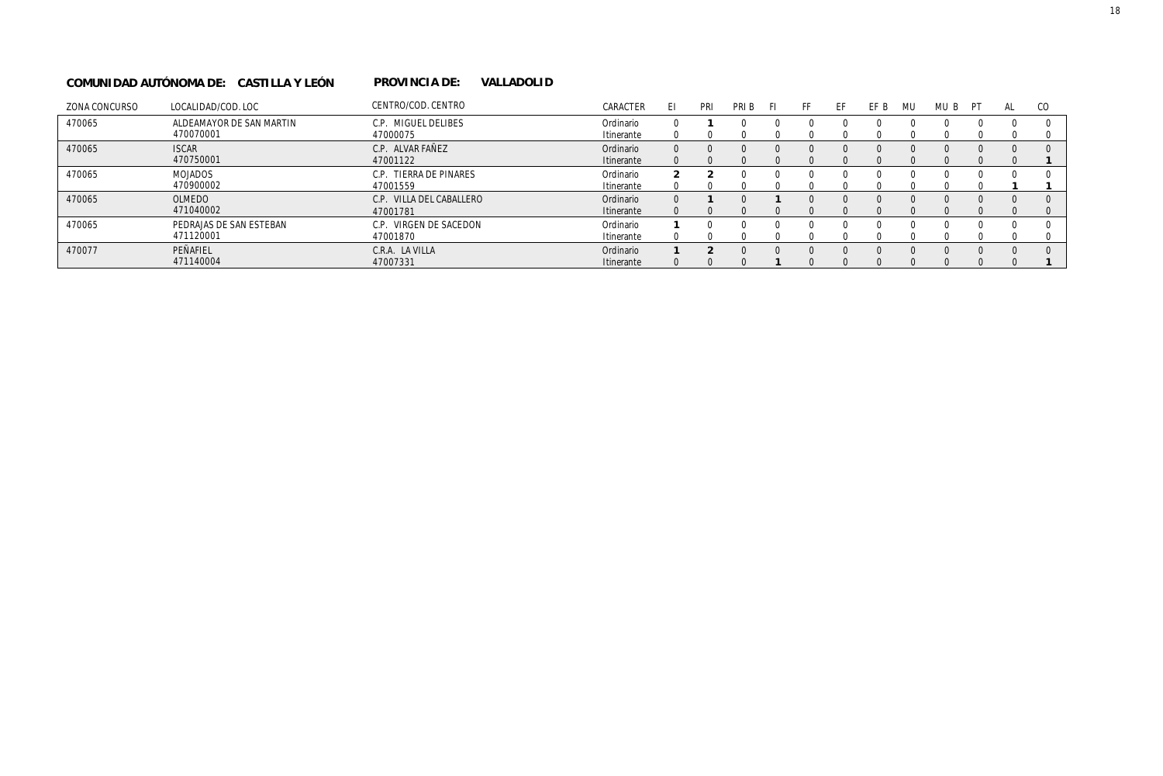#### **VALLADOLID COMUNIDAD AUTÓNOMA DE: CASTILLA Y LEÓN PROVINCIA DE:**

| ZONA CONCURSO | LOCALIDAD/COD. LOC       | CENTRO/COD. CENTRO       | CARACTER   | EI       | PRI | PRI B    |          |          | EF | FF B | MU | MU B | PT | AL | CO.      |
|---------------|--------------------------|--------------------------|------------|----------|-----|----------|----------|----------|----|------|----|------|----|----|----------|
| 470065        | ALDEAMAYOR DE SAN MARTIN | C.P. MIGUEL DELIBES      | Ordinario  |          |     |          | $\left($ | $\left($ |    |      |    |      |    |    |          |
|               | 470070001                | 47000075                 | Itinerante |          |     |          |          |          |    |      |    |      |    |    |          |
| 470065        | <b>ISCAR</b>             | C.P. ALVAR FAÑEZ         | Ordinario  | $\Omega$ | 0   | $\Omega$ | $\Omega$ | $\Omega$ |    |      |    |      |    |    |          |
|               | 470750001                | 47001122                 | Itinerante |          |     |          |          |          |    |      |    |      |    |    |          |
| 470065        | MOJADOS                  | C.P. TIERRA DE PINARES   | Ordinario  |          |     |          | n        | $\Omega$ |    |      |    |      |    |    |          |
|               | 470900002                | 47001559                 | Itinerante |          |     |          |          |          |    |      |    |      |    |    |          |
| 470065        | OLMEDO                   | C.P. VILLA DEL CABALLERO | Ordinario  | $\Omega$ |     | $\Omega$ |          | $\Omega$ |    |      |    |      |    |    | $\Omega$ |
|               | 471040002                | 47001781                 | Itinerante |          |     |          |          |          |    |      |    |      |    |    |          |
| 470065        | PEDRAJAS DE SAN ESTEBAN  | C.P. VIRGEN DE SACEDON   | Ordinario  |          |     |          | $\left($ |          |    |      |    |      |    |    |          |
|               | 471120001                | 47001870                 | Itinerante |          |     |          |          |          |    |      |    |      |    |    |          |
| 470077        | PEÑAFIEL                 | C.R.A. LA VILLA          | Ordinario  |          |     | $\Omega$ | $\Omega$ | $\Omega$ |    |      |    |      |    |    |          |
|               | 471140004                | 47007331                 | Itinerante |          |     |          |          |          |    |      |    |      |    |    |          |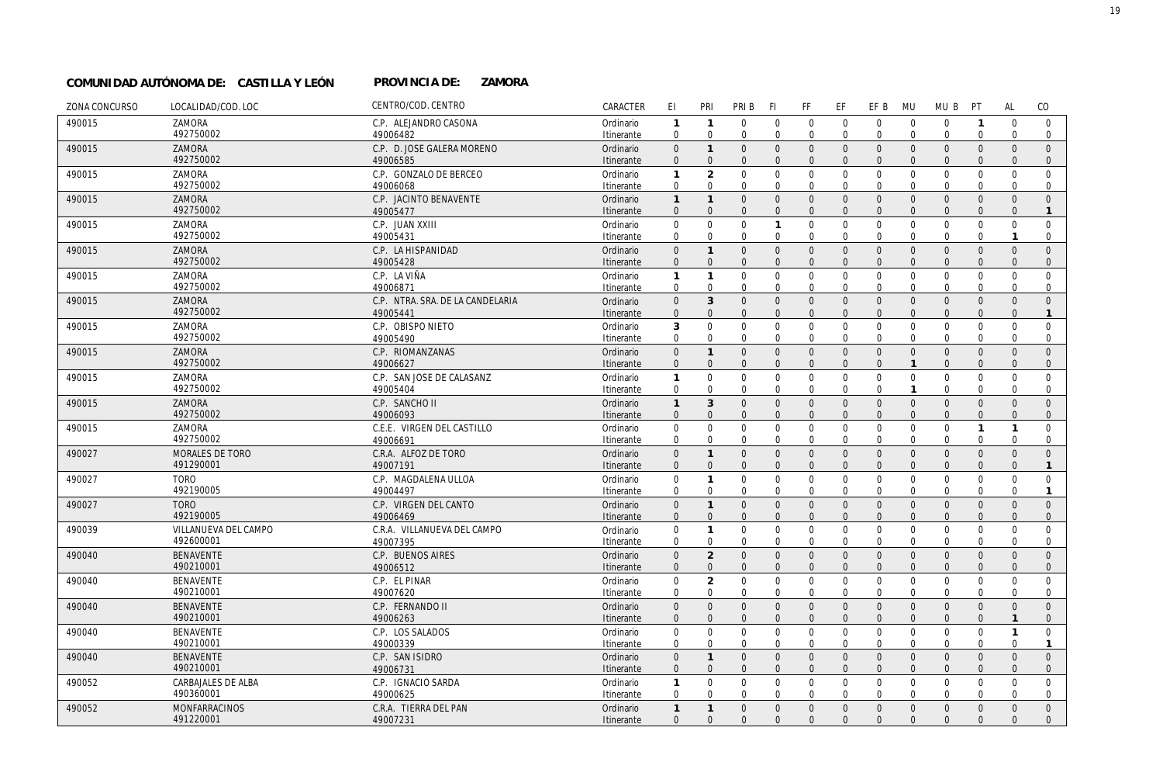#### PROVINCIA DE: **ZAMORA COMUNIDAD AUTÓNOMA DE: CASTILLA Y LEÓN PROVINCIA DE:**

| ZONA CONCURSO | LOCALIDAD/COD. LOC        | CENTRO/COD. CENTRO               | CARACTER   | EI.          | PRI            | PRI B          | <b>FI</b>      | FF             | EF             | EF B           | <b>MU</b>      | MU B         | PT             | <b>AL</b>    | CO             |
|---------------|---------------------------|----------------------------------|------------|--------------|----------------|----------------|----------------|----------------|----------------|----------------|----------------|--------------|----------------|--------------|----------------|
| 490015        | ZAMORA                    | C.P. ALEJANDRO CASONA            | Ordinario  | $\mathbf{1}$ | $\mathbf{1}$   | $\mathbf 0$    | $\mathbf 0$    | $\mathbf 0$    | $\mathbf 0$    | $\mathbf 0$    | $\mathbf 0$    | $\mathbf 0$  | $\overline{1}$ | $\mathbf 0$  | $\mathbf 0$    |
|               | 492750002                 | 49006482                         | Itinerante | $\mathbf 0$  | $\mathbf 0$    | $\mathbf 0$    | $\mathbf 0$    | $\mathbf 0$    | $\mathbf 0$    | $\mathbf{0}$   | $\overline{0}$ | $\mathbf 0$  | $\mathbf 0$    | $\mathbf 0$  | $\mathbf{0}$   |
| 490015        | ZAMORA                    | C.P. D. JOSE GALERA MORENO       | Ordinario  | $\mathbf{0}$ | $\mathbf{1}$   | $\mathbf{0}$   | $\mathbf{0}$   | $\mathbf{0}$   | $\mathbf{0}$   | $\mathbf{0}$   | $\Omega$       | $\mathbf{0}$ | $\mathbf{0}$   | $\Omega$     | $\Omega$       |
|               | 492750002                 | 49006585                         | Itinerante | $\mathbf{0}$ | $\overline{0}$ | $\overline{0}$ | $\overline{0}$ | $\mathbf{0}$   | $\overline{0}$ | $\mathbf{0}$   | $\Omega$       | $\mathbf{0}$ | $\Omega$       | $\Omega$     | $\mathbf{0}$   |
| 490015        | ZAMORA                    | C.P. GONZALO DE BERCEO           | Ordinario  | $\mathbf{1}$ | $\overline{2}$ | $\mathbf 0$    | $\mathbf 0$    | $\mathbf 0$    | $\mathbf 0$    | $\mathbf 0$    | $\mathbf 0$    | $\mathbf{0}$ | $\mathbf{0}$   | $\mathbf{0}$ | $\mathbf 0$    |
|               | 492750002                 | 49006068                         | Itinerante | $\mathbf 0$  | $\mathbf 0$    | $\mathbf{0}$   | $\mathbf{0}$   | $\mathbf 0$    | $\mathbf 0$    | $\mathbf 0$    | $\mathbf{0}$   | $\mathbf 0$  | $\mathbf 0$    | $\Omega$     | 0              |
| 490015        | ZAMORA                    | C.P. JACINTO BENAVENTE           | Ordinario  | $\mathbf{1}$ | $\mathbf{1}$   | $\mathbf{0}$   | $\mathbf{0}$   | $\overline{0}$ | $\overline{0}$ | $\overline{0}$ | $\Omega$       | $\mathbf{0}$ | $\Omega$       | $\Omega$     | $\Omega$       |
|               | 492750002                 | 49005477                         | Itinerante | $\mathbf{0}$ | $\mathbf{0}$   | $\overline{0}$ | $\overline{0}$ | $\mathbf{0}$   | $\Omega$       | $\mathbf{0}$   | $\Omega$       | $\mathbf{0}$ | $\mathbf{0}$   | $\Omega$     | $\mathbf{1}$   |
| 490015        | ZAMORA                    | C.P. JUAN XXIII                  | Ordinario  | $\mathbf{0}$ | $\mathbf 0$    | $\mathbf 0$    | $\mathbf{1}$   | $\mathbf 0$    | $\mathbf 0$    | $\mathbf 0$    | $\Omega$       | $\mathbf 0$  | $\mathbf{0}$   | $\mathbf 0$  | $\mathbf 0$    |
|               | 492750002                 | 49005431                         | Itinerante | 0            | 0              | $\mathbf 0$    | 0              | $\mathbf 0$    | 0              | $\mathbf 0$    | $\mathbf 0$    | 0            | 0              |              | 0              |
| 490015        | ZAMORA                    | C.P. LA HISPANIDAD               | Ordinario  | $\mathbf{0}$ | $\mathbf{1}$   | $\mathbf{0}$   | $\mathbf{0}$   | $\mathbf{0}$   | $\mathbf{0}$   | $\overline{0}$ | $\Omega$       | $\mathbf{0}$ | $\Omega$       | $\Omega$     | $\Omega$       |
|               | 492750002                 | 49005428                         | Itinerante | $\mathbf{0}$ | $\mathbf{0}$   | $\overline{0}$ | $\overline{0}$ | $\mathbf{0}$   | $\Omega$       | $\mathbf{0}$   | $\Omega$       | $\mathbf{0}$ | $\mathbf{0}$   | $\Omega$     | $\mathbf{0}$   |
| 490015        | ZAMORA                    | C.P. LA VIÑA                     | Ordinario  | $\mathbf{1}$ | $\mathbf{1}$   | $\mathbf 0$    | $\mathbf 0$    | $\mathbf 0$    | $\mathbf 0$    | $\mathbf 0$    | $\mathbf 0$    | $\mathbf 0$  | $\mathbf 0$    | $\Omega$     | $\mathbf 0$    |
|               | 492750002                 | 49006871                         | Itinerante | $\mathbf 0$  | $\mathbf 0$    | $\mathbf 0$    | $\mathbf 0$    | $\mathbf 0$    | $\mathbf 0$    | $\mathbf 0$    | $\Omega$       | $\mathbf 0$  | $\mathbf 0$    | 0            | $\mathbf{0}$   |
| 490015        | ZAMORA                    | C.P. NTRA. SRA. DE LA CANDELARIA | Ordinario  | $\mathbf 0$  | $\mathbf{3}$   | $\mathbf{0}$   | $\mathbf{0}$   | $\mathsf{O}$   | $\overline{0}$ | $\overline{0}$ | $\Omega$       | $\mathbf{0}$ | $\mathbf{0}$   | $\Omega$     | $\mathbf{0}$   |
|               | 492750002                 | 49005441                         | Itinerante | $\mathbf{0}$ | $\Omega$       | $\Omega$       | $\Omega$       | $\Omega$       | $\Omega$       | $\Omega$       | $\Omega$       | $\Omega$     | $\Omega$       | $\Omega$     | $\mathbf{1}$   |
| 490015        | ZAMORA                    | C.P. OBISPO NIETO                | Ordinario  | 3            | $\mathbf 0$    | $\mathbf 0$    | $\mathbf 0$    | $\mathbf 0$    | $\overline{0}$ | $\mathbf 0$    | $\mathbf 0$    | $\mathbf 0$  | $\mathbf 0$    | $\mathbf 0$  | $\mathbf{0}$   |
|               | 492750002                 | 49005490                         | Itinerante | $\mathbf 0$  | $\mathbf 0$    | $\mathbf{0}$   | $\Omega$       | $\mathbf 0$    | $\mathbf 0$    | $\Omega$       | $\Omega$       | $\mathbf 0$  | $\Omega$       | $\Omega$     | $\mathbf 0$    |
| 490015        | ZAMORA                    | C.P. RIOMANZANAS                 | Ordinario  | $\mathbf{0}$ | $\mathbf{1}$   | $\mathbf{0}$   | $\overline{0}$ | $\mathsf 0$    | $\overline{0}$ | $\overline{0}$ | $\Omega$       | $\mathbf{0}$ | $\mathbf{0}$   | $\Omega$     | $\mathbf{0}$   |
|               | 492750002                 | 49006627                         | Itinerante | $\mathbf{0}$ | $\mathbf{0}$   | $\mathbf{0}$   | $\Omega$       | $\mathbf{0}$   | $\overline{0}$ | $\Omega$       | $\mathbf{1}$   | $\mathbf{0}$ | $\mathbf{0}$   | $\Omega$     | $\mathbf{0}$   |
| 490015        | ZAMORA                    | C.P. SAN JOSE DE CALASANZ        | Ordinario  | $\mathbf{1}$ | $\mathbf 0$    | $\mathbf 0$    | $\mathbf 0$    | $\mathbf 0$    | $\mathbf 0$    | $\mathbf 0$    | $\overline{0}$ | $\mathbf 0$  | $\mathbf 0$    | $\mathbf 0$  | $\mathbf 0$    |
|               | 492750002                 | 49005404                         | Itinerante | $\mathbf 0$  | $\mathbf 0$    | $\Omega$       | $\Omega$       | $\Omega$       | $\Omega$       | $\Omega$       | -1             | $\Omega$     | $\Omega$       | $\Omega$     | $\mathbf{0}$   |
| 490015        | ZAMORA                    | C.P. SANCHO II                   | Ordinario  | $\mathbf{1}$ | $\mathbf{3}$   | $\mathbf 0$    | $\mathbf{0}$   | $\mathsf 0$    | $\mathbf 0$    | $\mathbf 0$    | $\overline{0}$ | $\mathbf 0$  | $\mathbf{0}$   | $\Omega$     | $\mathbf{0}$   |
|               | 492750002                 | 49006093                         | Itinerante | $\mathbf{0}$ | $\mathbf{0}$   | $\mathbf{0}$   | $\Omega$       | $\mathbf{0}$   | $\overline{0}$ | $\mathbf{0}$   | $\Omega$       | $\mathbf{0}$ | $\mathbf{0}$   | $\Omega$     | $\mathbf{0}$   |
| 490015        | ZAMORA                    | C.E.E. VIRGEN DEL CASTILLO       | Ordinario  | $\mathbf 0$  | $\mathbf 0$    | $\mathbf 0$    | $\mathbf 0$    | $\mathbf 0$    | $\mathbf 0$    | $\mathbf 0$    | $\mathbf 0$    | $\mathbf 0$  | $\mathbf{1}$   | $\mathbf{1}$ | $\mathbf{0}$   |
|               | 492750002                 | 49006691                         | Itinerante | $\mathbf 0$  | $\mathbf 0$    | $\Omega$       | $\Omega$       | $\mathbf 0$    | $\overline{0}$ | $\Omega$       | $\Omega$       | $\Omega$     | $\mathbf{0}$   | $\Omega$     | $\mathbf 0$    |
| 490027        | MORALES DE TORO           | C.R.A. ALFOZ DE TORO             | Ordinario  | $\mathbf 0$  | $\mathbf{1}$   | $\mathbf 0$    | $\mathbf{0}$   | $\mathsf{O}$   | $\mathbf 0$    | $\mathbf 0$    | $\Omega$       | $\mathsf{O}$ | $\mathbf{0}$   | $\mathbf{0}$ | $\mathbf{0}$   |
|               | 491290001                 | 49007191                         | Itinerante | $\mathbf{0}$ | $\mathbf{0}$   | $\overline{0}$ | $\overline{0}$ | $\mathbf{0}$   | $\overline{0}$ | $\mathbf{0}$   | $\Omega$       | $\mathbf{0}$ | $\mathbf{0}$   | $\mathbf{0}$ | $\mathbf{1}$   |
| 490027        | <b>TORO</b>               | C.P. MAGDALENA ULLOA             | Ordinario  | $\mathbf 0$  | $\mathbf{1}$   | $\mathbf 0$    | $\mathbf 0$    | $\mathbf 0$    | $\mathbf 0$    | $\mathbf 0$    | $\mathbf 0$    | $\mathbf 0$  | $\mathbf{0}$   | $\mathbf 0$  | $\mathbf 0$    |
|               | 492190005                 | 49004497                         | Itinerante | $\mathbf 0$  | $\mathbf 0$    | $\mathbf 0$    | $\mathbf{0}$   | $\mathbf 0$    | $\overline{0}$ | $\mathbf 0$    | $\Omega$       | $\mathbf 0$  | $\mathbf 0$    | $\Omega$     | $\mathbf{1}$   |
| 490027        | <b>TORO</b>               | C.P. VIRGEN DEL CANTO            | Ordinario  | $\mathbf 0$  | $\mathbf{1}$   | $\mathbf 0$    | $\mathbf 0$    | $\mathsf 0$    | $\mathbf 0$    | $\mathbf 0$    | $\Omega$       | $\mathbf{0}$ | $\mathbf{0}$   | $\mathbf{0}$ | $\mathbf{0}$   |
|               | 492190005                 | 49006469                         | Itinerante | $\mathbf 0$  | $\overline{0}$ | $\mathbf 0$    | $\overline{0}$ | $\mathbf 0$    | $\overline{0}$ | $\mathbf 0$    | $\Omega$       | $\mathbf 0$  | $\overline{0}$ | $\mathbf{0}$ | $\mathbf{0}$   |
| 490039        | VILLANUEVA DEL CAMPO      | C.R.A. VILLANUEVA DEL CAMPO      | Ordinario  | $\mathbf 0$  | $\mathbf{1}$   | $\mathbf 0$    | $\mathbf{0}$   | $\mathbf 0$    | $\mathbf 0$    | $\mathbf 0$    | $\mathbf{0}$   | $\mathbf 0$  | $\mathbf{0}$   | $\Omega$     | $\mathbf 0$    |
|               | 492600001                 | 49007395                         | Itinerante | $\mathbf 0$  | $\mathbf 0$    | $\mathbf{0}$   | $\mathbf{0}$   | $\mathbf 0$    | $\mathbf{0}$   | $\mathbf 0$    | $\mathbf 0$    | $\mathbf 0$  | $\mathbf 0$    | $\Omega$     | $\mathbf 0$    |
| 490040        | <b>BENAVENTE</b>          | C.P. BUENOS AIRES                | Ordinario  | $\mathbf 0$  | $\overline{2}$ | $\mathbf 0$    | $\overline{0}$ | $\mathbf 0$    | $\mathbf 0$    | $\mathbf 0$    | $\Omega$       | $\mathbf{0}$ | $\mathbf{0}$   | $\Omega$     | $\mathbf{0}$   |
|               | 490210001                 | 49006512                         | Itinerante | $\mathbf{0}$ | $\mathbf 0$    | $\mathbf 0$    | $\mathbf 0$    | $\mathbf{0}$   | $\overline{0}$ | $\overline{0}$ | $\Omega$       | $\mathbf 0$  | $\mathbf 0$    | $\mathbf{0}$ | $\mathbf{0}$   |
| 490040        | <b>BENAVENTE</b>          | C.P. EL PINAR                    | Ordinario  | $\mathbf 0$  | $\overline{2}$ | $\mathbf{0}$   | $\mathbf{0}$   | $\mathbf 0$    | $\mathbf 0$    | $\mathbf 0$    | $\mathbf{0}$   | $\mathbf 0$  | $\mathbf 0$    | $\Omega$     | $\mathbf 0$    |
|               | 490210001                 | 49007620                         | Itinerante | $\mathbf 0$  | $\mathbf 0$    | $\mathbf{0}$   | $\mathbf{0}$   | $\mathbf 0$    | $\mathbf{0}$   | $\mathbf 0$    | $\mathbf{0}$   | $\mathbf 0$  | $\mathbf 0$    | 0            | $\mathbf 0$    |
| 490040        | <b>BENAVENTE</b>          | C.P. FERNANDO II                 | Ordinario  | $\mathbf 0$  | $\mathbf 0$    | $\mathbf 0$    | $\mathbf 0$    | $\mathsf{O}$   | $\mathbf 0$    | $\mathbf 0$    | $\overline{0}$ | $\mathsf{O}$ | $\mathbf{0}$   | $\mathbf{0}$ | $\mathbf{0}$   |
|               | 490210001                 | 49006263                         | Itinerante | $\mathbf{0}$ | $\mathbf{0}$   | $\mathbf{0}$   | $\overline{0}$ | $\mathbf{0}$   | $\mathbf{0}$   | $\mathbf{0}$   | $\Omega$       | $\mathbf{0}$ | $\mathbf{0}$   | $\mathbf{1}$ | $\mathbf{0}$   |
| 490040        | <b>BENAVENTE</b>          | C.P. LOS SALADOS                 | Ordinario  | $\mathbf 0$  | $\mathbf 0$    | $\mathbf{0}$   | $\mathbf{0}$   | $\mathbf 0$    | $\overline{0}$ | $\mathbf 0$    | $\Omega$       | $\mathbf 0$  | $\mathbf 0$    | $\mathbf{1}$ | $\mathbf 0$    |
|               | 490210001                 | 49000339                         | Itinerante | $\mathbf 0$  | $\mathbf 0$    | $\mathbf{0}$   | $\mathbf{0}$   | $\mathbf 0$    | $\mathbf{0}$   | $\mathbf{0}$   | $\mathbf{0}$   | $\mathbf{0}$ | $\mathbf{0}$   | $\mathbf 0$  | $\mathbf{1}$   |
| 490040        | <b>BENAVENTE</b>          | C.P. SAN ISIDRO                  | Ordinario  | $\mathbf{0}$ | $\mathbf{1}$   | $\mathbf 0$    | $\overline{0}$ | $\overline{0}$ | $\overline{0}$ | $\mathbf 0$    | $\Omega$       | $\mathbf{0}$ | $\mathbf{0}$   | $\mathbf{0}$ | $\mathbf{0}$   |
|               | 490210001                 | 49006731                         | Itinerante | $\mathbf{0}$ | $\Omega$       | $\overline{0}$ | $\Omega$       | $\mathbf{0}$   | $\overline{0}$ | $\overline{0}$ | $\Omega$       | $\mathbf{0}$ | $\mathbf{0}$   | $\Omega$     | $\overline{0}$ |
| 490052        | <b>CARBAJALES DE ALBA</b> | C.P. IGNACIO SARDA               | Ordinario  | $\mathbf{1}$ | $\mathbf 0$    | $\mathbf 0$    | $\mathbf 0$    | $\mathbf 0$    | $\mathbf 0$    | $\mathbf 0$    | $\Omega$       | $\mathbf 0$  | $\mathbf 0$    | $\Omega$     | $\mathbf 0$    |
|               | 490360001                 | 49000625                         | Itinerante | $\mathbf 0$  | $\mathbf 0$    | $\mathbf{0}$   | $\Omega$       | $\mathbf 0$    | $\Omega$       | $\mathbf 0$    | $\Omega$       | $\mathbf 0$  | $\Omega$       | $\Omega$     | $\mathbf 0$    |
| 490052        | <b>MONFARRACINOS</b>      | C.R.A. TIERRA DEL PAN            | Ordinario  | $\mathbf{1}$ | $\mathbf{1}$   | $\mathbf{0}$   | $\overline{0}$ | $\overline{0}$ | $\mathbf{0}$   | $\overline{0}$ | $\overline{0}$ | $\mathbf{0}$ | $\mathbf{0}$   | $\Omega$     | $\mathbf{0}$   |
|               | 491220001                 | 49007231                         | Itinerante | $\mathbf{0}$ | $\Omega$       | $\Omega$       | $\Omega$       | $\Omega$       | $\Omega$       | $\Omega$       | $\Omega$       | $\Omega$     | $\Omega$       | $\Omega$     | $\Omega$       |